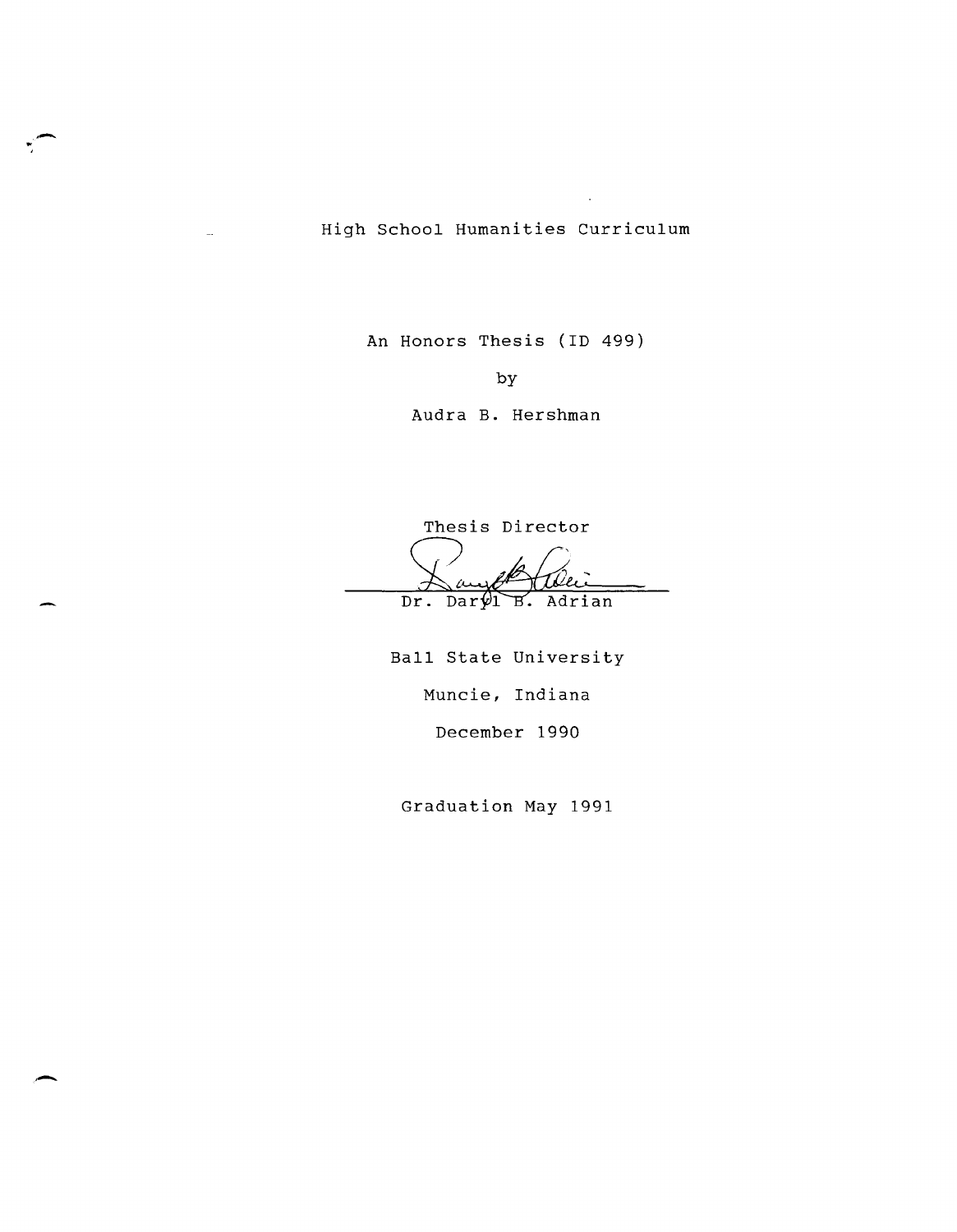High School Humanities Curriculum

'" , .-

An Honors Thesis (ID 499)

by

Audra B. Hershman

Thesis Director

Dr. Daryl B. Adrian

Ball State University Muncie, Indiana December 1990

Graduation May 1991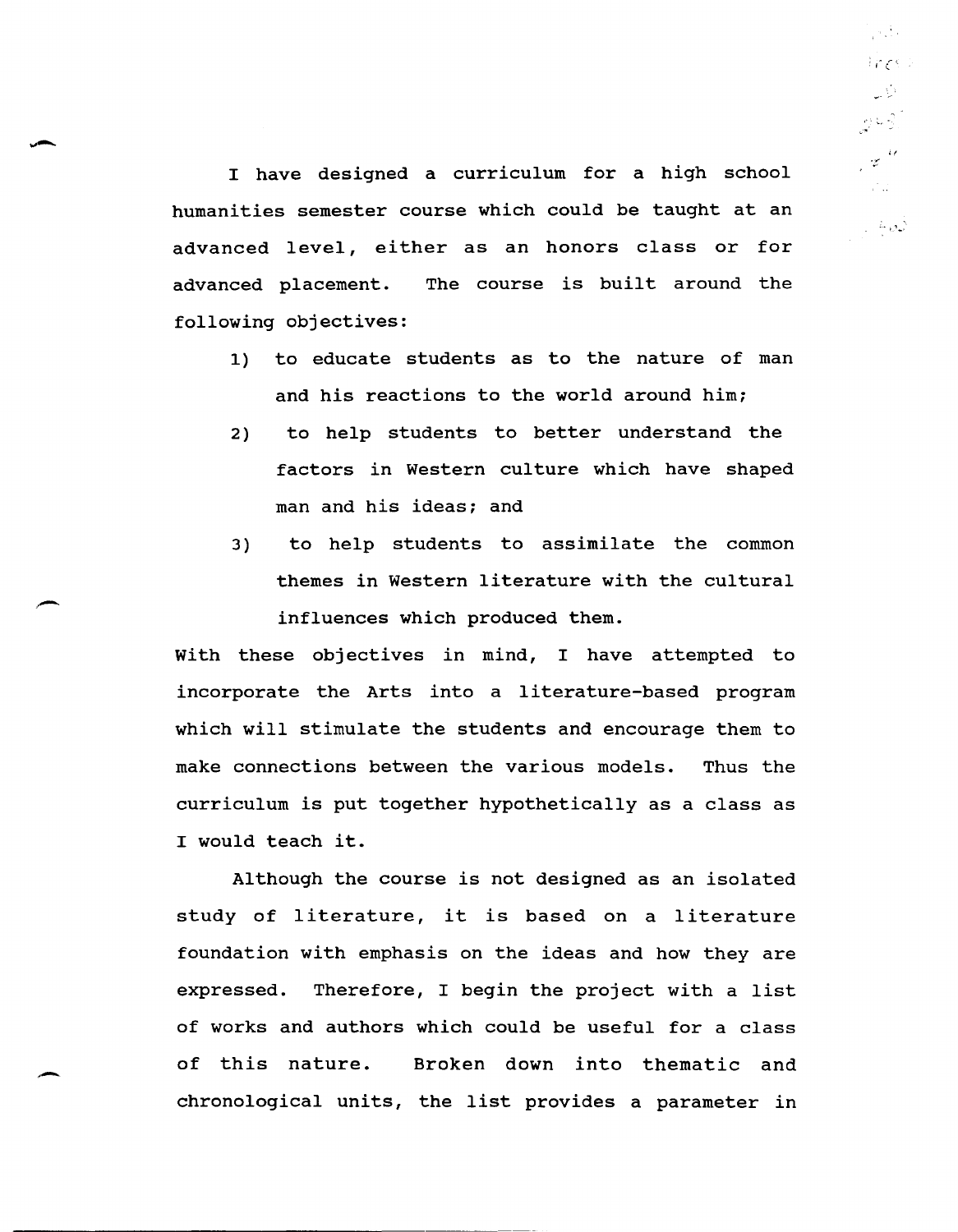I have designed a curriculum for a high school humanities semester course which could be taught at an advanced level, either as an honors class or for advanced placement. The course is built around the following objectives:

ja die  $17601$ 

교회 ا کی جا وہ

 $z^{u}$  $\mathcal{L}^{\text{max}}$ 

 $\pm 40$ 

- 1) to educate students as to the nature of man and his reactions to the world around him;
- 2) to help students to better understand the factors in Western culture which have shaped man and his ideas; and
- 3) to help students to assimilate the common themes in Western literature with the cultural influences which produced them.

with these objectives in mind, I have attempted to incorporate the Arts into a literature-based program which will stimulate the students and encourage them to make connections between the various models. Thus the curriculum is put together hypothetically as a class as I would teach it.

Although the course is not designed as an isolated study of literature, it is based on a literature foundation with emphasis on the ideas and how they are expressed. Therefore, I begin the project with a list of works and authors which could be useful for a class of this nature. Broken down into thematic and chronological units, the list provides a parameter in

,-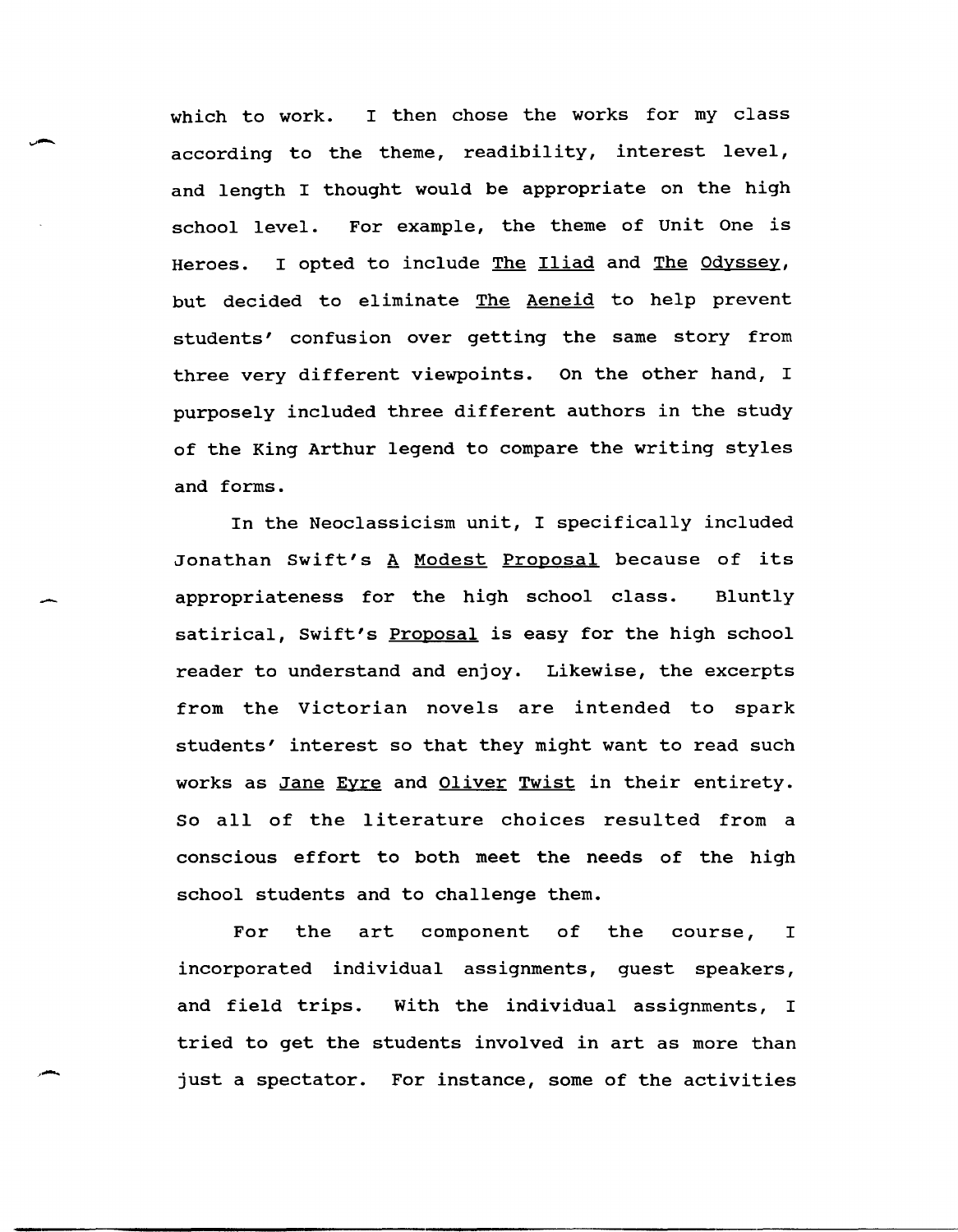which to work. I then chose the works for my class according to the theme, readibility, interest level, and length I thought would be appropriate on the high school level. For example, the theme of unit One is Heroes. I opted to include The Iliad and The Odyssey, but decided to eliminate The Aeneid to help prevent students' confusion over getting the same story from three very different viewpoints. On the other hand, I purposely included three different authors in the study of the King Arthur legend to compare the writing styles and forms.

In the Neoclassicism unit, I specifically included Jonathan Swift's A Modest Proposal because of its appropriateness for the high school class. Bluntly satirical, Swift's Proposal is easy for the high school reader to understand and enjoy. Likewise, the excerpts from the victorian novels are intended to spark students' interest so that they might want to read such works as Jane Eyre and Oliver Twist in their entirety. So all of the literature choices resulted from a conscious effort to both meet the needs of the high school students and to challenge them.

For the art component of the course, <sup>I</sup> incorporated individual assignments, guest speakers, and field trips. with the individual assignments, I tried to get the students involved in art as more than just a spectator. For instance, some of the activities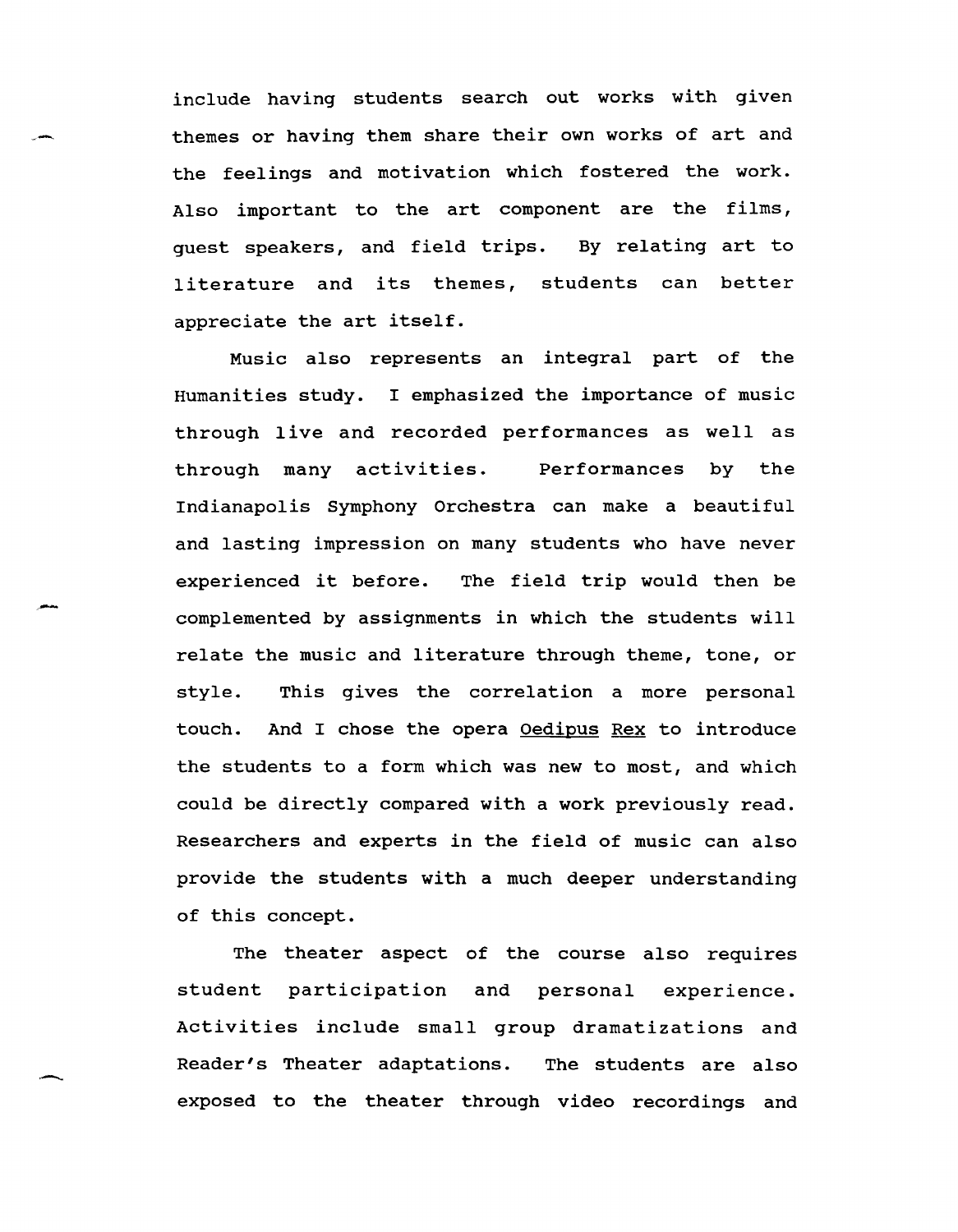include having students search out works with given themes or having them share their own works of art and the feelings and motivation which fostered the work. Also important to the art component are the films, guest speakers, and field trips. By relating art to literature and its themes, students can better appreciate the art itself.

Music also represents an integral part of the Humanities study. I emphasized the importance of music through live and recorded performances as well as through many activities. Performances by the Indianapolis Symphony Orchestra can make a beautiful and lasting impression on many students who have never experienced it before. The field trip would then be complemented by assignments in which the students will relate the music and literature through theme, tone, or style. This gives the correlation a more personal touch. And I chose the opera Oedipus Rex to introduce the students to a form which was new to most, and which could be directly compared with a work previously read. Researchers and experts in the field of music can also provide the students with a much deeper understanding of this concept.

The theater aspect of the course also requires student participation and personal experience. Activities include small group dramatizations and Reader's Theater adaptations. The students are also exposed to the theater through video recordings and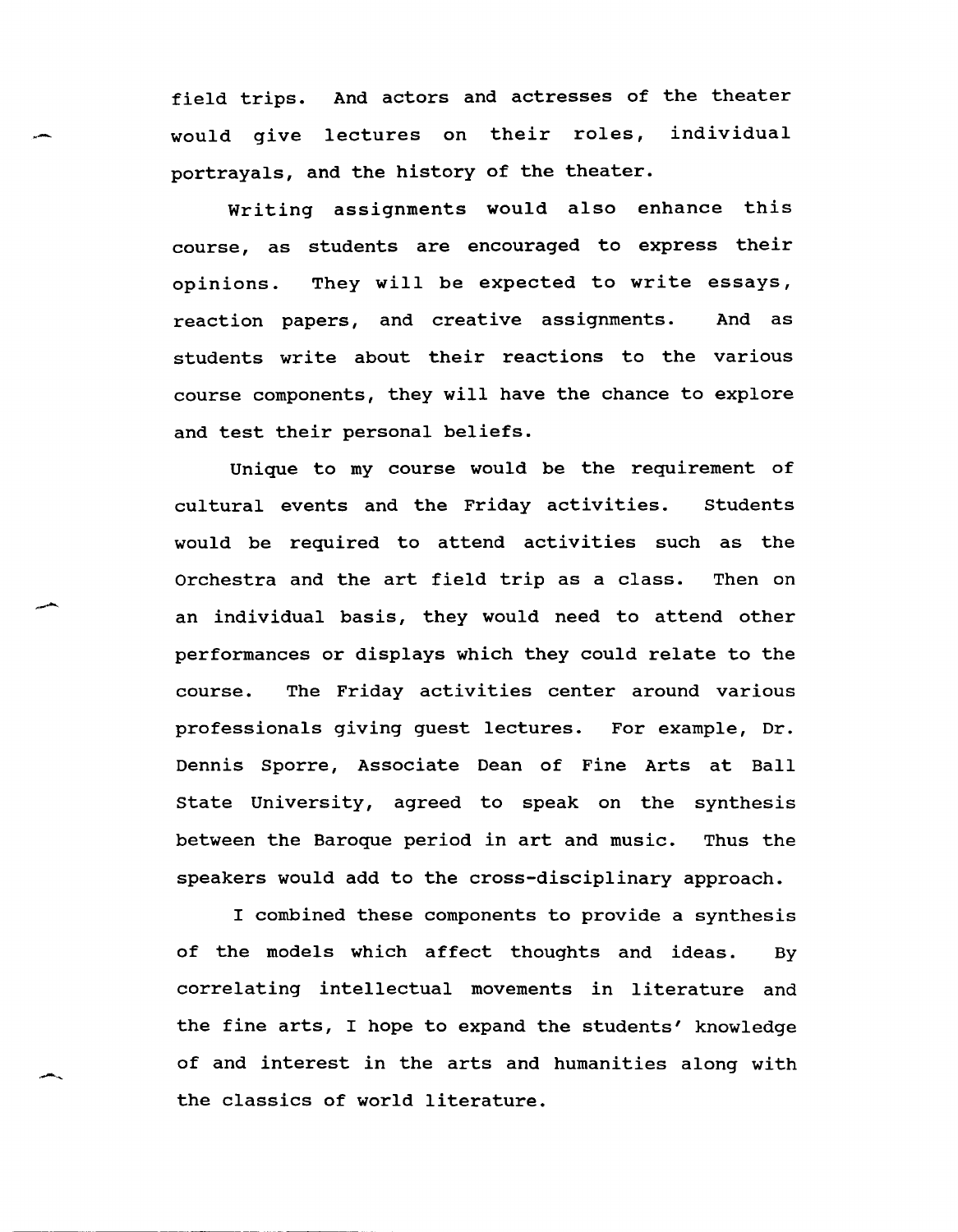field trips. And actors and actresses of the theater would give lectures on their roles, individual portrayals, and the history of the theater.

.-

Writing assignments would also enhance this course, as students are encouraged to express their opinions. They will be expected to write essays, reaction papers, and creative assignments. And as students write about their reactions to the various course components, they will have the chance to explore and test their personal beliefs.

Unique to my course would be the requirement of cultural events and the Friday activities. students would be required to attend activities such as the Orchestra and the art field trip as a class. Then on an individual basis, they would need to attend other performances or displays which they could relate to the course. The Friday activities center around various professionals giving guest lectures. For example, Dr. Dennis Sporre, Associate Dean of Fine Arts at Ball state University, agreed to speak on the synthesis between the Baroque period in art and music. Thus the speakers would add to the cross-disciplinary approach.

I combined these components to provide a synthesis of the models which affect thoughts and ideas. By correlating intellectual movements in literature and the fine arts, I hope to expand the students' knowledge of and interest in the arts and humanities along with the classics of world literature.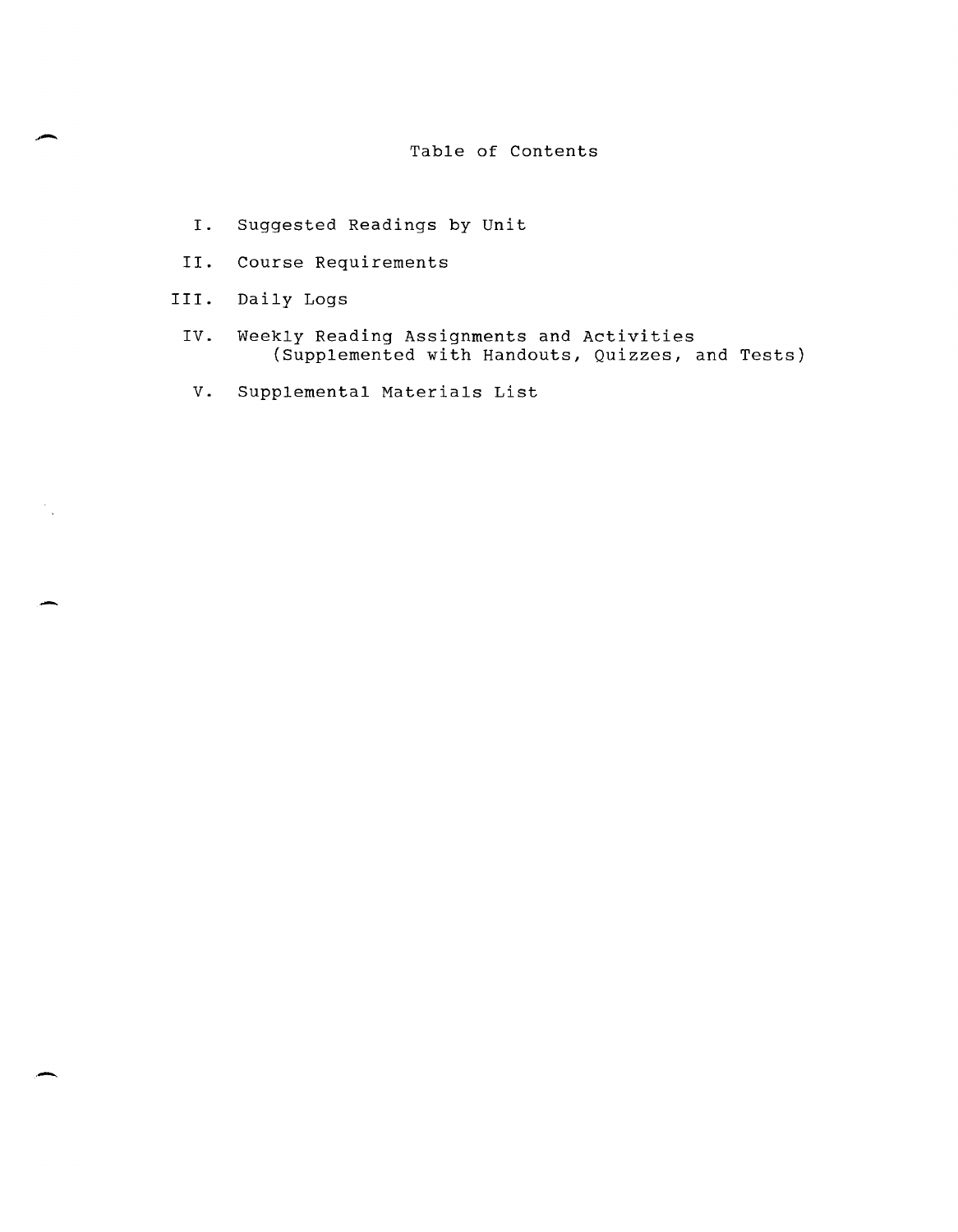# Table of Contents

- I. Suggested Readings by unit
- II. Course Requirements
- III. Daily Logs

.-..

 $\frac{1}{\sqrt{2}}$ 

- IV. Weekly Reading Assignments and Activities (Supplemented with Handouts, Quizzes, and Tests)
- V. Supplemental Materials List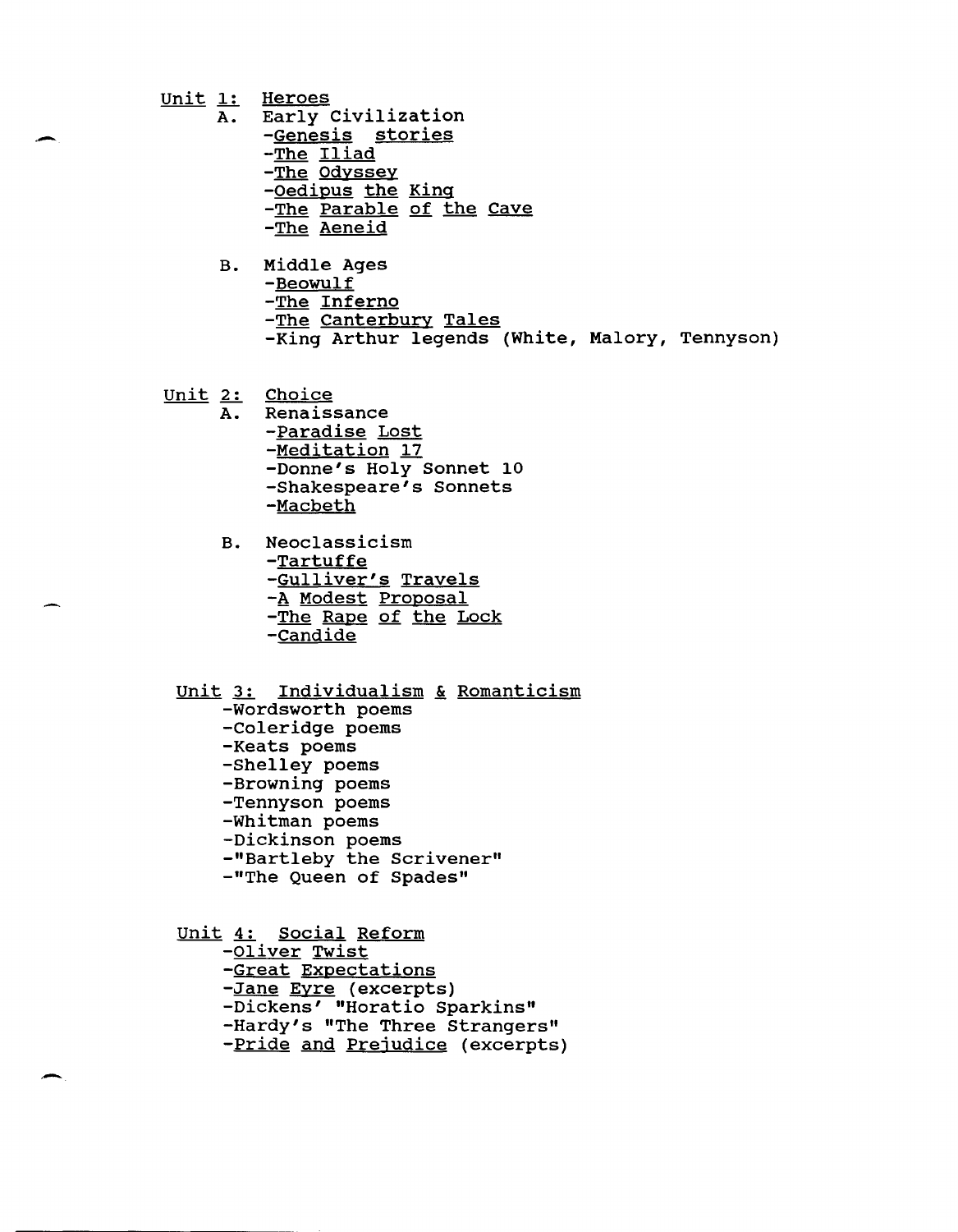$Unit 1: Heroes \nA. Early 0$ </u>

.-

.-

- Early Civilization
	- -Genesis stories
	- -The Iliad
	- -The Odyssey
	- -Oedipus the King
	- -The Parable of the Cave
	- -The Aeneid
- B. Middle Ages -Beowulf -The Inferno -The Canterbury Tales -King Arthur legends (White, Malory, Tennyson)

 $Unit 2: Choice  
\nA. Renaissance$ </u>

- Renaissance
	- -Paradise Lost -Meditation 17 -Donne's Holy Sonnet 10 -Shakespeare's Sonnets -Macbeth
	- B. Neoclassicism -Tartuffe -Gulliver's Travels -A Modest Proposal -The Rape of the Lock -Candide

Unit 3: Individualism & Romanticism

- -Wordsworth poems
- -Coleridge poems
- -Keats poems
- -Shelley poems
- -Browning poems
- -Tennyson poems
- -Whitman poems
- -Dickinson poems
- -"Bartleby the Scrivener"
- -"The Queen of Spades"

unit 4: Social Reform -Oliver Twist -Great Expectations -Jane Eyre (excerpts) -Dickens' "Horatio Sparkins" -Hardy's "The Three Strangers" -Pride and Prejudice (excerpts)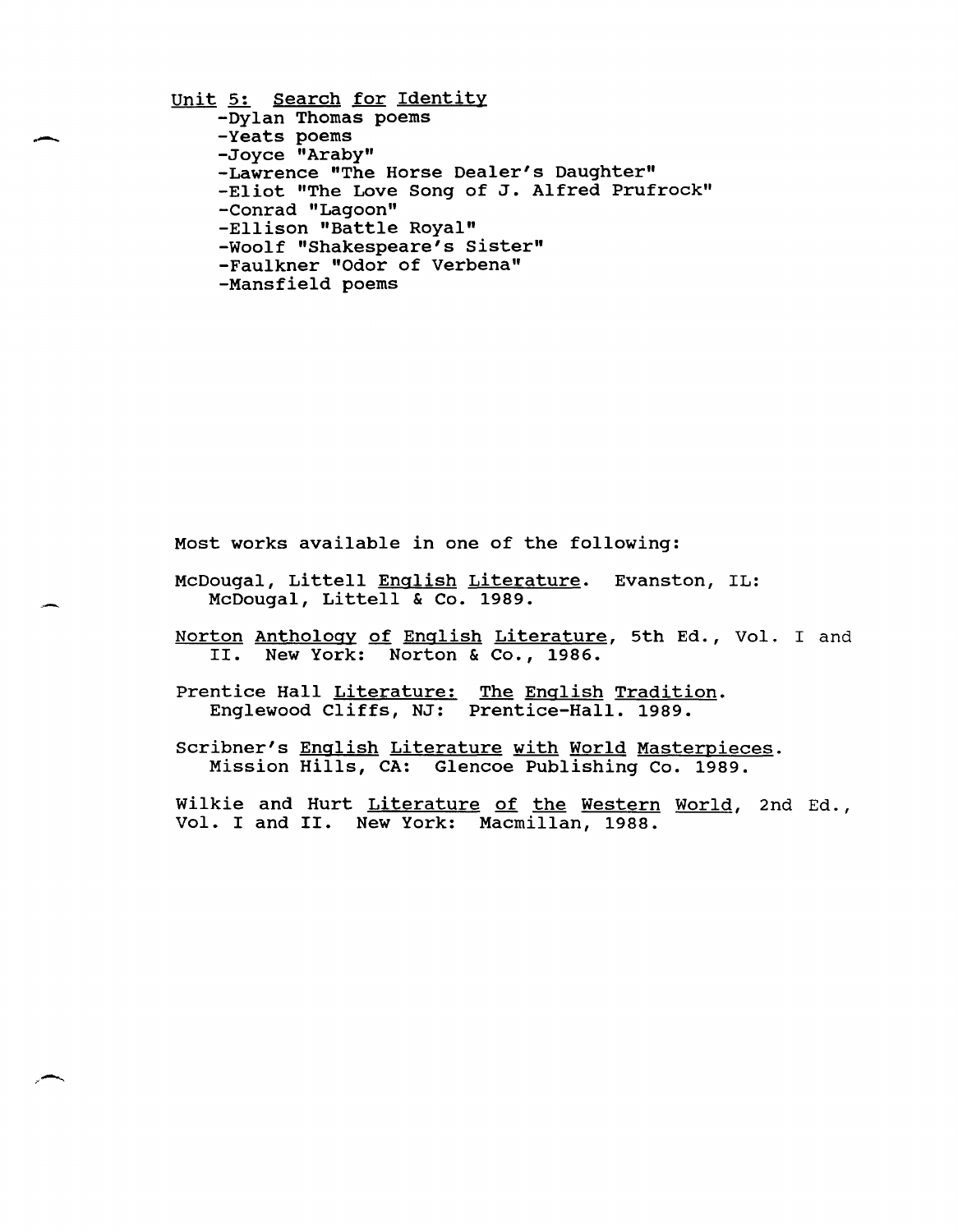Unit 5: Search for Identity -Dylan Thomas poems -Yeats poems -Joyce "Araby" -Lawrence "The Horse Dealer's Daughter" -Eliot "The Love Song of J. Alfred Prufrock" -Conrad "Lagoon" -Ellison "Battle Royal" -Woolf "Shakespeare's sister" -Faulkner "Odor of Verbena" -Mansfield poems

.-

Most works available in one of the following:

- McDougal, Littell English Literature. Evanston, IL: McDougal, Littell & Co. 1989.
- Norton Anthology of English Literature, 5th Ed., Vol. I and II. New York: Norton & Co., 1986.
- Prentice Hall Literature: The English Tradition. Englewood Cliffs, NJ: Prentice-Hall. 1989.
- Scribner's English Literature with World Masterpieces. Mission Hills, CA: Glencoe Publishing Co. 1989.

Wilkie and Hurt Literature of the Western World, 2nd Ed., Vol. I and II. New York: Macmillan, 1988.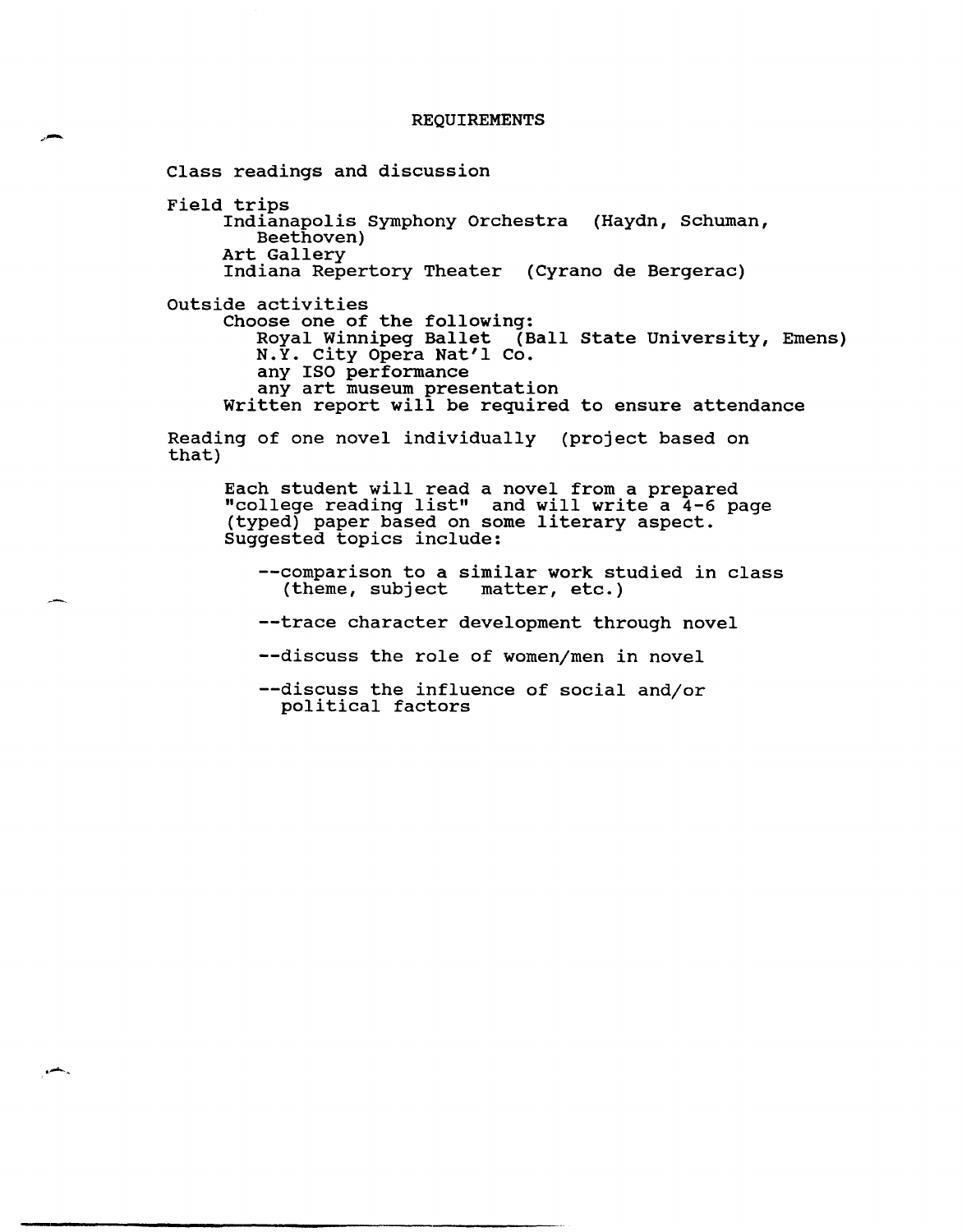#### REQUIREMENTS

Class readings and discussion Field trips Indianapolis Symphony Orchestra (Haydn, Schuman, Beethoven) Art Gallery Indiana Repertory Theater (Cyrano de Bergerac) outside activities Choose one of the following: Royal Winnipeg Ballet (Ball State University, Emens) N.Y. City Opera Nat'l Co. any ISO performance any art museum presentation Written report will be required to ensure attendance Reading of one novel individually (project based on that) Each student will read a novel from a prepared "college reading list" and will write a 4-6 page (typed) paper based on some literary aspect. Suggested topics include: --comparison to a similar work studied in class<br>(theme, subject matter, etc.)  $(thene, subject)$ --trace character development through novel --discuss the role of women/men in novel --discuss the influence of social and/or political factors

 $\overline{a}$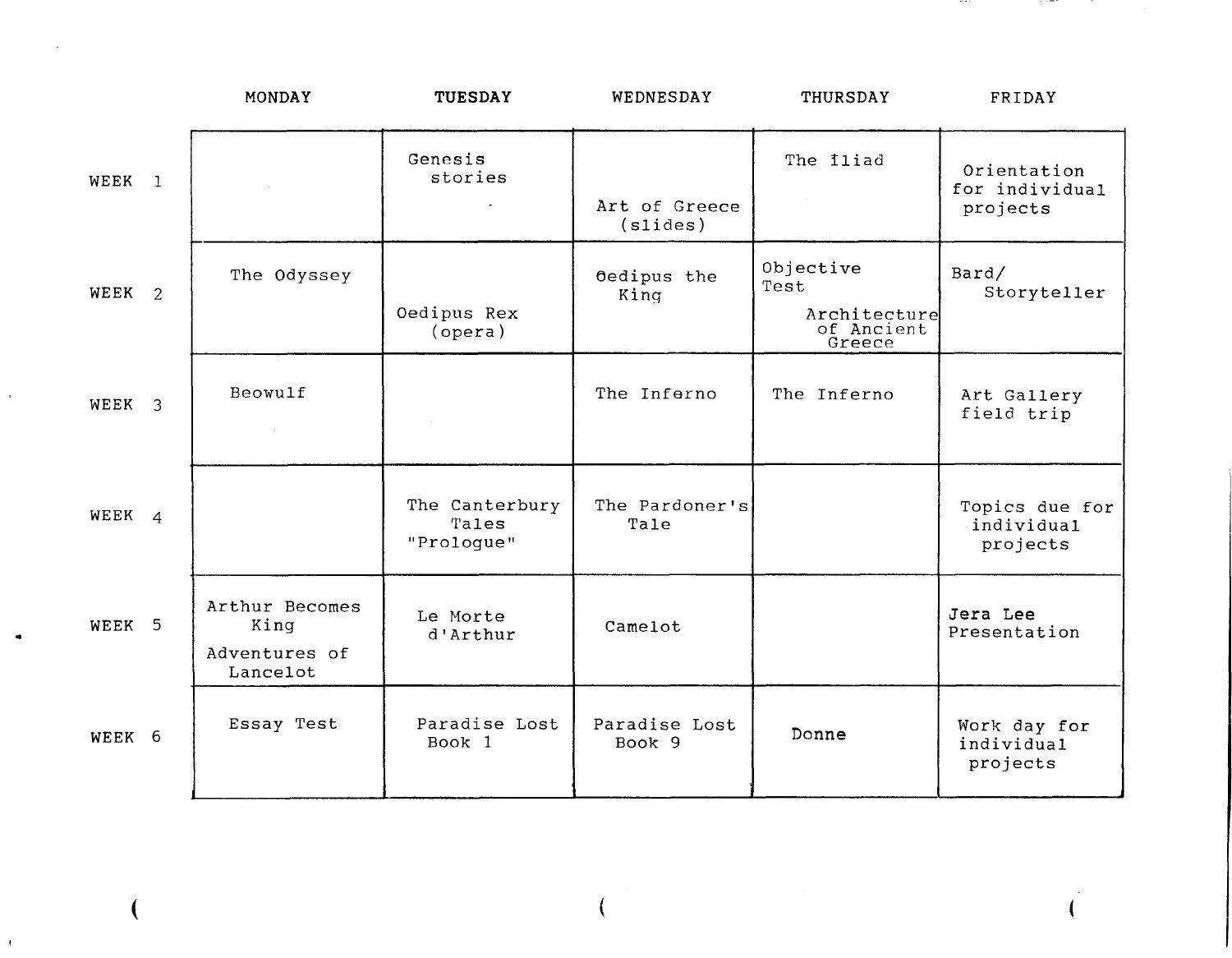|                   | MONDAY                                              | <b>TUESDAY</b>                        | WEDNESDAY                 | THURSDAY                                                  | FRIDAY                                    |
|-------------------|-----------------------------------------------------|---------------------------------------|---------------------------|-----------------------------------------------------------|-------------------------------------------|
| WEEK 1            |                                                     | Genesis<br>stories<br>$\sim$          | Art of Greece<br>(slides) | The <i>iliad</i>                                          | Orientation<br>for individual<br>projects |
| WEEK <sub>2</sub> | The Odyssey                                         | Oedipus Rex<br>(opera)                | Oedipus the<br>King       | Objective<br>Test<br>Architecture<br>of Ancient<br>Greece | Bard/<br>Storyteller                      |
| WEEK <sub>3</sub> | Beowulf<br>$\sim 100$ km s $^{-1}$                  |                                       | The Inferno               | The Inferno                                               | Art Gallery<br>field trip                 |
| WEEK <sub>4</sub> |                                                     | The Canterbury<br>Tales<br>"Proloque" | The Pardoner's<br>Tale    |                                                           | Topics due for<br>individual<br>projects  |
| WEEK 5            | Arthur Becomes<br>King<br>Adventures of<br>Lancelot | Le Morte<br>d'Arthur                  | Camelot                   |                                                           | Jera Lee<br>Presentation                  |
| WEEK 6            | Essay Test                                          | Paradise Lost<br>Book 1               | Paradise Lost<br>Book 9   | Donne                                                     | Work day for<br>individual<br>projects    |

(

(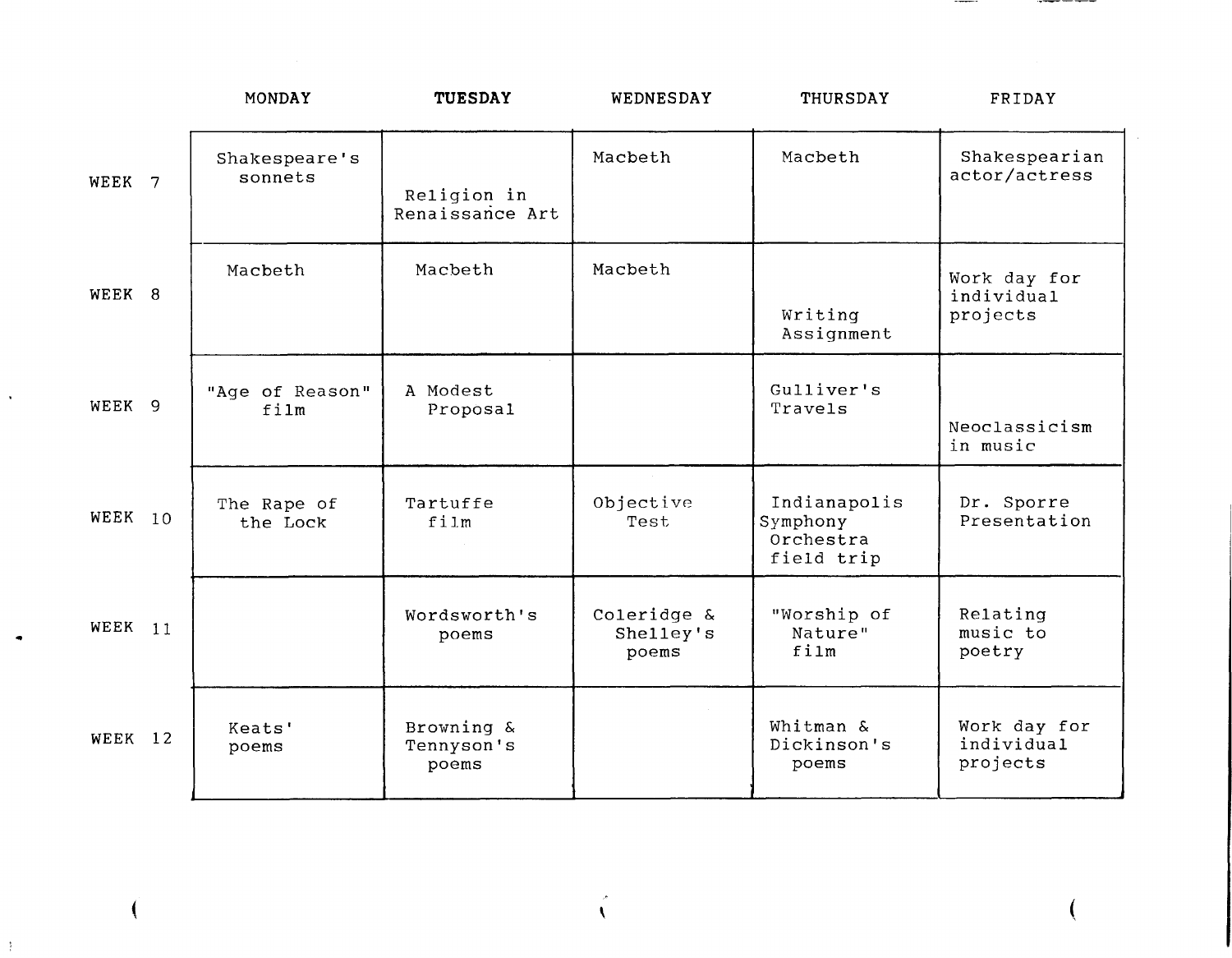|        |           | MONDAY                   | <b>TUESDAY</b>                    | WEDNESDAY                         | THURSDAY                                            | FRIDAY                                 |
|--------|-----------|--------------------------|-----------------------------------|-----------------------------------|-----------------------------------------------------|----------------------------------------|
| WEEK 7 |           | Shakespeare's<br>sonnets | Religion in<br>Renaissance Art    | Macbeth                           | Macbeth                                             | Shakespearian<br>actor/actress         |
| WEEK 8 |           | Macbeth                  | Macbeth                           | Macbeth                           | Writing<br>Assignment                               | Work day for<br>individual<br>projects |
| WEEK 9 |           | "Age of Reason"<br>film  | A Modest<br>Proposal              |                                   | Gulliver's<br>Travels                               | Neoclassicism<br>in music              |
|        | WEEK $10$ | The Rape of<br>the Lock  | Tartuffe<br>film                  | Objective<br>Test                 | Indianapolis<br>Symphony<br>Orchestra<br>field trip | Dr. Sporre<br>Presentation             |
|        | WEEK $11$ |                          | Wordsworth's<br>poems             | Coleridge &<br>Shelley's<br>poems | "Worship of<br>Nature"<br>film                      | Relating<br>music to<br>poetry         |
|        | WEEK 12   | Keats'<br>poems          | Browning &<br>Tennyson's<br>poems |                                   | Whitman &<br>Dickinson's<br>poems                   | Work day for<br>individual<br>projects |

 $\hat{C}$ 

(

(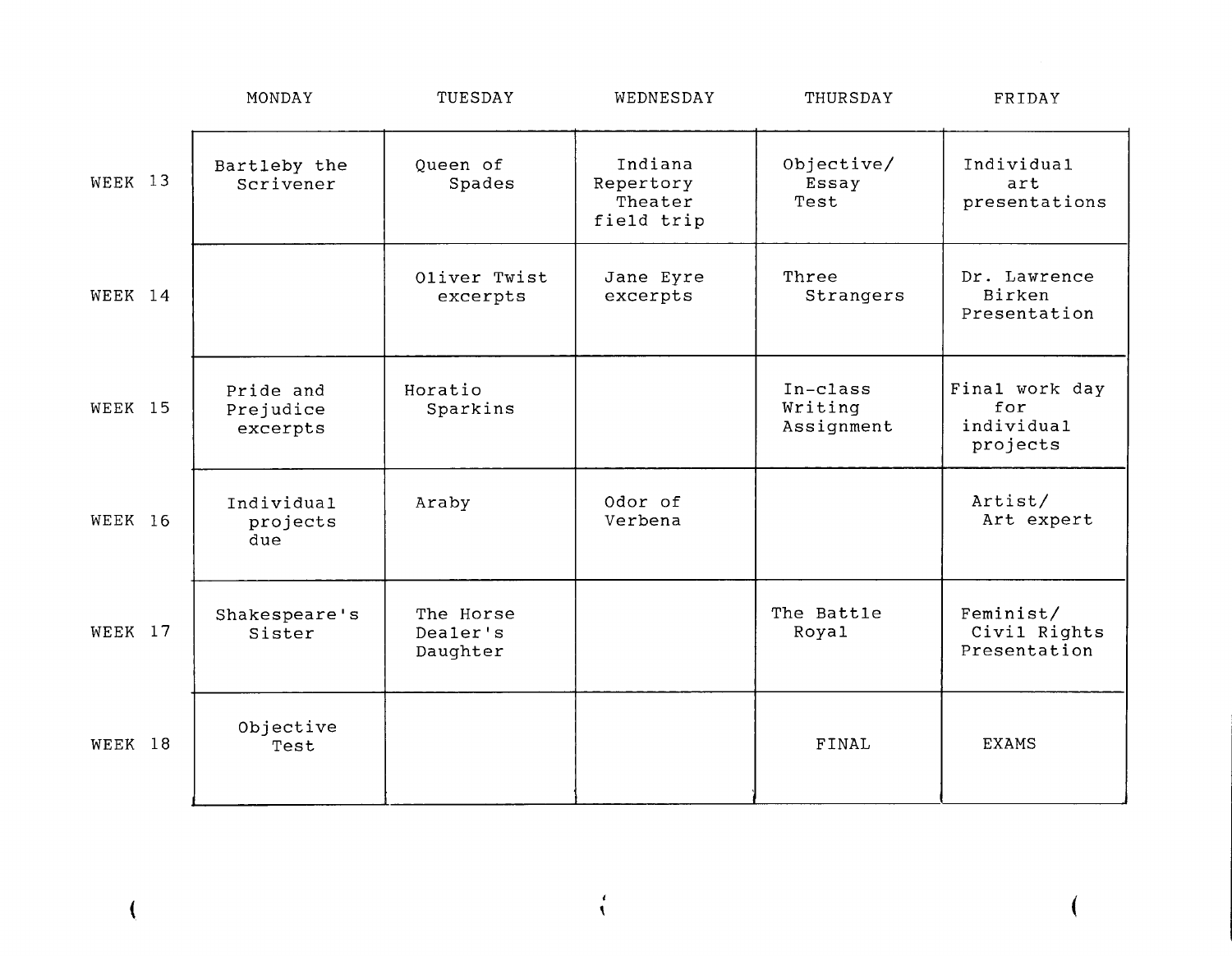|         | MONDAY                             | TUESDAY                           | WEDNESDAY                                     | THURSDAY                          | FRIDAY                                          |
|---------|------------------------------------|-----------------------------------|-----------------------------------------------|-----------------------------------|-------------------------------------------------|
| WEEK 13 | Bartleby the<br>Scrivener          | Queen of<br>Spades                | Indiana<br>Repertory<br>Theater<br>field trip | Objective/<br>Essay<br>Test       | Individual<br>art<br>presentations              |
| WEEK 14 |                                    | Oliver Twist<br>excerpts          | Jane Eyre<br>excerpts                         | Three<br>Strangers                | Dr. Lawrence<br>Birken<br>Presentation          |
| WEEK 15 | Pride and<br>Prejudice<br>excerpts | Horatio<br>Sparkins               |                                               | In-class<br>Writing<br>Assignment | Final work day<br>for<br>individual<br>projects |
| WEEK 16 | Individual<br>projects<br>due      | Araby                             | Odor of<br>Verbena                            |                                   | Artist/<br>Art expert                           |
| WEEK 17 | Shakespeare's<br>Sister            | The Horse<br>Dealer's<br>Daughter |                                               | The Battle<br>Roya1               | Feminist/<br>Civil Rights<br>Presentation       |
| WEEK 18 | Objective<br>Test                  |                                   |                                               | FINAL                             | <b>EXAMS</b>                                    |

*t*   $\frac{1}{\sqrt{2}}$ 

(

(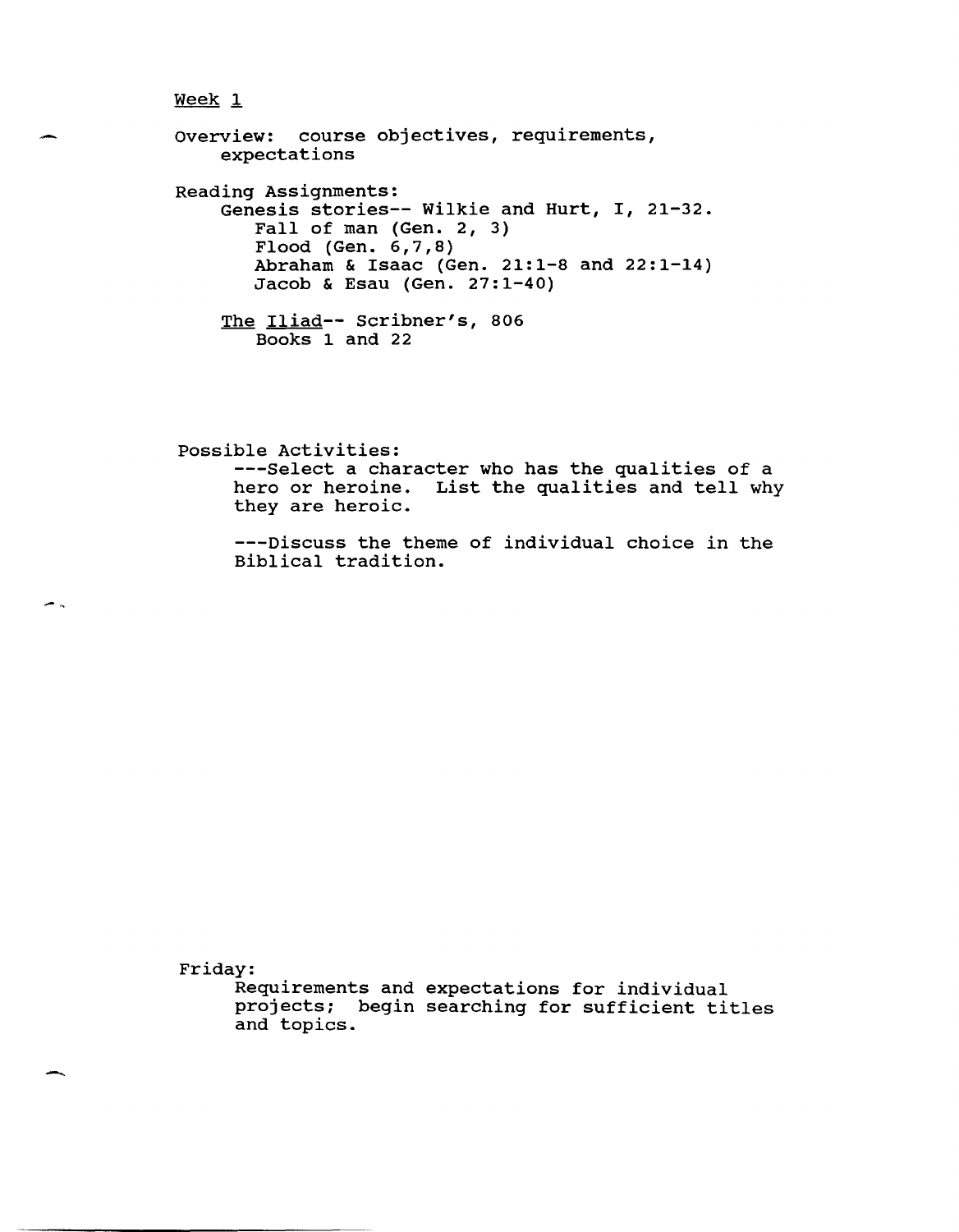overview: course objectives, requirements, expectations Reading Assignments: Genesis stories-- Wilkie and Hurt, I, 21-32. Fall of man (Gen. 2, 3) Flood (Gen. 6,7,8) Abraham & Isaac (Gen. 21:1-8 and 22:1-14) Jacob & Esau (Gen. 27:1-40) The Iliad-- Scribner's, 806 Books 1 and 22

possible Activities: ---Select a character who has the qualities of a hero or heroine. List the qualities and tell why they are heroic.

---Discuss the theme of individual choice in the Biblical tradition.

Friday:

-

÷.

Requirements and expectations for individual projects; begin searching for sufficient titles and topics.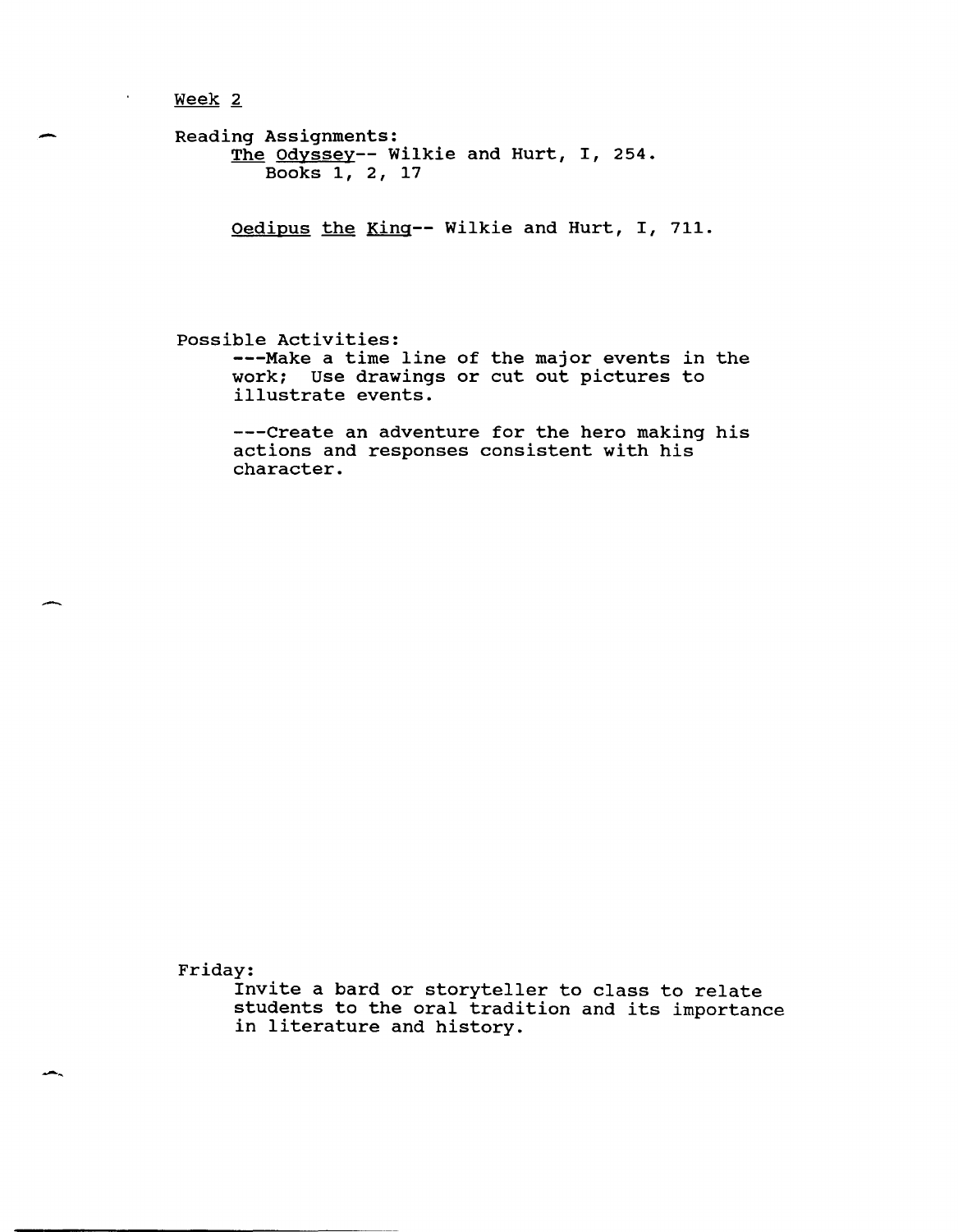Week<sub>2</sub>

 $\hat{\mathbf{r}}$ 

```
Reading Assignments:
    ng hoorg...........<br><u>The Odyssey</u>-- Wilkie and Hurt, I, 254.
         Books 1, 2, 17
```
Oedipus the King-- Wilkie and Hurt, I, 711.

possible Activities: ---Make a time line of the major events in the work; Use drawings or cut out pictures to illustrate events.

---Create an adventure for the hero making his actions and responses consistent with his character.

Friday:

Invite a bard or storyteller to class to relate students to the oral tradition and its importance in literature and history.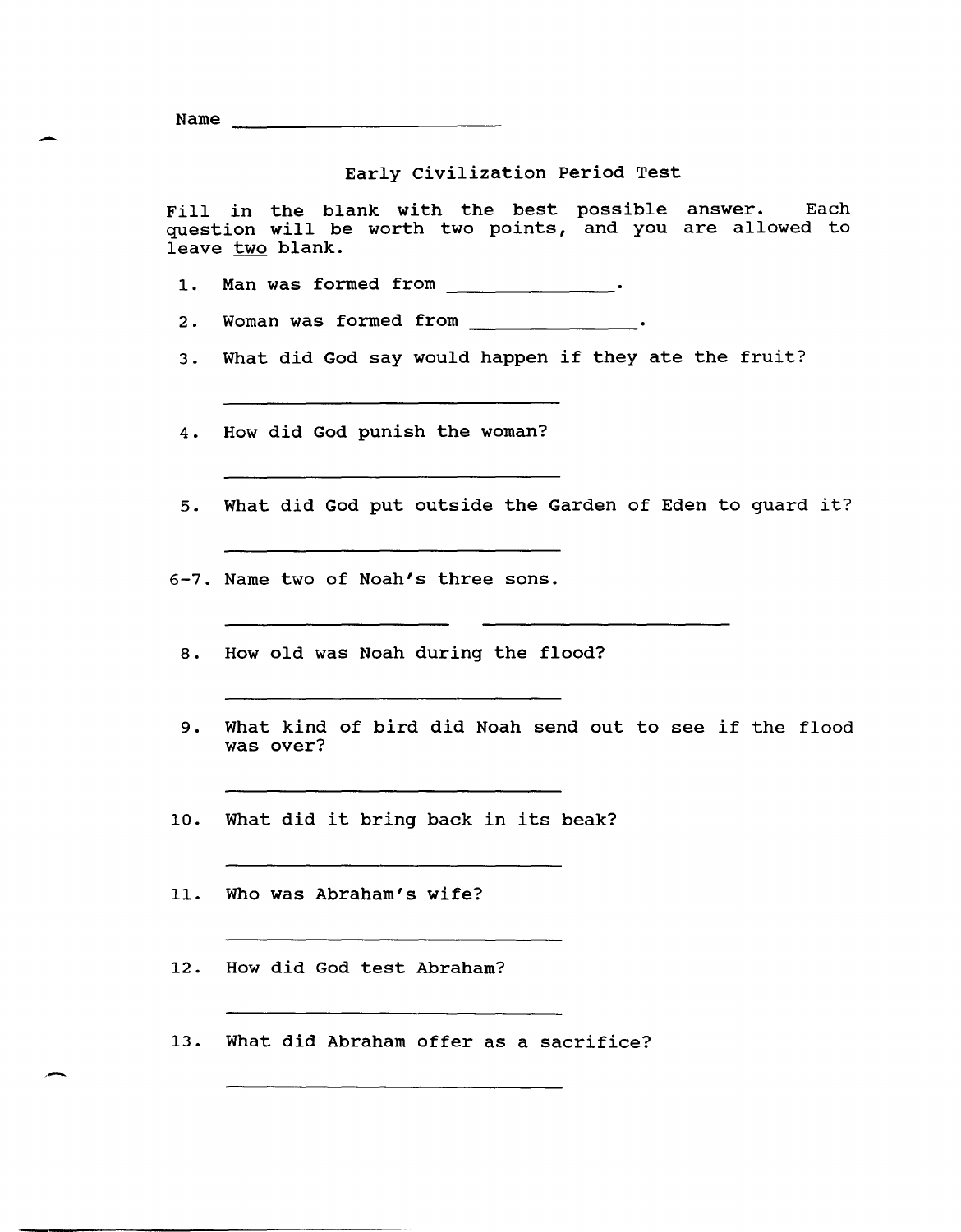- Name

# Early civilization Period Test

Fill in the blank with the best question will be worth two points, leave two blank. possible answer. Each and you are allowed to

- 1. Man was formed from \_\_\_\_\_\_\_\_\_\_\_\_\_\_.
- 2. Woman was formed from \_\_\_\_\_\_\_\_\_\_\_\_\_\_.
- 3. What did God say would happen if they ate the fruit?
- 4. How did God punish the woman?
- 5. What did God put outside the Garden of Eden to guard it?

- 6-7. Name two of Noah's three sons.
	- 8. How old was Noah during the flood?
	- 9. What kind of bird did Noah send out to see if the flood was over?
- 10. What did it bring back in its beak?
- 11. Who was Abraham's wife?
- 12. How did God test Abraham?
- 13. What did Abraham offer as a sacrifice?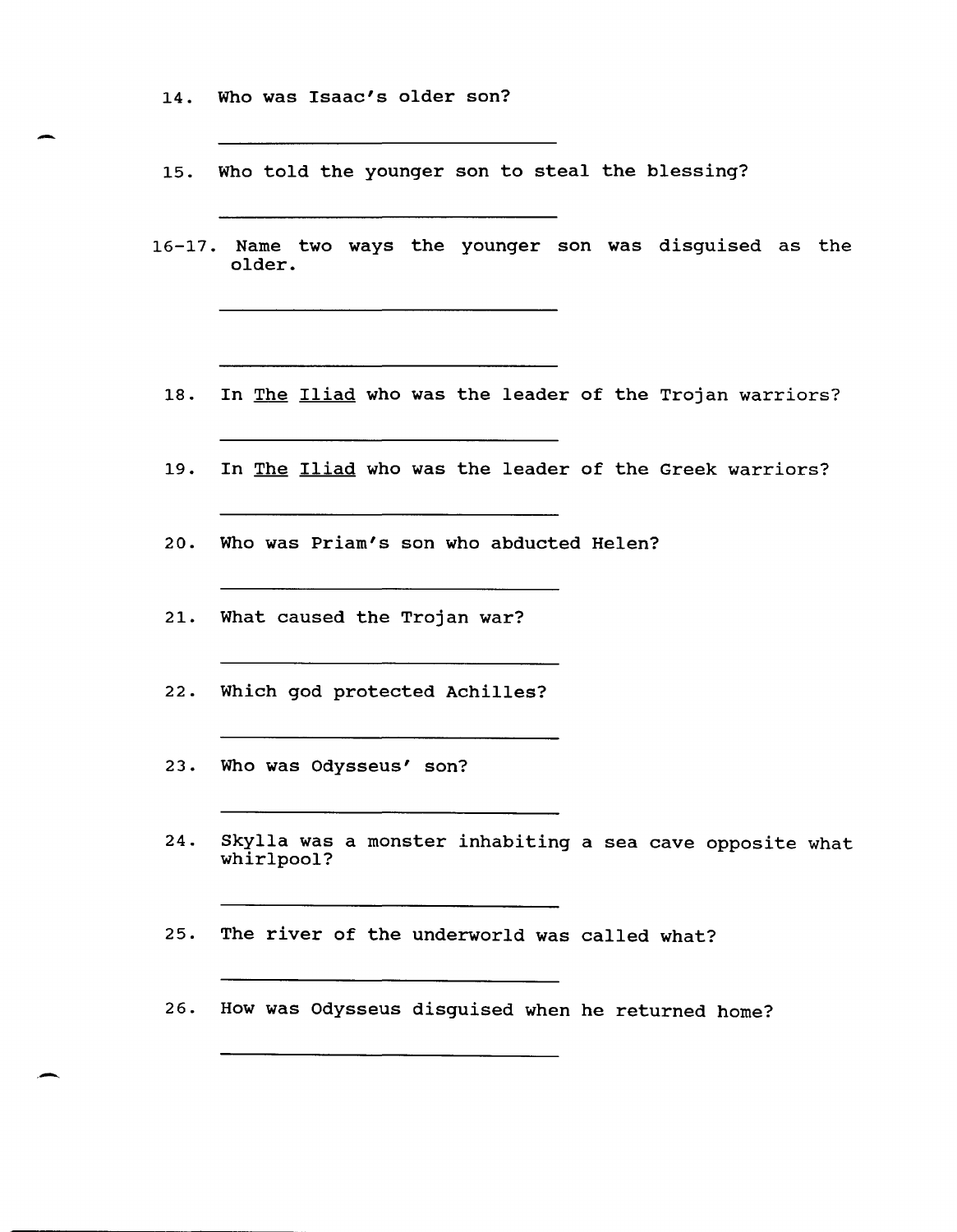14. Who was Isaac's older son?

-

,-

15. Who told the younger son to steal the blessing?

<u> La componenta de la componenta de la componenta de la componenta de la componenta de la componenta de la comp</u>

- 16-17. Name two ways the younger son was disguised as the older.
	- 18. In The Iliad who was the leader of the Trojan warriors?

- 19. In The Iliad who was the leader of the Greek warriors?
- 20. Who was Priam's son who abducted Helen?
- 21. What caused the Trojan war?
- 22. Which god protected Achilles?
- 23. Who was Odysseus' son?
- 24. Skylla was a monster inhabiting a sea cave opposite what whirlpool?

25. The river of the underworld was called what?

<u> 1980 - Johann Marie Barn, mars an t-Amerikaansk ferhandsk kommunist (</u>

26. How was Odysseus disguised when he returned home?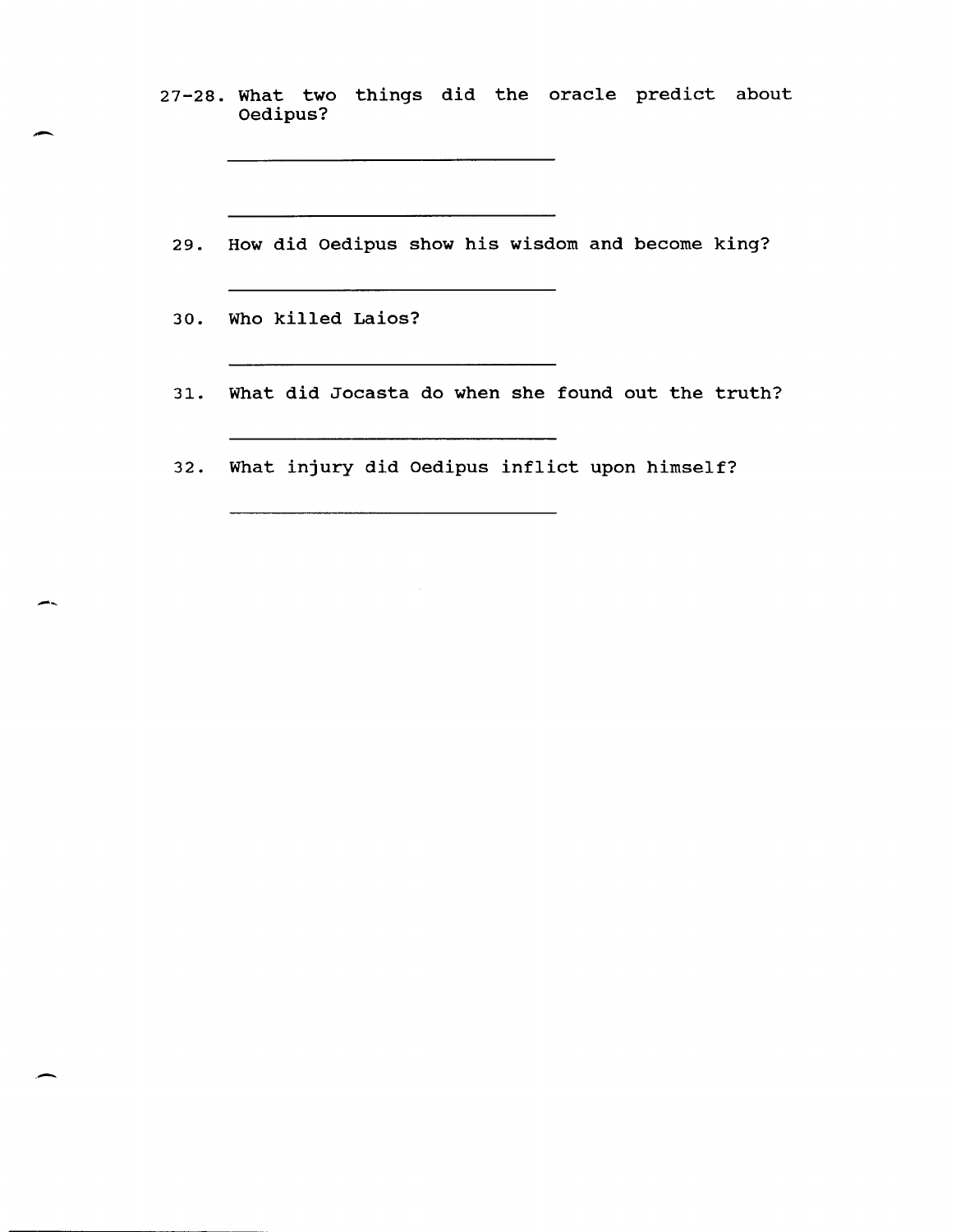27-28. What two things did the oracle predict about Oedipus?

29. How did Oedipus show his wisdom and become king?

30. Who killed Laios?

.-

-~

.-

- 31. What did Jocasta do when she found out the truth?
- 32. What injury did Oedipus inflict upon himself?

<u>. A shirt and a structure of the structure of the structure of the structure of the structure of the structure of the structure of the structure of the structure of the structure of the structure of the structure of the s</u>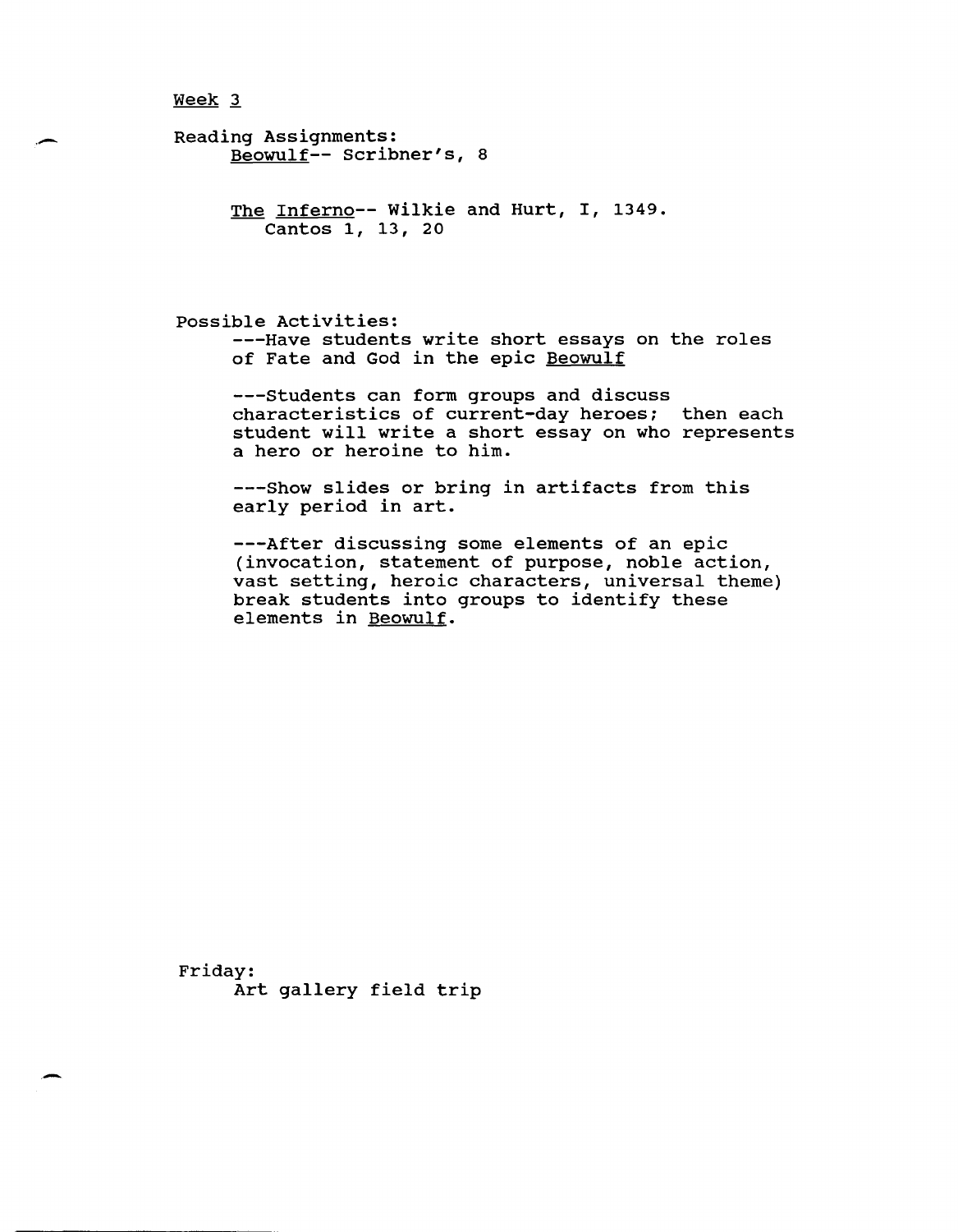.-

-

```
Reading Assignments: 
  Beowulf-- Scribner's, 8
```

```
The Inferno-- Wilkie and Hurt, I, 1349.
Cantos 1, 13, 20
```
possible Activities: ---Have students write short essays on the roles of Fate and God in the epic Beowulf

---Students can form groups and discuss characteristics of current-day heroes; then each student will write a short essay on who represents a hero or heroine to him.

---Show slides or bring in artifacts from this early period in art.

---After discussing some elements of an epic (invocation, statement of purpose, noble action, vast setting, heroic characters, universal theme) break students into groups to identify these elements in Beowulf.

Friday: Art gallery field trip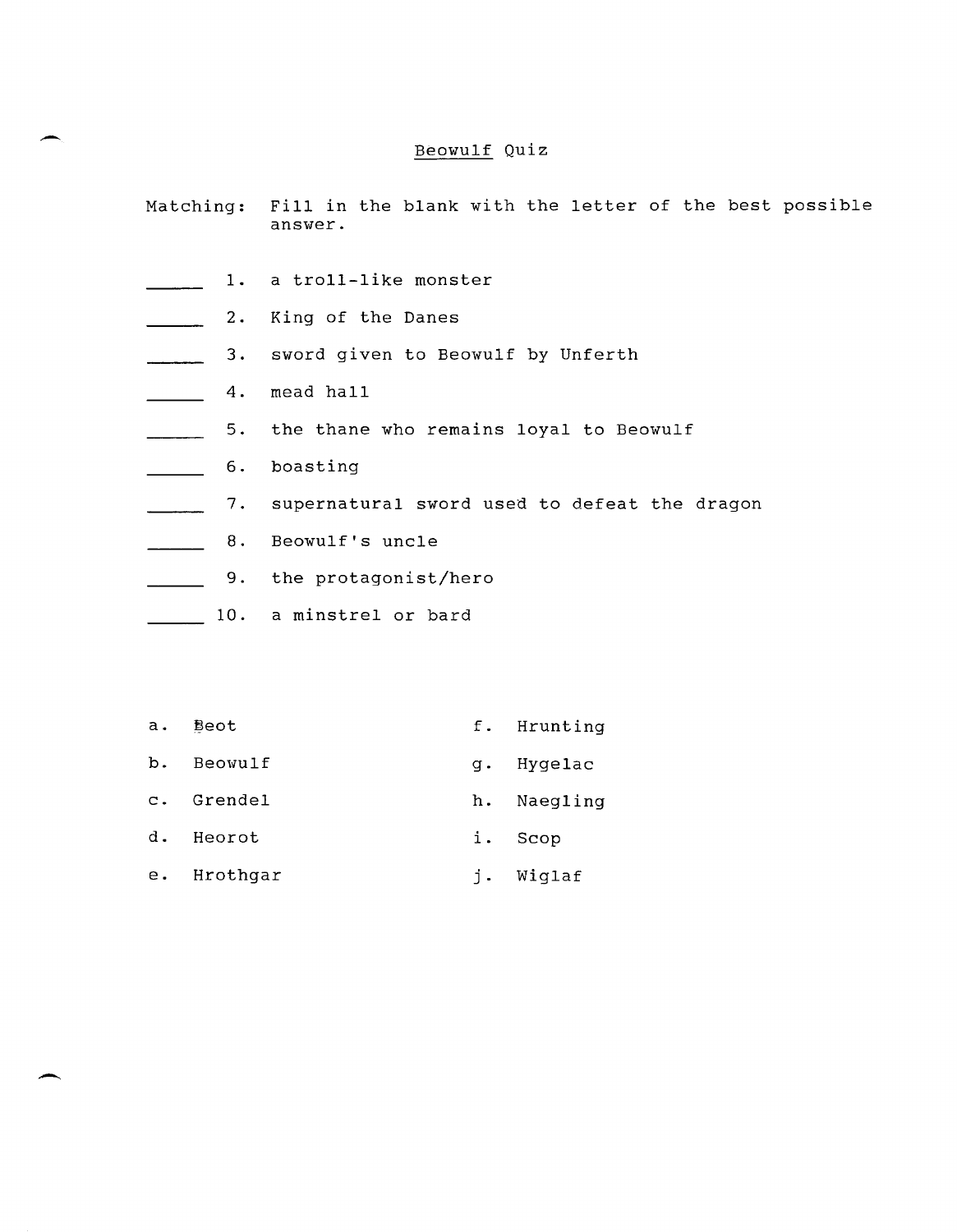# Beowulf Quiz

- Matching: Fill in the blank with the letter of the best possible answer.
- 1. a troll-like monster التاريخ المتأثر
- 2. King of the Danes  $\mathcal{L} = \mathcal{L}$
- 3. sword given to Beowulf by Unferth  $\sim$
- $\mathcal{L}^{\text{max}}$ 4. mead hall

-

 $\overline{\phantom{0}}$ 

- 5. the thane who remains loyal to Beowulf  $\overline{\phantom{a}}$
- 6. boasting  $\mathcal{L}(\mathcal{L})$
- 7. supernatural sword used to defeat the dragon  $\mathbf{r}$
- 8. Beowulf's uncle  $\frac{1}{2}$
- 9. the protagonist/hero  $\mathbb{R}^n$
- 10. a minstrel or bard
- a. **Beot** f. Hrunting b. Beowulf g. Hygelac c. Grendel h. Naegling d. Heorot i. Seop
- e. Hrothgar  $j$ . Wiglaf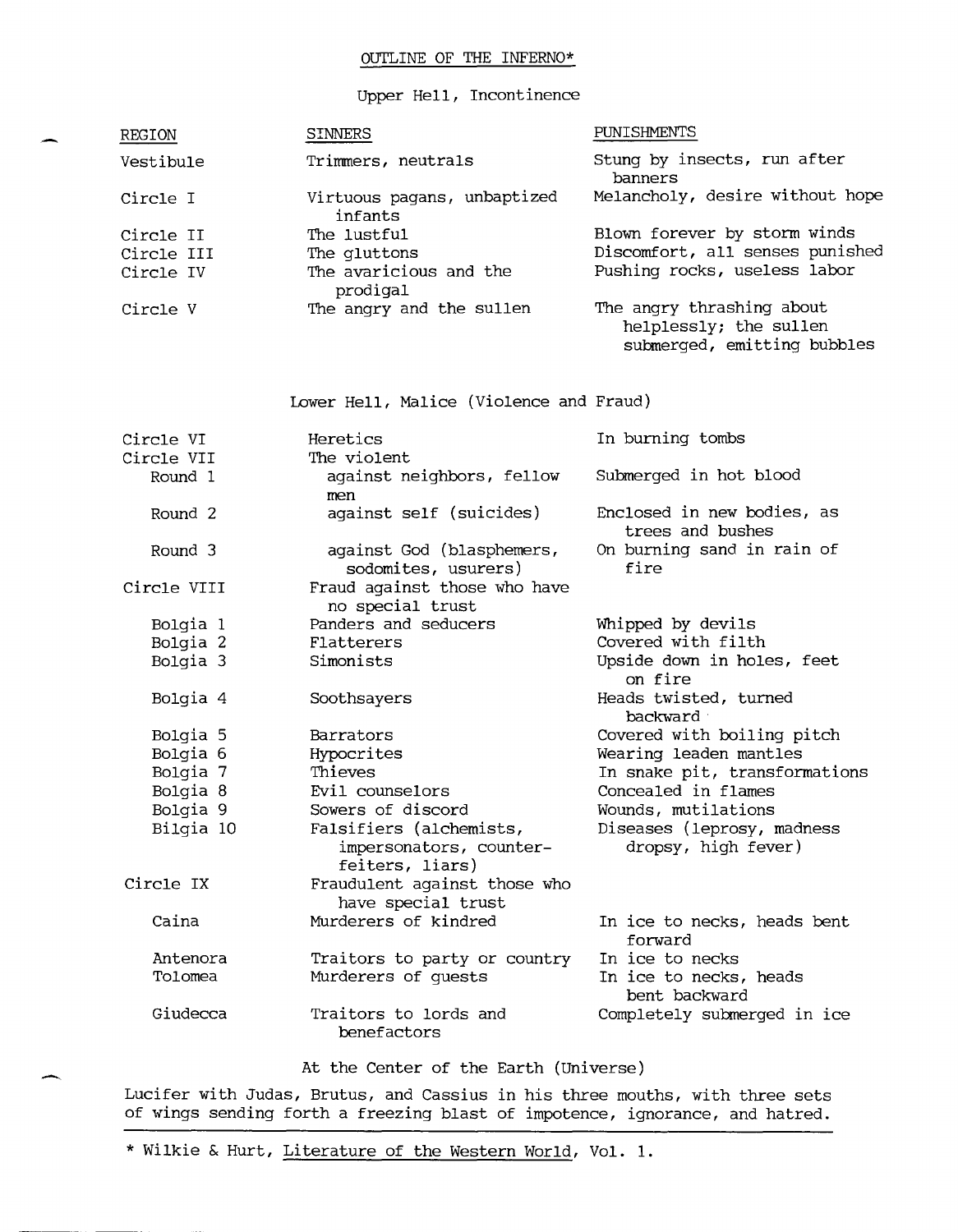# OUTLINE OF THE INFERNO\*

### Upper Hell, Incontinence

| REGION     | <b>SINNERS</b>                         | PUNISHMENTS                                                                        |
|------------|----------------------------------------|------------------------------------------------------------------------------------|
| Vestibule  | Trimmers, neutrals                     | Stung by insects, run after<br>banners                                             |
| Circle I   | Virtuous pagans, unbaptized<br>infants | Melancholy, desire without hope                                                    |
| Circle II  | The lustful                            | Blown forever by storm winds                                                       |
| Circle III | The qluttons                           | Discomfort, all senses punished                                                    |
| Circle IV  | The avaricious and the<br>prodigal     | Pushing rocks, useless labor                                                       |
| Circle V   | The angry and the sullen               | The angry thrashing about<br>helplessly; the sullen<br>submerged, emitting bubbles |

Lower Hell, Malice (Violence and Fraud)

| Circle VI          | Heretics                                                              | In burning tombs                                  |
|--------------------|-----------------------------------------------------------------------|---------------------------------------------------|
| Circle VII         | The violent                                                           |                                                   |
| Round 1            | against neighbors, fellow<br>men                                      | Submerged in hot blood                            |
| Round <sub>2</sub> | against self (suicides)                                               | Enclosed in new bodies, as<br>trees and bushes    |
| Round 3            | against God (blasphemers,<br>sodomites, usurers)                      | On burning sand in rain of<br>fire                |
| Circle VIII        | Fraud against those who have<br>no special trust                      |                                                   |
| Bolgia 1           | Panders and seducers                                                  | Whipped by devils                                 |
| Bolgia 2           | Flatterers                                                            | Covered with filth                                |
| Bolgia 3           | Simonists                                                             | Upside down in holes, feet<br>on fire             |
| Bolgia 4           | Soothsayers                                                           | Heads twisted, turned<br>backward                 |
| Bolgia 5           | Barrators                                                             | Covered with boiling pitch                        |
| Bolgia 6           | Hypocrites                                                            | Wearing leaden mantles                            |
| Bolgia 7           | Thieves                                                               | In snake pit, transformations                     |
| Bolgia 8           | Evil counselors                                                       | Concealed in flames                               |
| Bolgia 9           | Sowers of discord                                                     | Wounds, mutilations                               |
| Bilgia 10          | Falsifiers (alchemists,<br>impersonators, counter-<br>feiters, liars) | Diseases (leprosy, madness<br>dropsy, high fever) |
| Circle IX          | Fraudulent against those who<br>have special trust                    |                                                   |
| Caina              | Murderers of kindred                                                  | In ice to necks, heads bent<br>forward            |
| Antenora           | Traitors to party or country                                          | In ice to necks                                   |
| Tolomea            | Murderers of guests                                                   | In ice to necks, heads<br>bent backward           |
| Giudecca           | Traitors to lords and<br>benefactors                                  | Completely submerged in ice                       |

At the Center of the Earth (Universe)

Lucifer with Judas, Brutus, and Cassius in his three mouths, with three sets of wings sending forth a freezing blast of impotence, ignorance, and hatred.

\* Wilkie & Hurt, Literature of the Western World, Vol. **1.**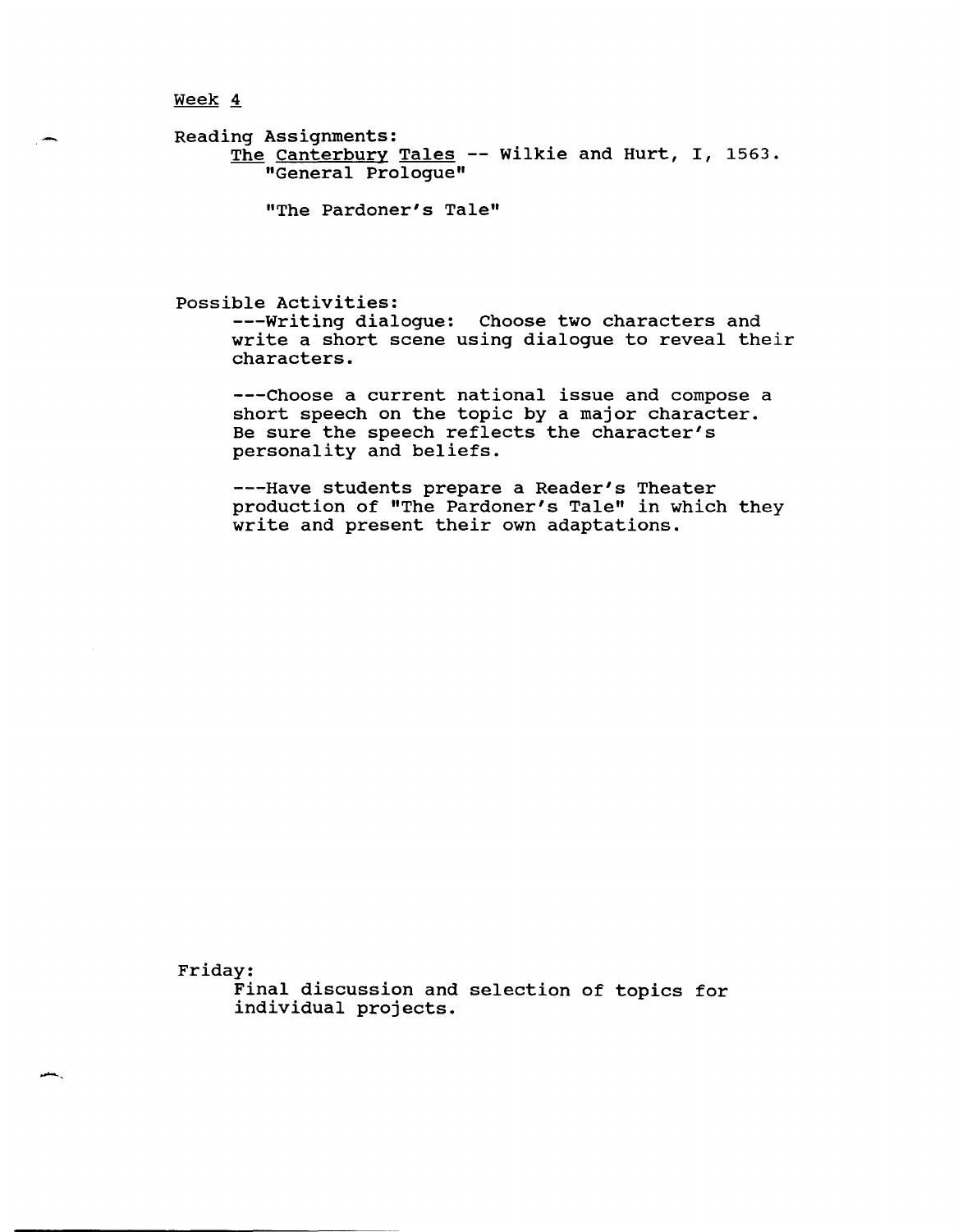Reading Assignments: ng noorgnmenco.<br><u>The Canterbury Tales</u> -- Wilkie and Hurt, I, 1563. "General Prologue"

"The Pardoner's Tale"

possible Activities:

---Writing dialogue: Choose two characters and write a short scene using dialogue to reveal their characters.

---Choose a current national issue and compose a short speech on the topic by a major character. Be sure the speech reflects the character's personality and beliefs.

---Have students prepare a Reader's Theater production of "The Pardoner's Tale" in which they write and present their own adaptations.

Friday:

Final discussion and selection of topics for individual projects.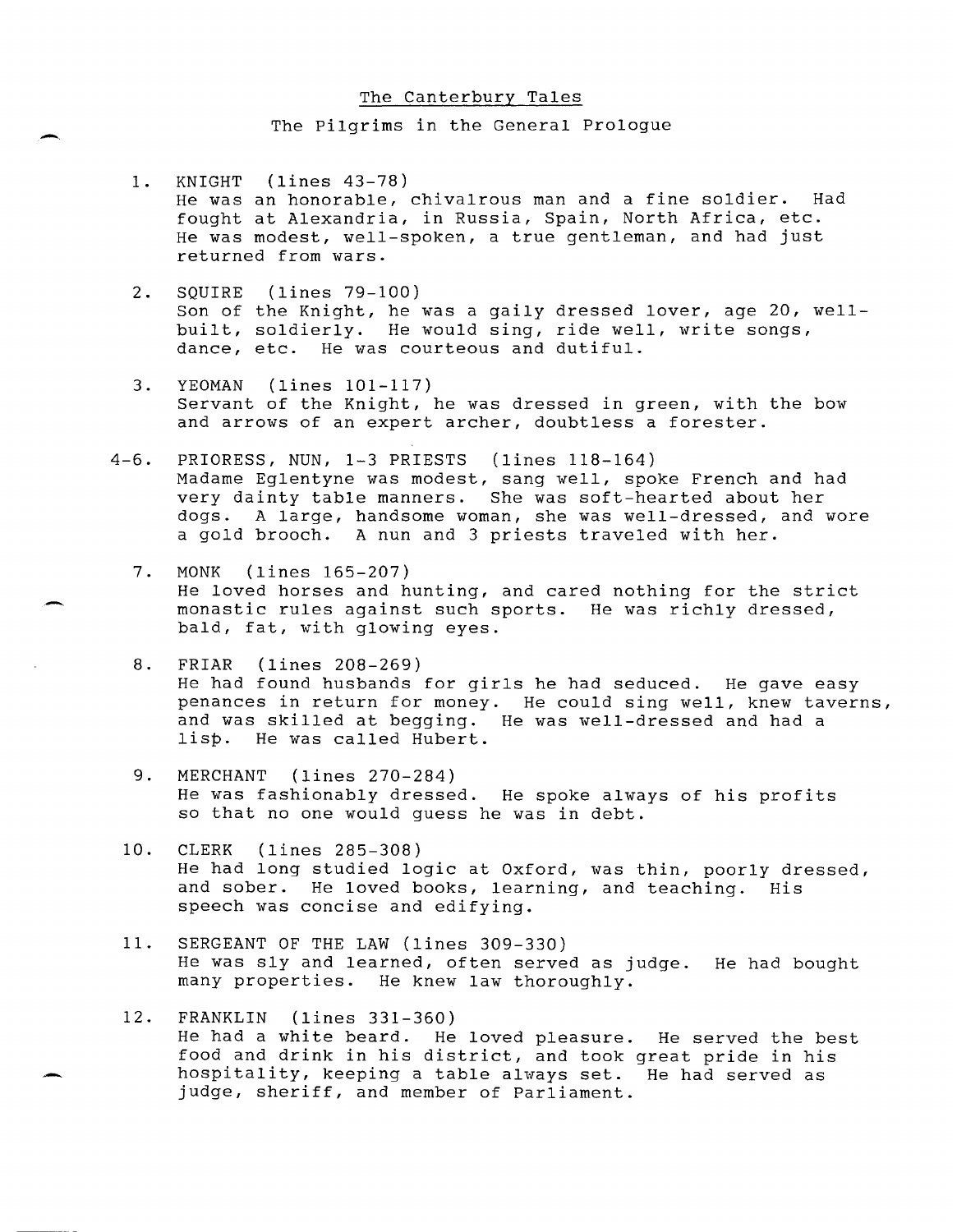### The Canterbury Tales

The Pilgrims in the General Prologue

- 1. KNIGHT (lines 43-78) He was an honorable, chivalrous man and a fine soldier. Had fought at Alexandria, in Russia, Spain, North Africa, etc. He was modest, well-spoken, a true gentleman, and had just returned from wars.
- 2. SQUIRE (lines 79-100) Son of the Knight, he was a gaily dressed lover, age 20, wellbuilt, soldierly. He would sing, ride well, write songs, dance, etc. He was courteous and dutiful.
- 3. YEOMAN (lines 101-117) Servant of the Knight, he was dressed in green, with the bow and arrows of an expert archer, doubtless a forester.
- 4-6. PRIORESS, NUN, 1-3 PRIESTS (lines 118-164) Madame Eglentyne was modest, sang well, spoke French and had very dainty table manners. She was soft-hearted about her dogs. A large, handsome woman, she was well-dressed, and wore a gold brooch. A nun and 3 priests traveled with her.
	- 7. MONK (lines 165-207) He loved horses and hunting, and cared nothing for the strict monastic rules against such sports. He was richly dressed, bald, fat, with glowing eyes.
	- 8. FRIAR (lines 208-269) He had found husbands for girls he had seduced. He gave easy penances in return for money. He could sing well, knew taverns, and was skilled at begging. He was well-dressed and had a lisp. He was called Hubert.
	- 9. MERCHANT (lines 270-284) He was fashionably dressed. He spoke always of his profits so that no one would guess he was in debt.
	- 10. CLERK (lines 285-308) He had long studied logic at Oxford, was thin, poorly dressed, and sober. He loved books, learning, and teaching. His speech was concise and edifying.
	- 11. SERGEANT OF THE LAW (lines 309-330) He was sly and learned, often served as judge. He had bought many properties. He knew law thoroughly.
	- 12. FRANKLIN (lines 331-360) He had a white beard. He loved pleasure. He served the best food and drink in his district, and took great pride in his hospitality, keeping a table always set. He had served as judge, sheriff, and member of Parliament.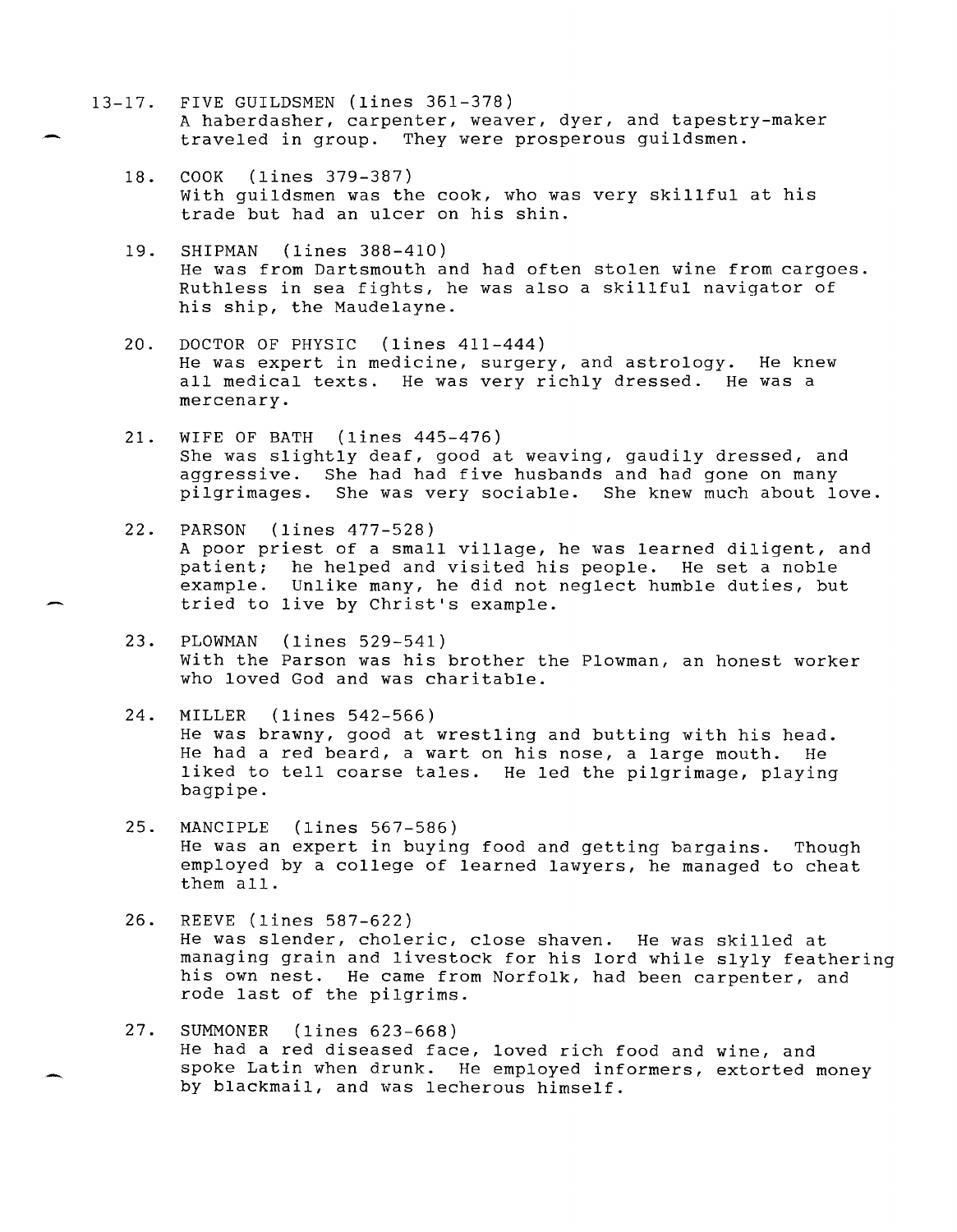- 13-17. FIVE GUILDSMEN (lines 361-378) A haberdasher, carpenter, weaver, dyer, and tapestry-maker traveled in group. They were prosperous guildsmen.
	- 18. COOK (lines 379-387) with guildsmen was the cook, who was very skillful at his trade but had an ulcer on his shin.
	- 19. SHIPMAN (lines 388-410) He was from Dartsmouth and had often stolen wine from cargoes. Ruthless in sea fights, he was also a skillful navigator of his ship, the Maudelayne.
	- 20. DOCTOR OF PHYSIC (lines 411-444) He was expert in medicine, surgery, and astrology. He knew all medical texts. He was very richly dressed. He was a mercenary.
	- 21. WIFE OF BATH (lines 445-476) She was slightly deaf, good at weaving, gaudily dressed, and aggressive. She had had five husbands and had gone on many pilgrimages. She was very sociable. She knew much about love.
	- 22. PARSON (lines 477-528) A poor priest of a small village, he was learned diligent, and patient; he helped and visited his people. He set a noble example. Unlike many, he did not neglect humble duties, but tried to live by Christ's example.
	- 23. PLOWMAN (lines 529-541) with the Parson was his brother the Plowman, an honest worker who loved God and was charitable.
	- 24. MILLER (lines 542-566) He was brawny, good at wrestling and butting with his head. He had a red beard, a wart on his nose, a large mouth. He liked to tell coarse tales. He led the pilgrimage, playing bagpipe.
	- 25. MANCIPLE (lines 567-586) He was an expert in buying food and getting bargains. Though employed by a college of learned lawyers, he managed to cheat them all.
	- 26. REEVE (lines 587-622) He was slender, choleric, close shaven. He was skilled at managing grain and livestock for his lord while slyly feathering his own nest. He came from Norfolk, had been carpenter, and rode last of the pilgrims.
	- 27. SUMMONER (lines 623-668) He had a red diseased face, loved rich food and wine, and spoke Latin when drunk. He employed informers, extorted money by blackmail, and was lecherous himself.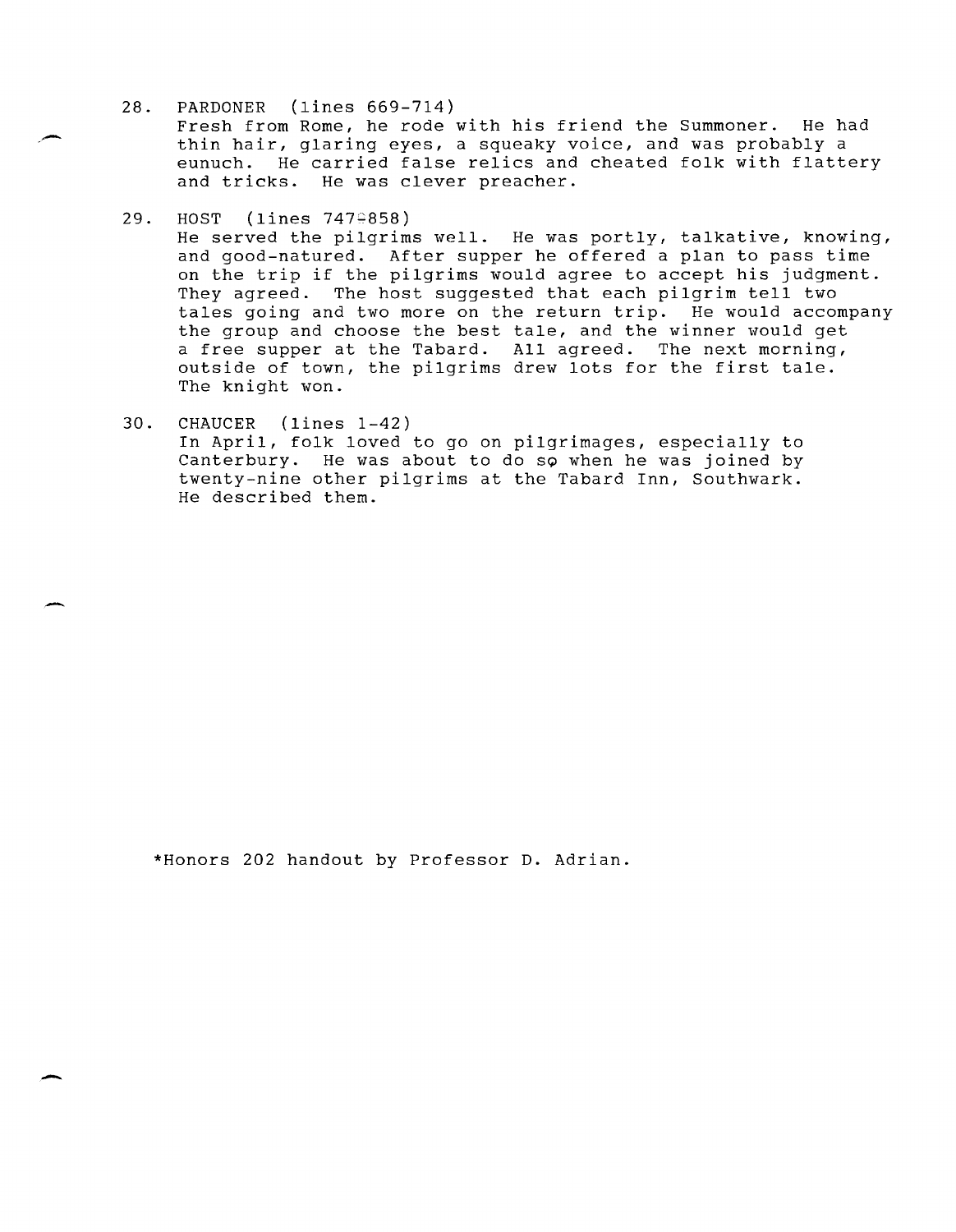28. PARDONER (lines 669-714)

Fresh from Rome, he rode with his friend the Summoner. He had thin hair, glaring eyes, a squeaky voice, and was probably a eunuch. He carried false relics and cheated folk with flattery and tricks. He was clever preacher.

29. HOST (lines 7470858)

He served the pilgrims well. He was portly, talkative, knowing, and good-natured. After supper he offered a plan to pass time on the trip if the pilgrims would agree to accept his judgment. They agreed. The host suggested that each pilgrim tell two tales going and two more on the return trip. He would accompany the group and choose the best tale, and the winner would get a free supper at the Tabard. All agreed. The next morning, outside of town, the pilgrims drew lots for the first tale. The knight won.

30. CHAUCER (lines 1-42) In April, folk loved to go on pilgrimages, especially to Canterbury. He was about to do so when he was joined by twenty-nine other pilgrims at the Tabard Inn, Southwark. He described them.

\*Honors 202 handout by Professor D. Adrian.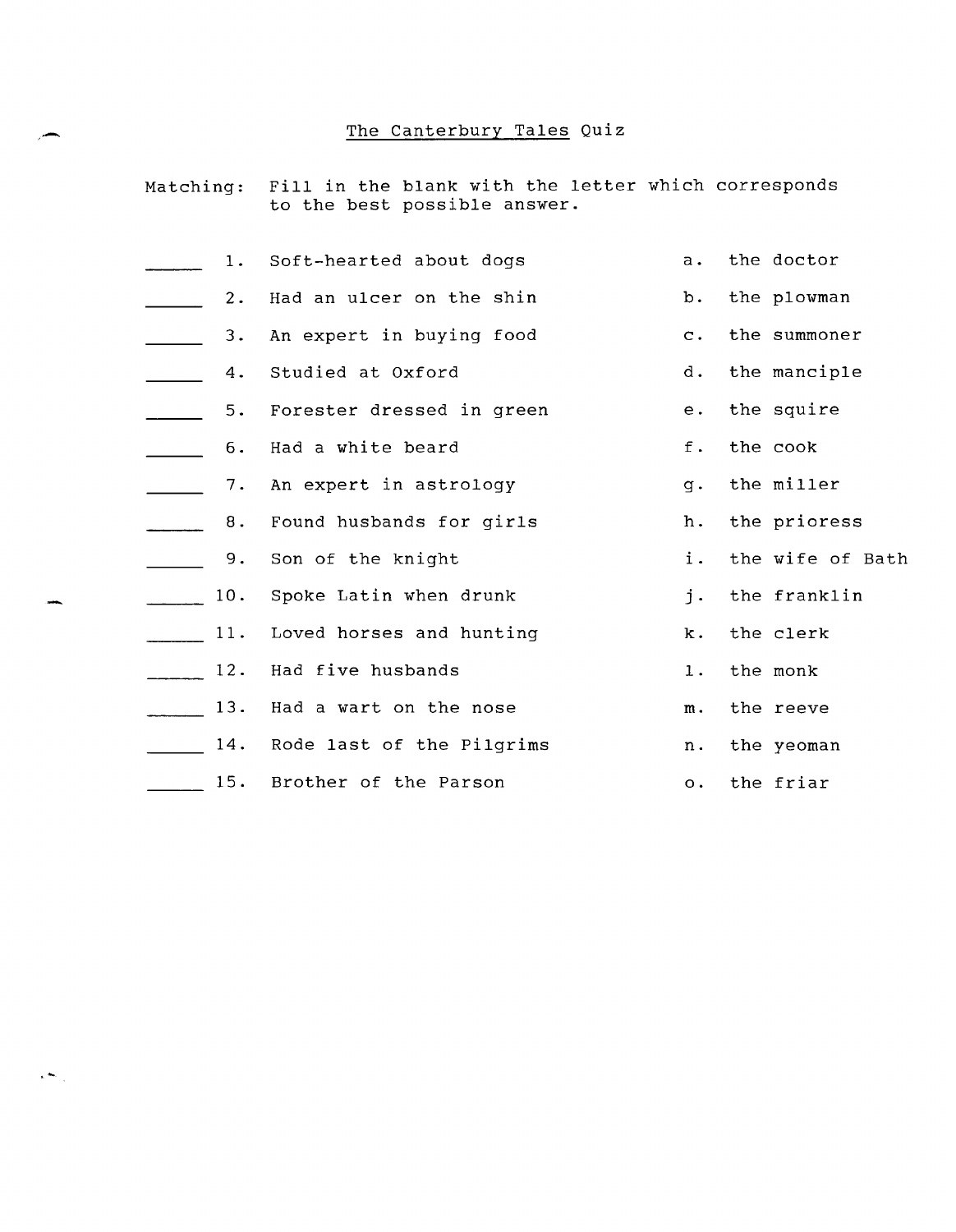# The Canterbury Tales Quiz

|  |  |                              |  |  | Matching: Fill in the blank with the letter which corresponds |
|--|--|------------------------------|--|--|---------------------------------------------------------------|
|  |  | to the best possible answer. |  |  |                                                               |

| 1.    | Soft-hearted about dogs   | a.             | the doctor       |
|-------|---------------------------|----------------|------------------|
| $2$ . | Had an ulcer on the shin  | b.             | the plowman      |
| 3.    | An expert in buying food  | $\mathbf{C}$ . | the summoner     |
| 4.    | Studied at Oxford         | d.             | the manciple     |
| 5.    | Forester dressed in green | $e$ .          | the squire       |
| 6.    | Had a white beard         | f.             | the cook         |
| 7.    | An expert in astrology    | $q$ .          | the miller       |
| 8.    | Found husbands for girls  | h.             | the prioress     |
| 9.    | Son of the knight         | i.             | the wife of Bath |
| 10.   | Spoke Latin when drunk    | i.             | the franklin     |
| 11.   | Loved horses and hunting  | k.             | the clerk        |
| 12.   | Had five husbands         | $\mathbf 1$ .  | the monk         |
| 13.   | Had a wart on the nose    | m.             | the reeve        |
| 14.   | Rode last of the Pilgrims | n.             | the yeoman       |
| 15.   | Brother of the Parson     | $\circ$ .      | the friar        |

,  $\leftarrow$  ,  $\leftarrow$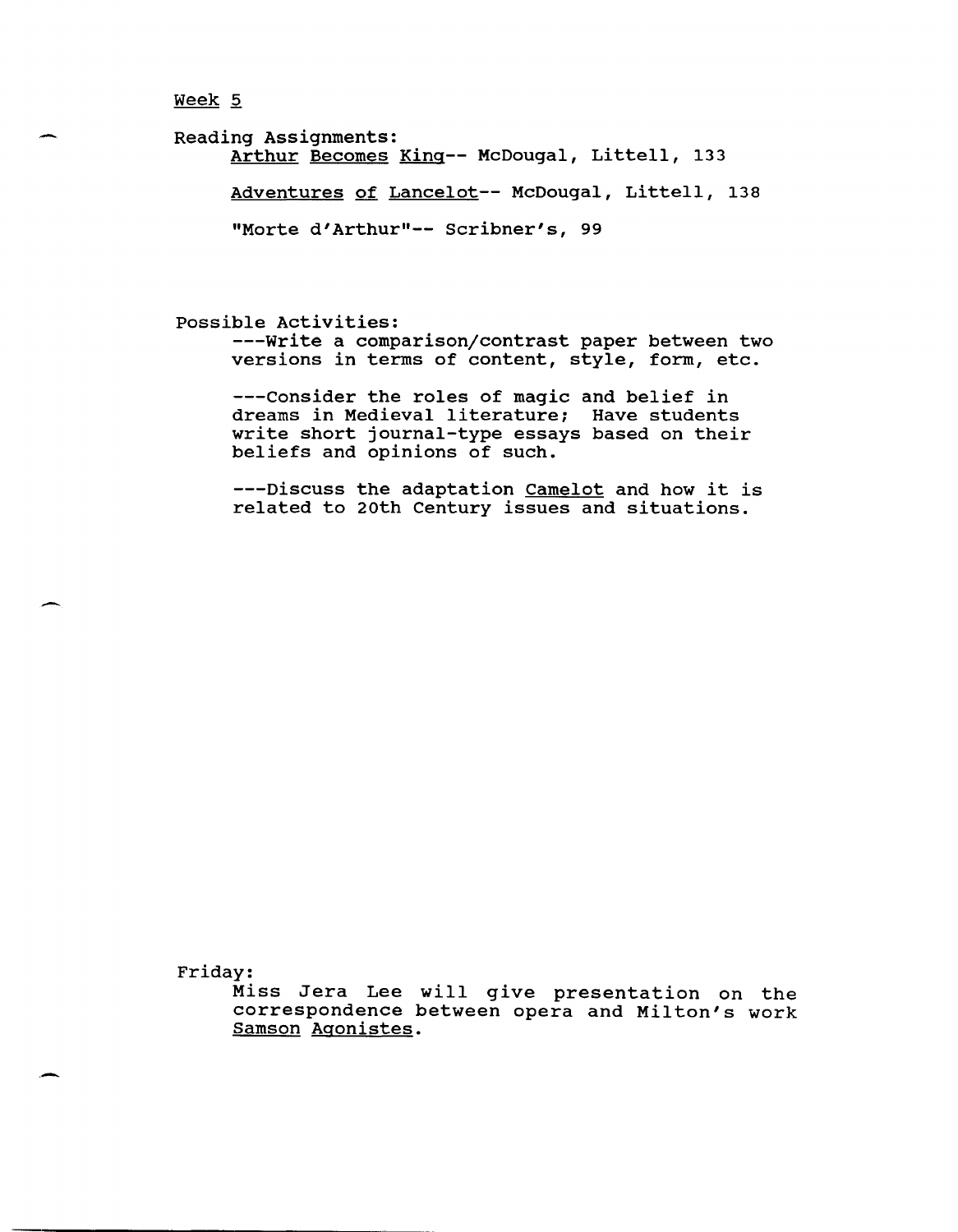#### $Week 5$ </u>

-

-

Reading Assignments: Arthur Becomes King-- McDougal, Littell, 133 Adventures of Lancelot-- McDougal, Littell, 138 "Morte d'Arthur"-- Scribner's, 99

possible Activities:

---write a comparison/contrast paper between two versions in terms of content, style, form, etc.

---consider the roles of magic and belief in dreams in Medieval literature; Have students write short journal-type essays based on their beliefs and opinions of such.

---Discuss the adaptation Camelot and how it is related to 20th Century issues and situations.

Friday:

Miss Jera Lee will give presentation on the correspondence between opera and Milton's work Samson Agonistes.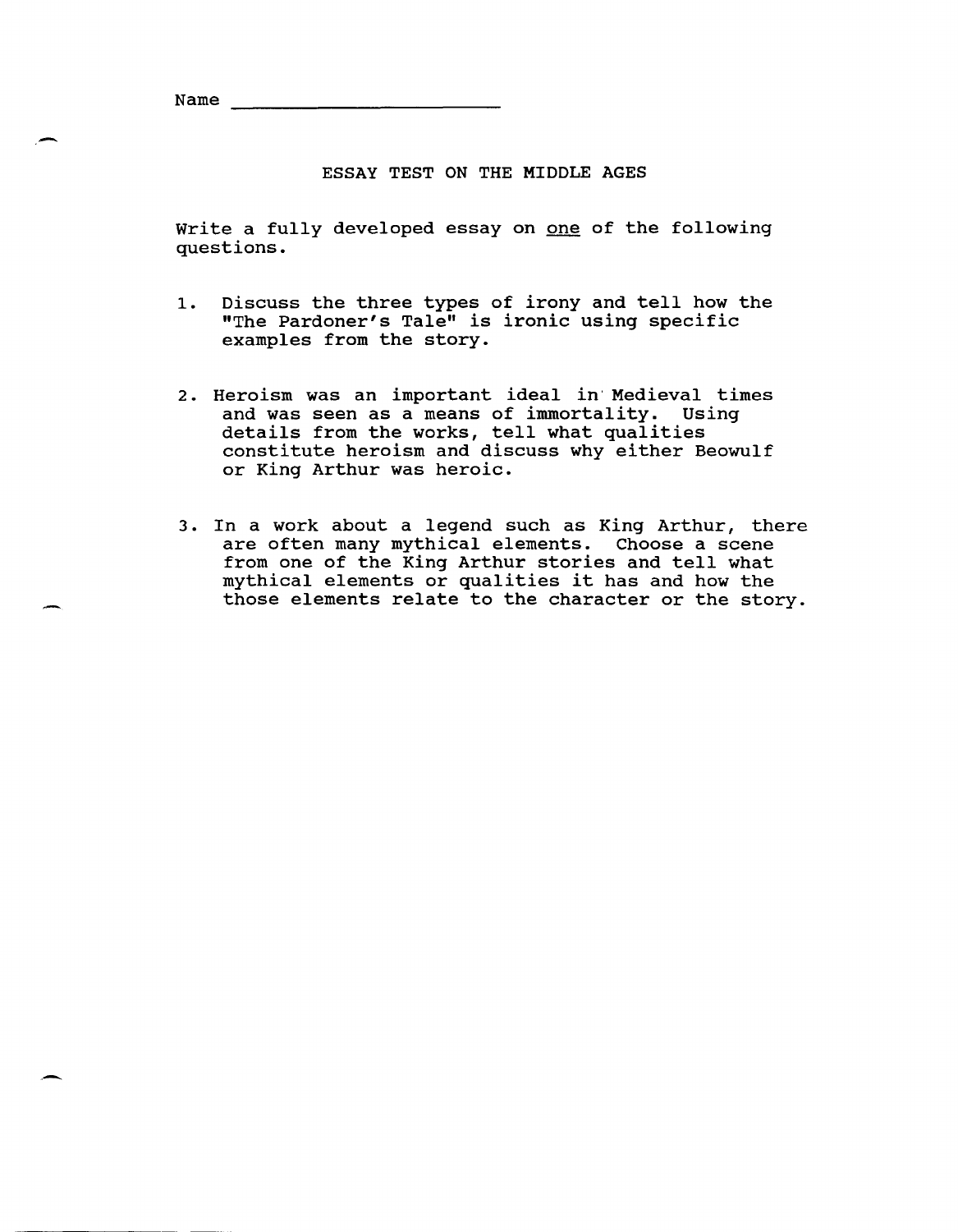Name

### ESSAY TEST ON THE MIDDLE AGES

Write a fully developed essay on one of the following questions.

- 1. Discuss the three types of irony and tell how the "The Pardoner's Tale" is ironic using specific examples from the story.
- 2. Heroism was an important ideal in'Medieval times and was seen as a means of immortality. Using details from the works, tell what qualities constitute heroism and discuss why either Beowulf or King Arthur was heroic.
- 3. In a work about a legend such as King Arthur, there are often many mythical elements. Choose a scene from one of the King Arthur stories and tell what mythical elements or qualities it has and how the those elements relate to the character or the story.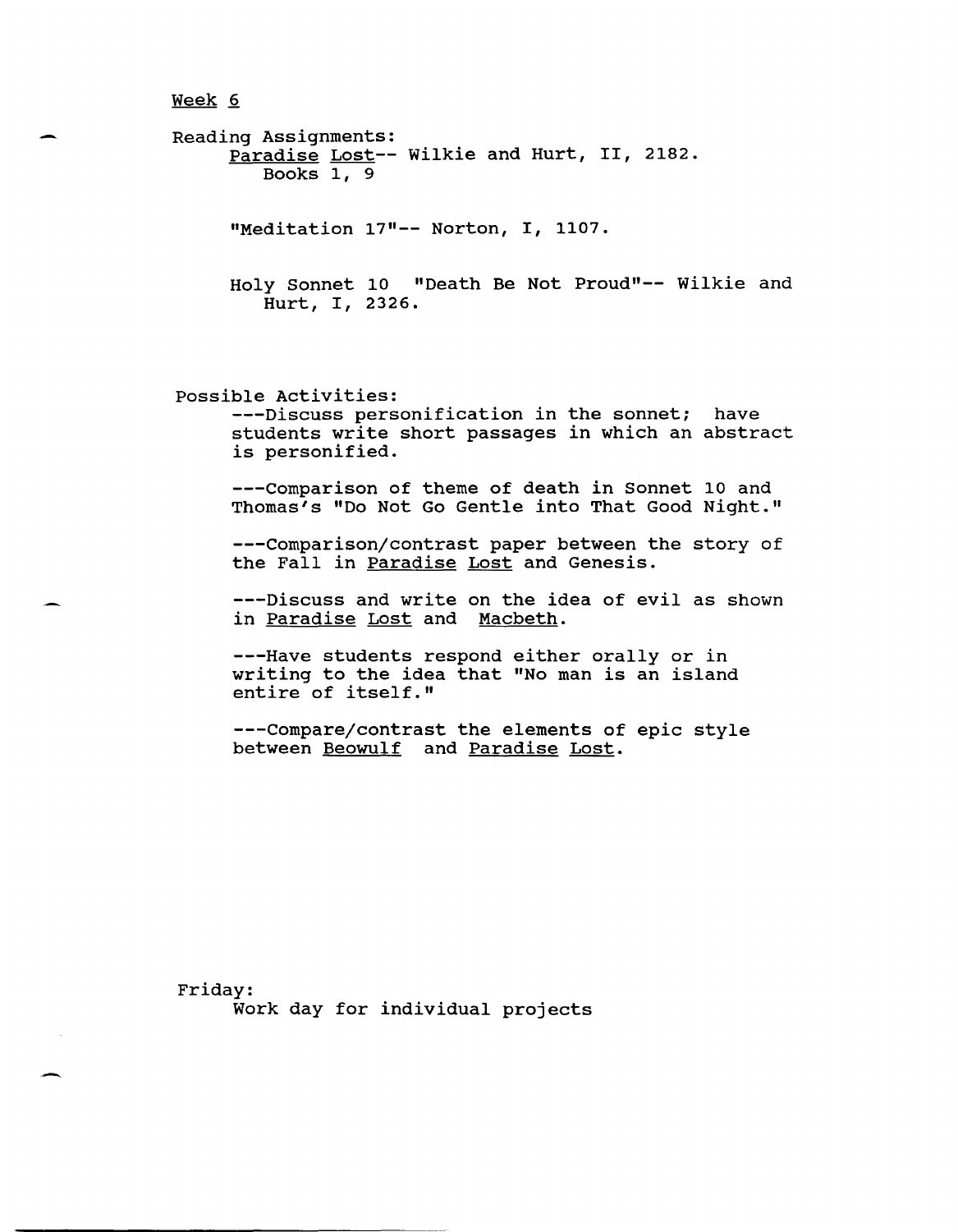Reading Assignments: Paradise Lost-- Wilkie and Hurt, II, 2182. Books 1, 9 "Meditation 17"-- Norton, I, 1107. Holy Sonnet 10 "Death Be Not Proud"-- Wilkie and Hurt, I, 2326. possible Activities: ---Discuss personification in the sonnet; have students write short passages in which an abstract is personified. ---Comparison of theme of death in Sonnet 10 and Thomas's "Do Not Go Gentle into That Good Night." ---Comparison/contrast paper between the story of the Fall in Paradise Lost and Genesis.

---Discuss and write on the idea of evil as shown in Paradise Lost and Macbeth.

---Have students respond either orally or in writing to the idea that "No man is an island entire of itself."

---Compare/contrast the elements of epic style between Beowulf and Paradise Lost.

Friday: Work day for individual projects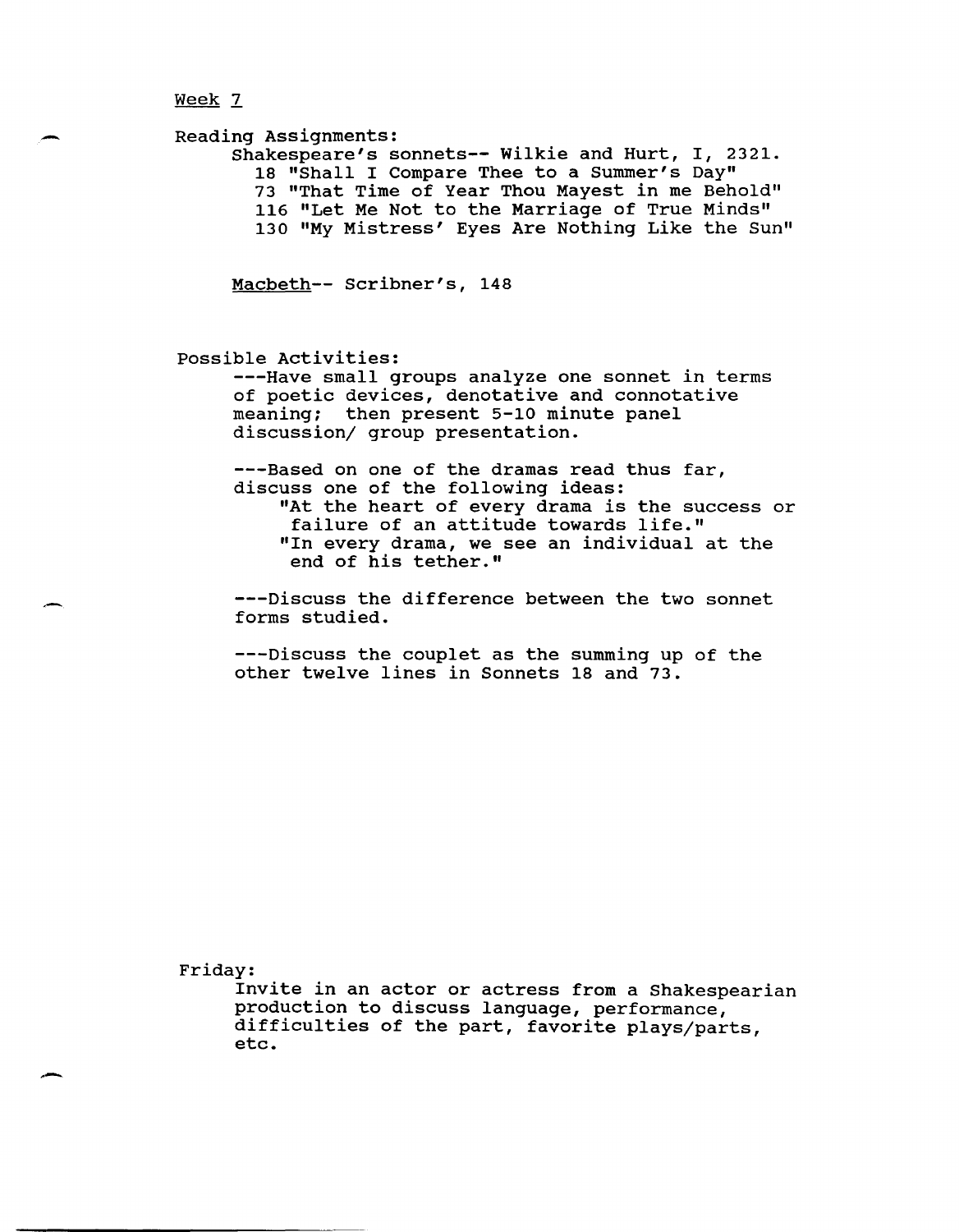--

Reading Assignments: Shakespeare's sonnets-- Wilkie and Hurt, I, 2321. 18 "Shall I Compare Thee to a Summer's Day" 73 "That Time of Year Thou Mayest in me Behold" 116 "Let Me Not to the Marriage of True Minds" 130 "My Mistress' Eyes Are Nothing Like the Sun"

Macbeth-- Scribner's, 148

possible Activities:

---Have small groups analyze one sonnet in terms of poetic devices, denotative and connotative meaning; then present 5-10 minute panel discussion/ group presentation.

---Based on one of the dramas read thus far, discuss one of the following ideas: "At the heart of every drama is the success or failure of an attitude towards life." "In every drama, we see an individual at the end of his tether."

---Discuss the difference between the two sonnet forms studied.

---Discuss the couplet as the summing up of the other twelve lines in Sonnets 18 and 73.

Friday:

. -

Invite in an actor or actress from a Shakespearian production to discuss language, performance, difficulties of the part, favorite plays/parts, etc.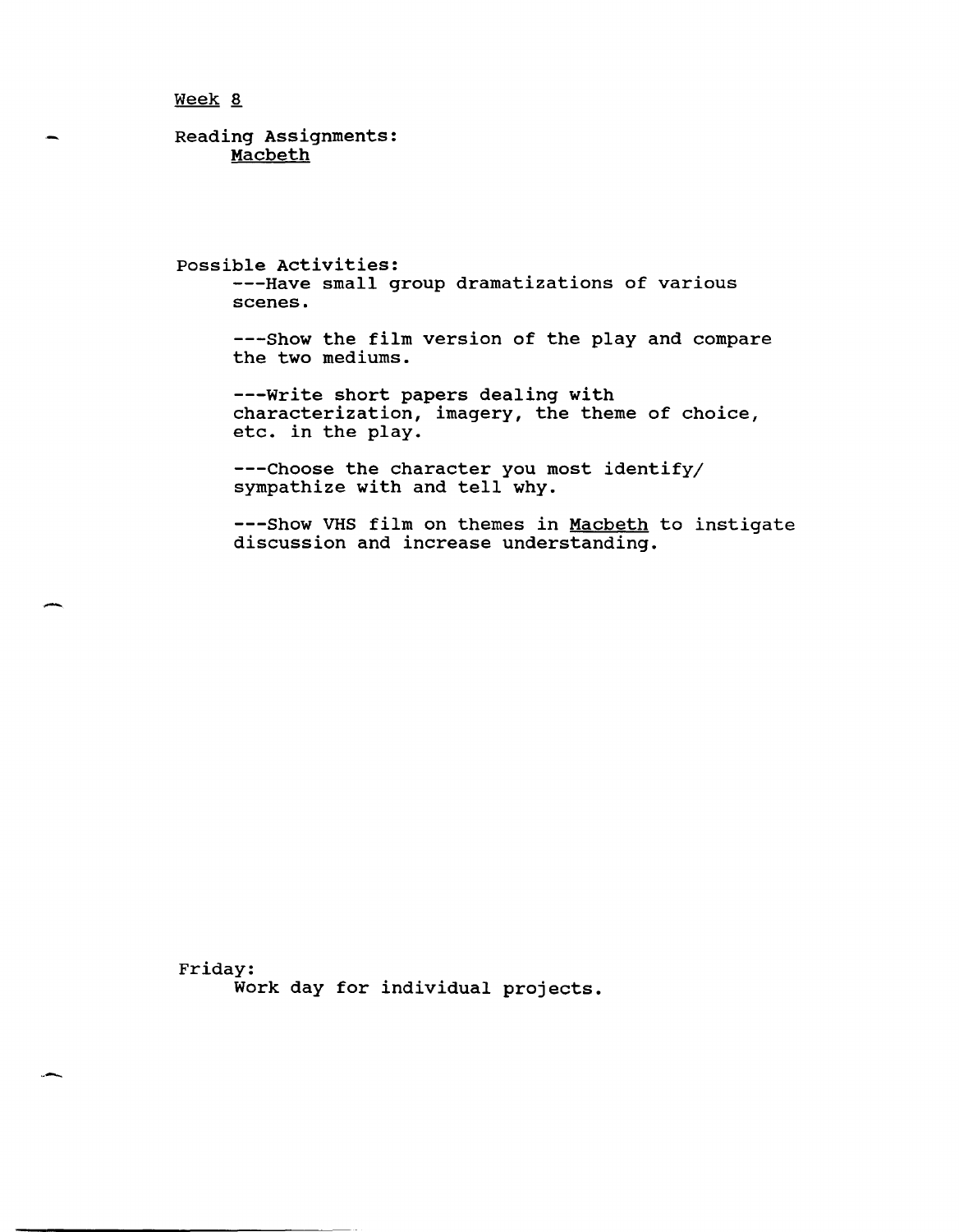-

Reading Assignments: Macbeth

possible Activities: ---Have small group dramatizations of various scenes.

---Show the film version of the play and compare the two mediums.

---write short papers dealing with characterization, imagery, the theme of choice, etc. in the play.

---Choose the character you most identify/ Sympathize with and tell why.

---Show VHS film on themes in Macbeth to instigate discussion and increase understanding.

Friday: Work day for individual projects.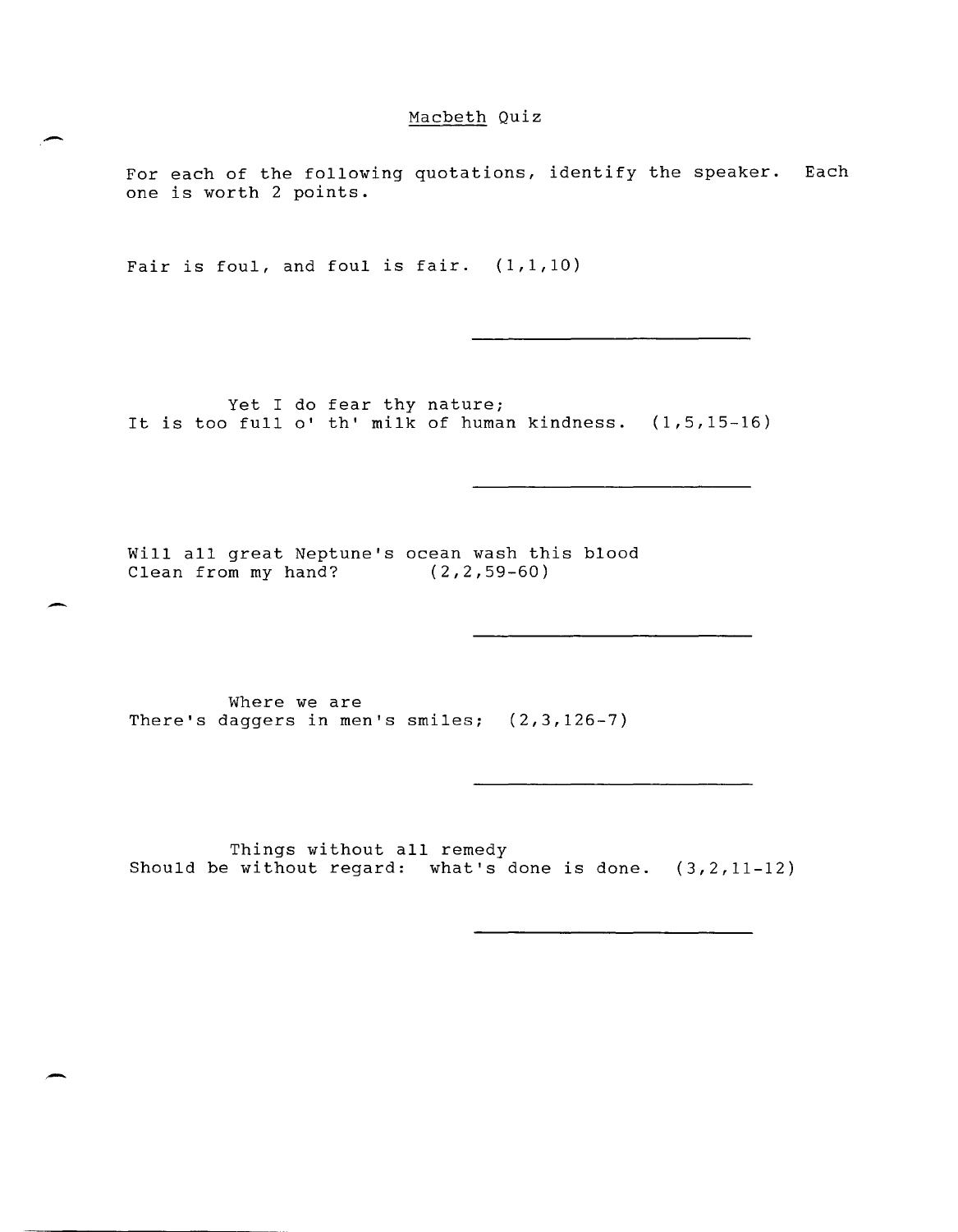# Macbeth Quiz

For each of the following quotations, identify the speaker. Each one is worth 2 points.

Fair is foul, and foul is fair.  $(1,1,10)$ 

-

-

-

Yet I do fear thy nature; It is too full 0' th' milk of human kindness. (1,5,15-16)

Will all great Neptune's ocean wash this blood Clean from my hand? (2,2,59-60)

Where we are There's daggers in men's smiles; (2,3,126-7)

Things without all remedy Should be without regard: what's done is done. (3,2,11-12)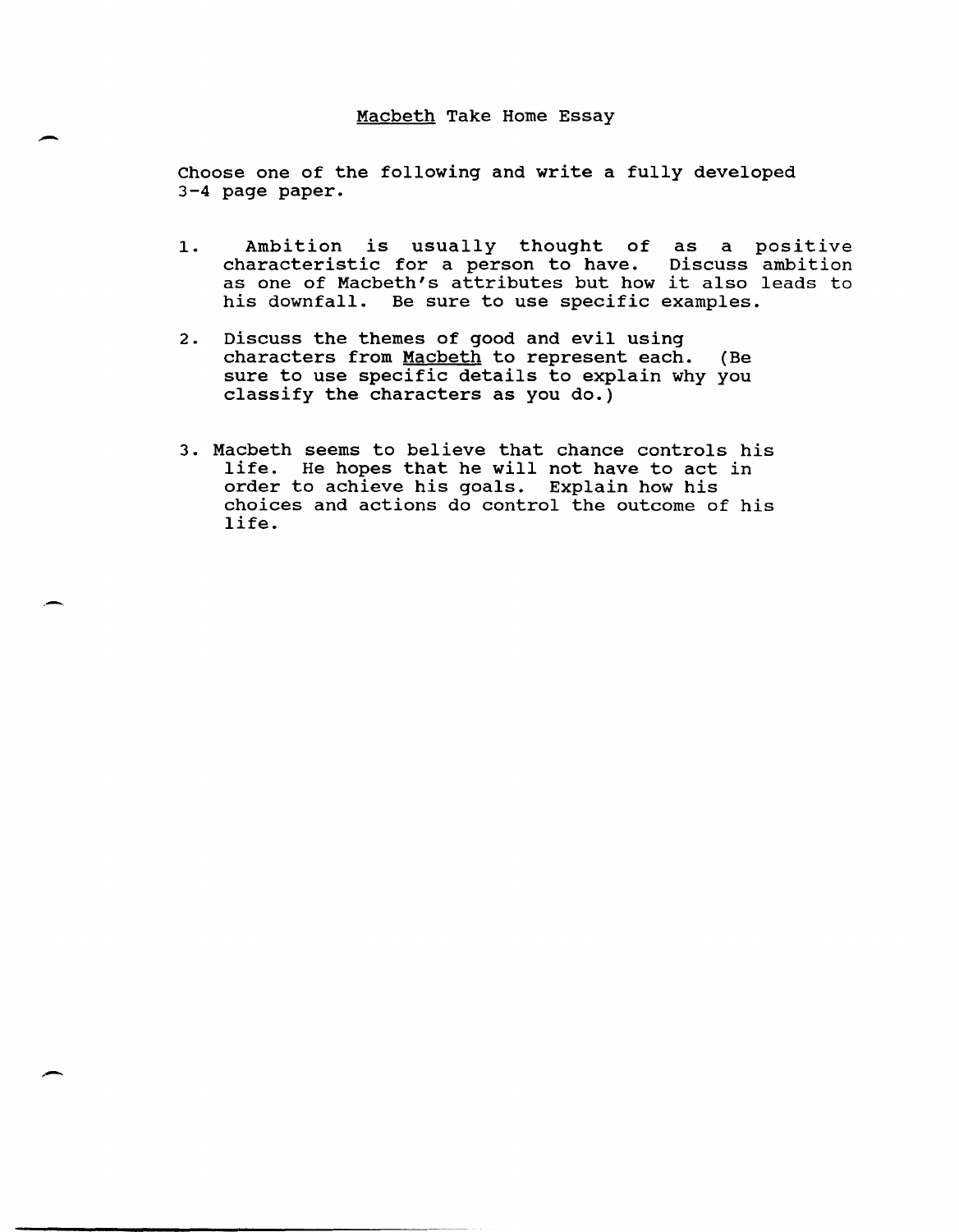### Macbeth Take Home Essay

 $\overline{\phantom{0}}$ 

. -

,-

Choose one of the following and write a fully developed 3-4 page paper.

- 1. Ambition is usually thought of as a positive characteristic for a person to have. Discuss ambition characteristic for a person to have. Discuss ambition<br>as one of Macbeth's attributes but how it also leads to his downfall. Be sure to use specific examples.
- 2. Discuss the themes of good and evil using characters from Macbeth to represent each. (Be sure to use specific details to explain why you classify the characters as you do.)
- 3. Macbeth seems to believe that chance controls his life. He hopes that he will not have to act in order to achieve his goals. Explain how his choices and actions do control the outcome of his life.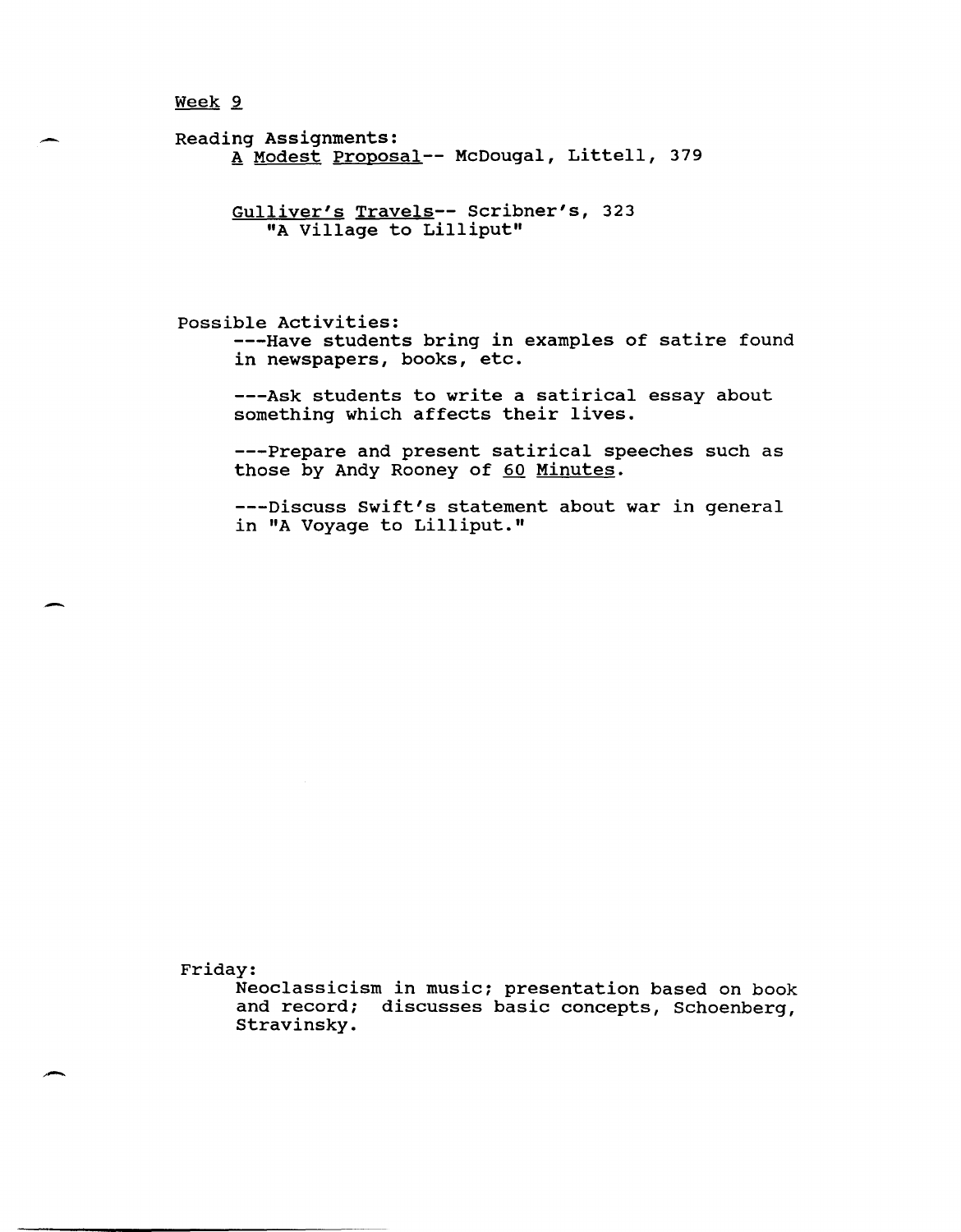Week<sub>2</sub>

Reading Assignments: A Modest Proposal-- McDougal, Littell, 379

> Gulliver's Travels-- Scribner's, 323 "A Village to Lilliput"

possible Activities: ---Have students bring in examples of satire found in newspapers, books, etc.

---Ask students to write a satirical essay about something which affects their lives.

---Prepare and present satirical speeches such as those by Andy Rooney of 60 Minutes.

---Discuss Swift's statement about war in general in "A Voyage to Lilliput."

Friday:

-

Neoclassicism in music; presentation based on book and record; discusses basic concepts, Schoenberg, Stravinsky.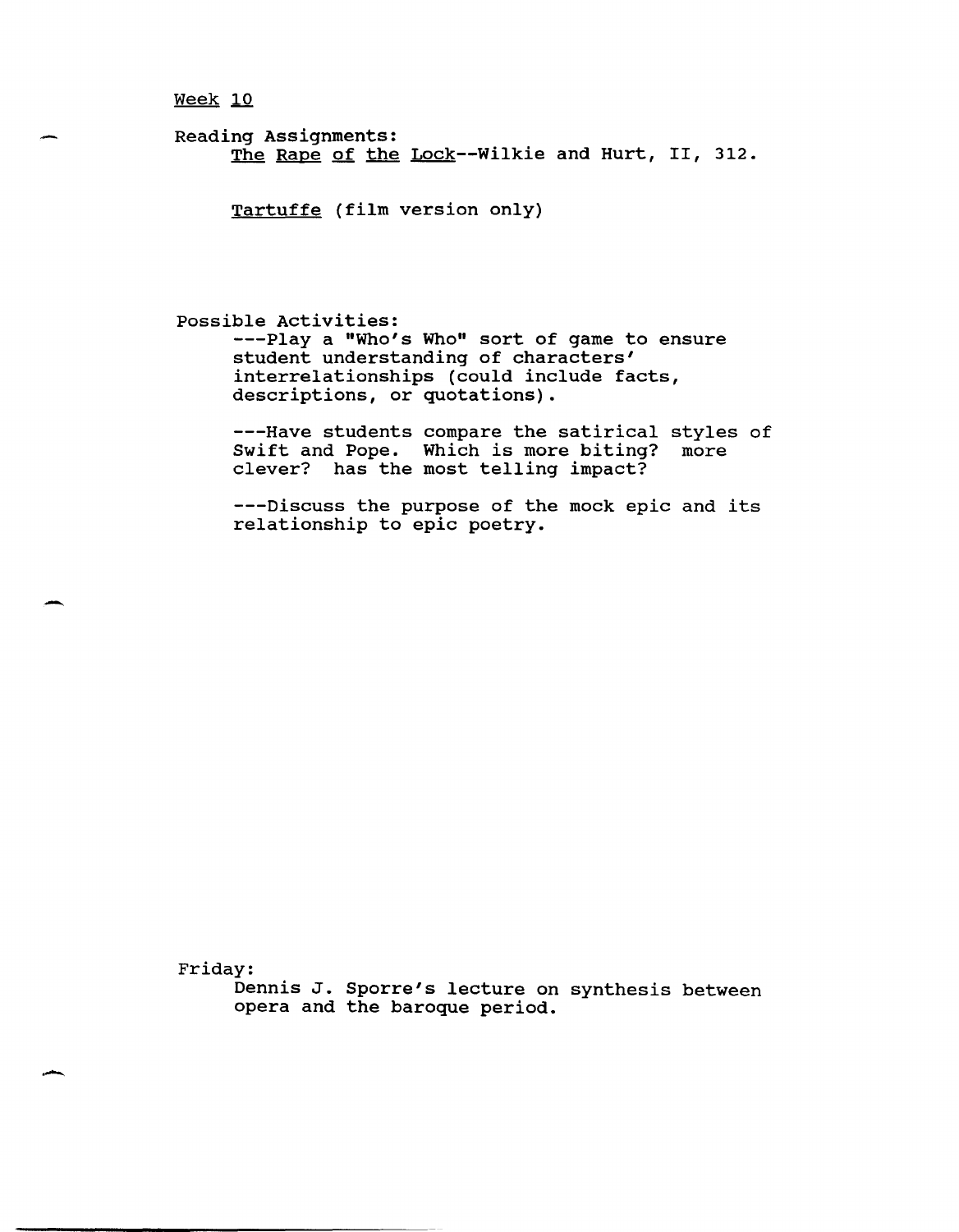Reading Assignments: The Rape of the Lock--Wilkie and Hurt, II, 312.

Tartuffe (film version only)

possible Activities:

---Play a "Who's Who" sort of game to ensure student understanding of characters' interrelationships (could include facts, descriptions, or quotations).

---Have students compare the satirical styles of<br>Swift and Pope. Which is more biting? more Swift and Pope. Which is more biting? clever? has the most telling impact?

---Discuss the purpose of the mock epic and its relationship to epic poetry.

Friday:

-

. -

Dennis J. Sporre's lecture on synthesis between opera and the baroque period.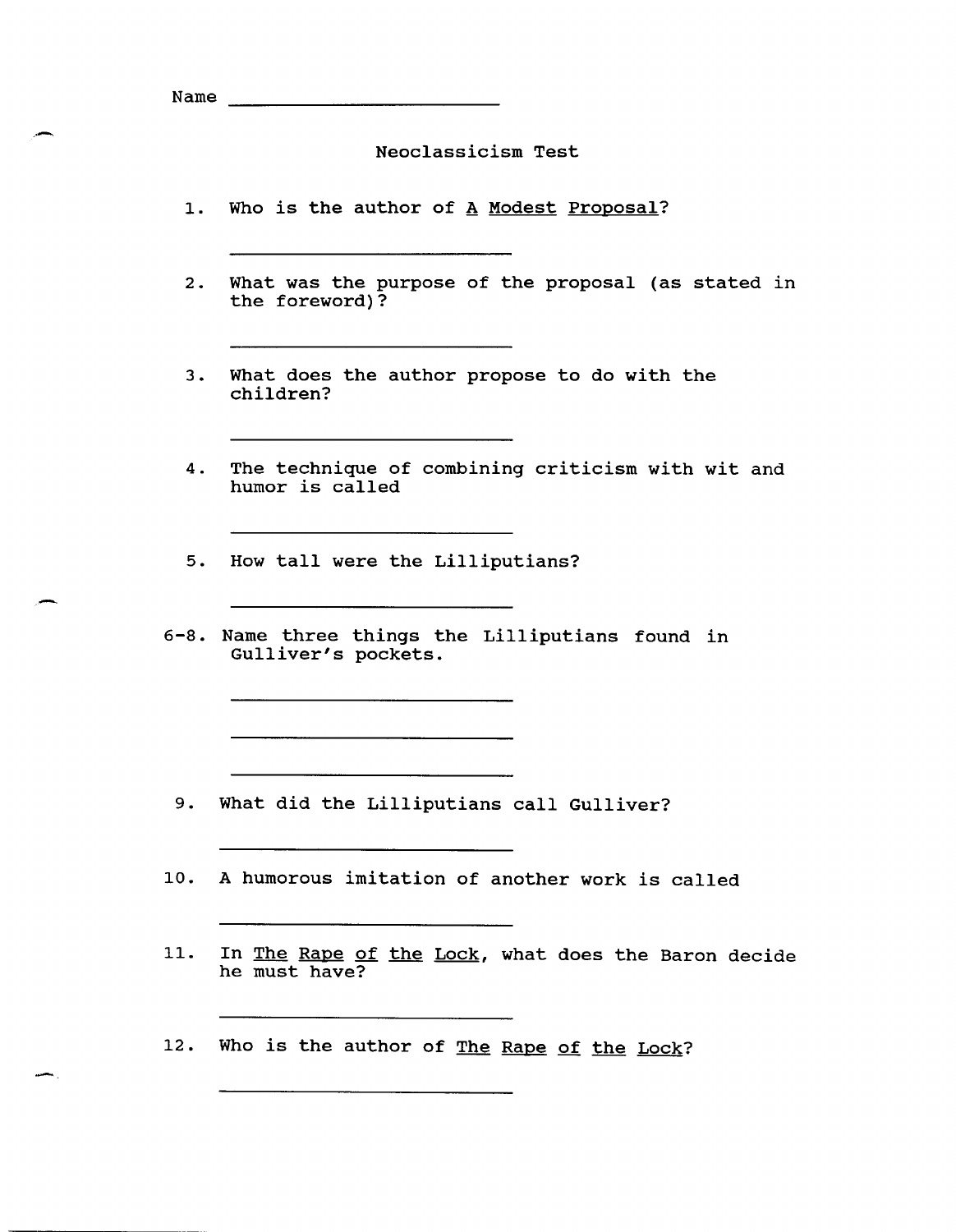Name \_\_\_\_\_\_\_\_\_\_\_\_\_\_\_\_\_\_\_\_\_\_\_\_ \_\_

Neoclassicism Test

- 1. Who is the author of A Modest Proposal?
- 2. What was the purpose of the proposal (as stated in the foreword)?
- 3. What does the author propose to do with the children?
- 4. The technique of combining criticism with wit and humor is called
- 5. How tall were the Lilliputians?
- 6-8. Name three things the Lilliputians found in Gulliver's pockets.

9. What did the Lilliputians call Gulliver?

- 10. A humorous imitation of another work is called
- 11. In The Rape of the Lock, what does the Baron decide he must have?
- 12. Who is the author of The Rape of the Lock?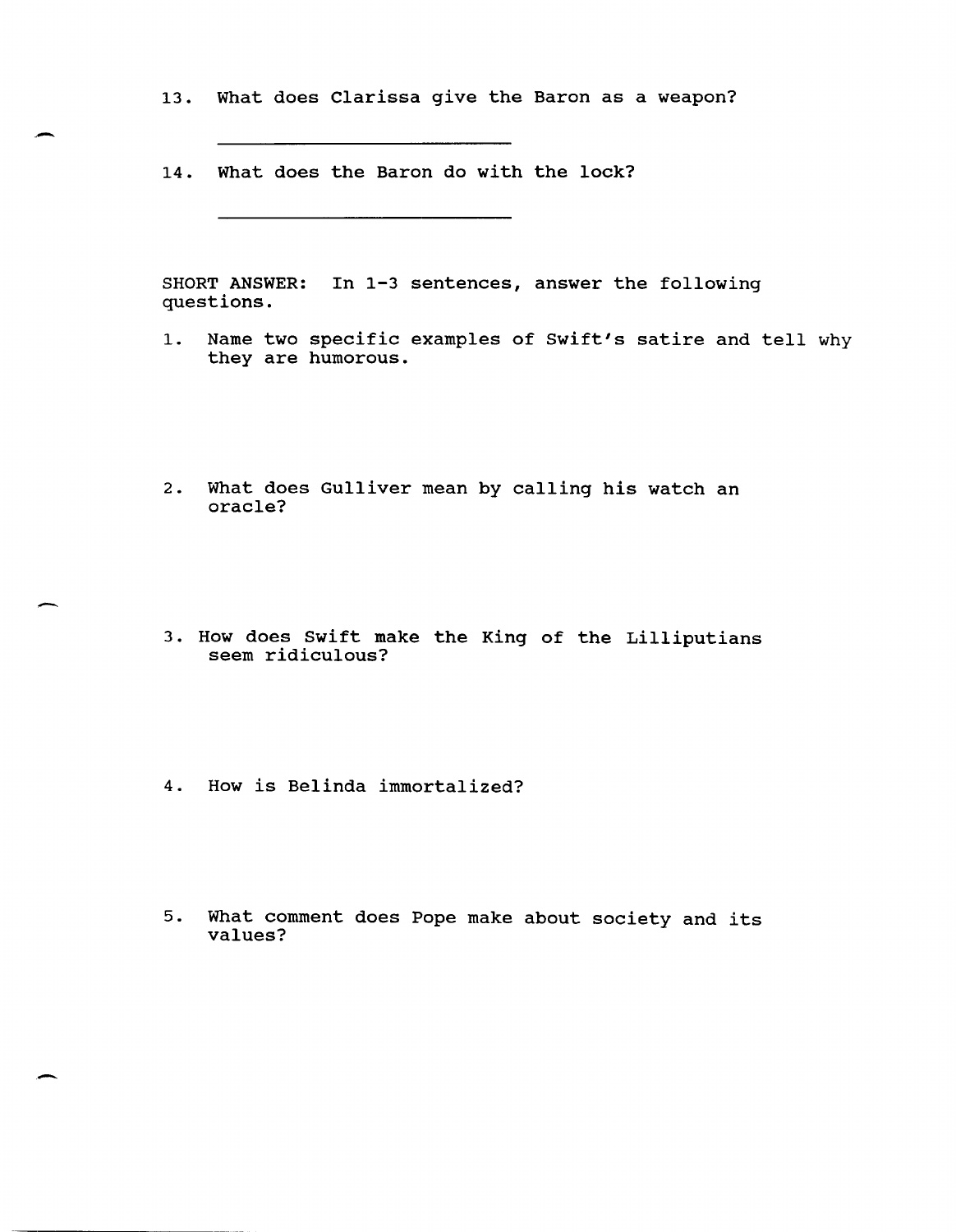13. What does Clarissa give the Baron as a weapon?

14. What does the Baron do with the lock?

.-

-

-

SHORT ANSWER: In 1-3 sentences, answer the following questions.

- 1. Name two specific examples of Swift's satire and tell why they are humorous.
- 2. What does Gulliver mean by calling his watch an oracle?
- 3. How does Swift make the King of the Lilliputians seem ridiculous?
- 4. How is Belinda immortalized?
- 5. What comment does Pope make about society and its values?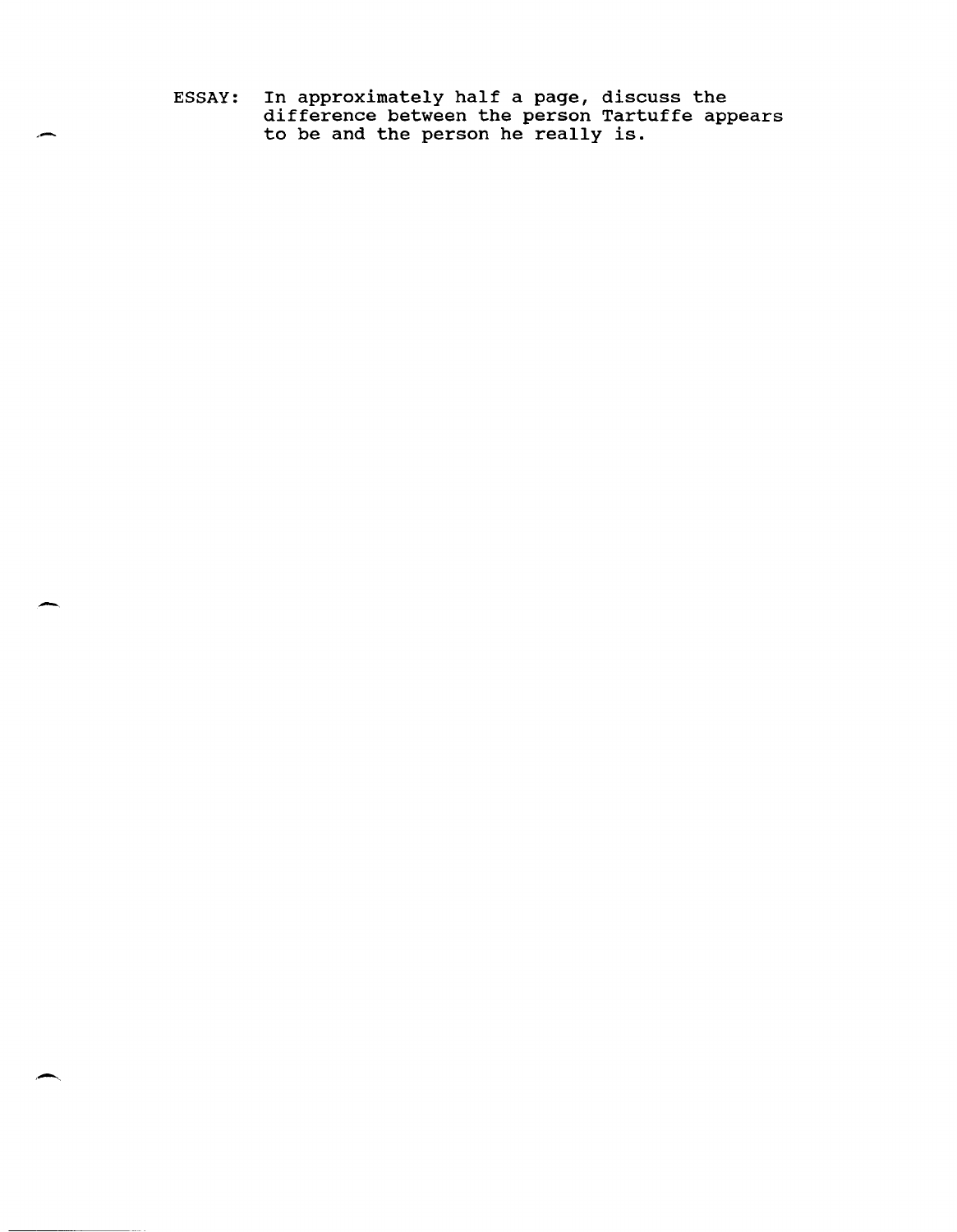ESSAY: In approximately half a page, discuss the difference between the person Tartuffe appears afficience between the person fart

. -

-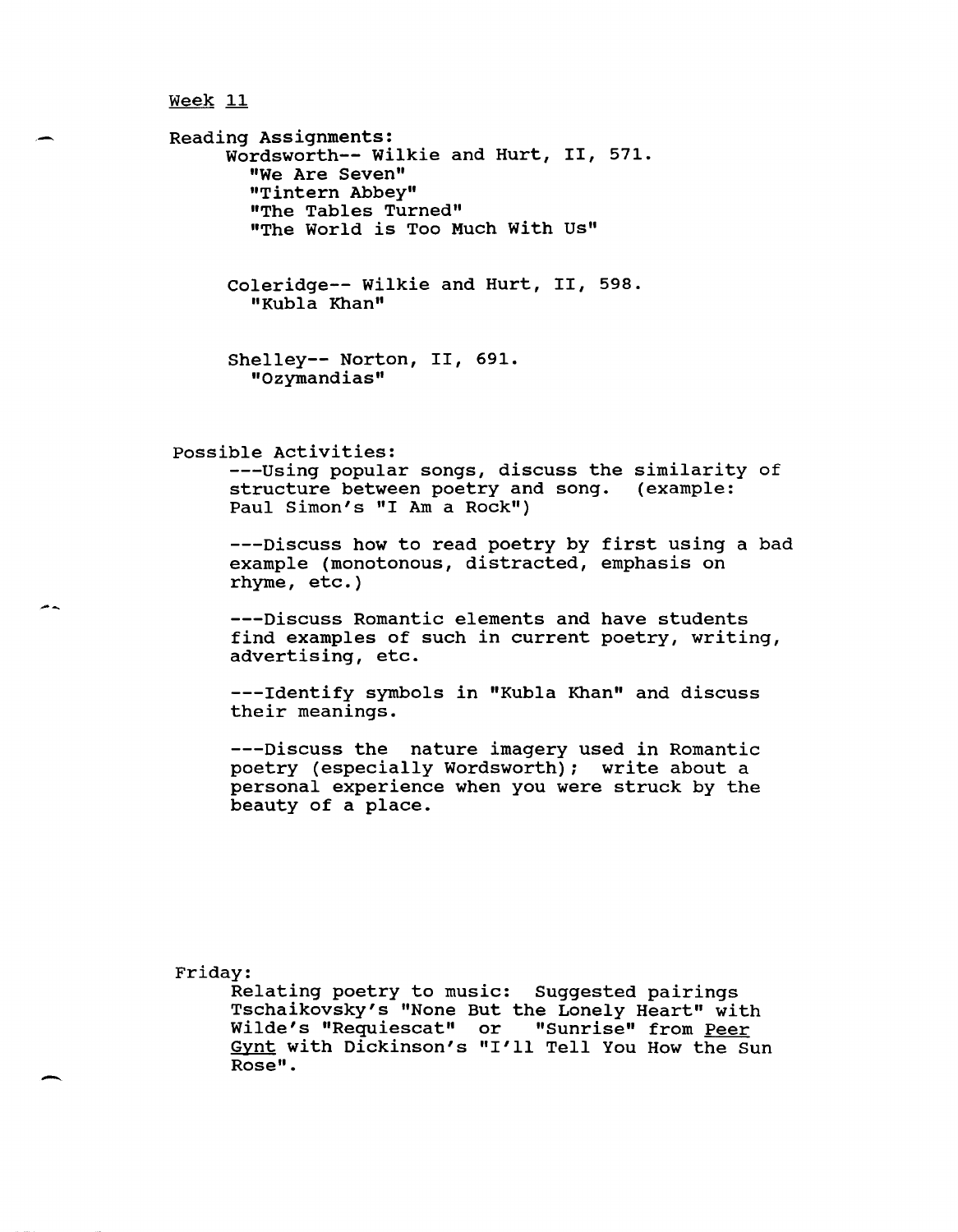Reading Assignments: Wordsworth-- Wilkie and Hurt, II, 571. "We Are Seven" "Tintern Abbey" "The Tables Turned" "The World is Too Much with Us"

> Coleridge-- Wilkie and Hurt, II, 598. "Kubla Khan"

Shelley-- Norton, II, 691. "ozymandias"

possible Activities:

---Using popular songs, discuss the similarity of structure between poetry and song. (example: Paul Simon's "I Am a Rock")

---Discuss how to read poetry by first using a bad example (monotonous, distracted, emphasis on rhyme, etc.)

---Discuss Romantic elements and have students find examples of such in current poetry, writing, advertising, etc.

---Identify symbols in "Kubla Khan" and discuss their meanings.

---Discuss the nature imagery used in Romantic poetry (especially Wordsworth); write about a personal experience when you were struck by the beauty of a place.

Friday:

--

-

Relating poetry to music: Suggested pairings Tschaikovsky's "None But the Lonely Heart" with Wilde's "Requiescat" or "Sunrise" from Peer Gynt with Dickinson's "I'll Tell You How the Sun Rose" .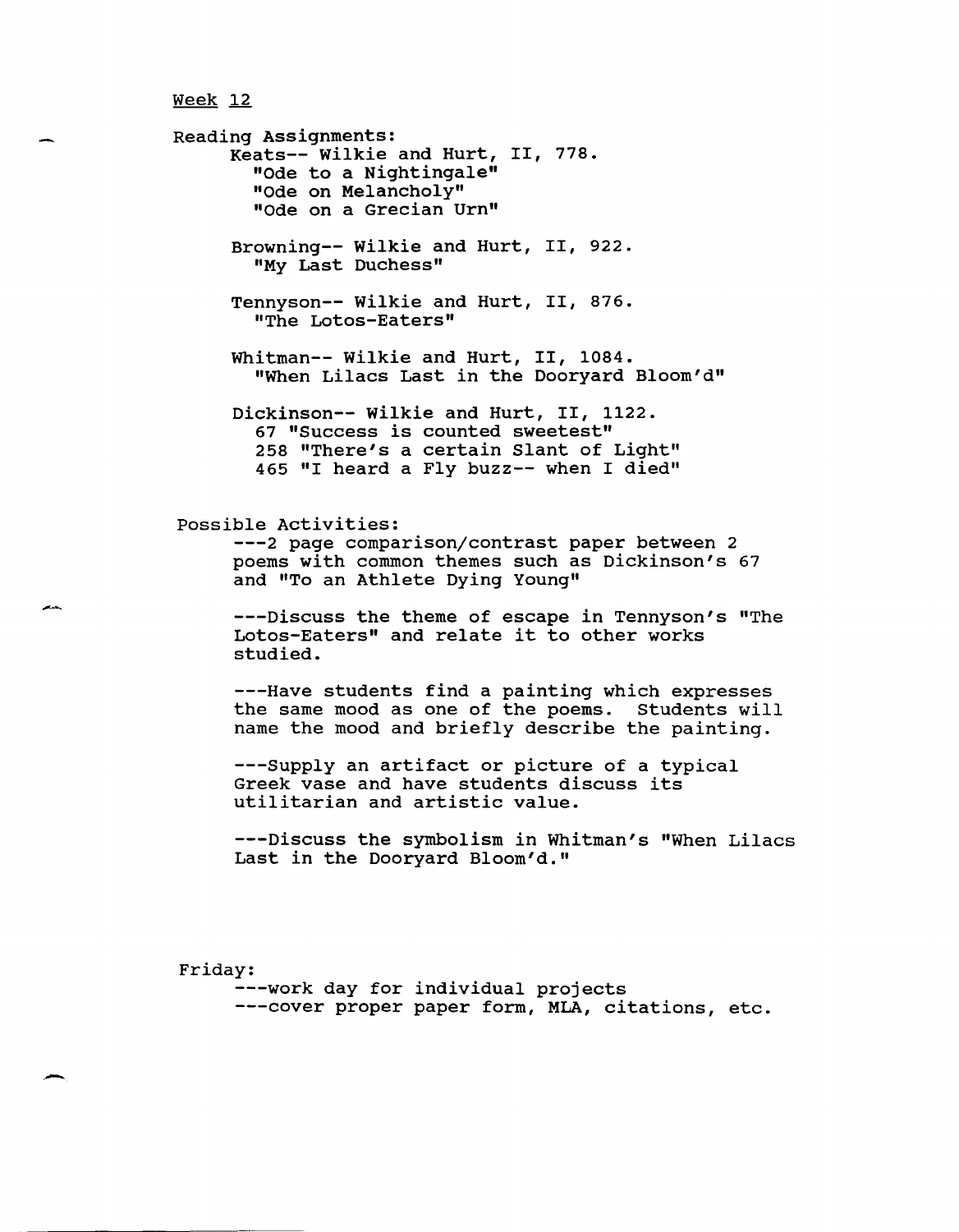Reading Assignments: Keats-- wilkie and Hurt, II, 778. "Ode to a Nightingale" "Ode on Melancholy" "Ode on a Grecian Urn" Browning-- Wilkie and Hurt, II, 922. "My Last Duchess" Tennyson-- Wilkie and Hurt, II, 876. "The Lotos-Eaters" Whitman-- Wilkie and Hurt, II, 1084. "When Lilacs Last in the Dooryard Bloom'd" Dickinson-- wilkie and Hurt, II, 1122. 67 "Success is counted sweetest" 258 "There's a certain Slant of Light" 465 "I heard a Fly buzz-- when I died" possible Activities: ---2 page comparison/contrast paper between 2 poems with common themes such as Dickinson's 67 and "To an Athlete Dying Young" ---Discuss the theme of escape in Tennyson's "The Lotos-Eaters" and relate it to other works studied. ---Have students find a painting which expresses the same mood as one of the poems. Students will name the mood and briefly describe the painting. ---Supply an artifact or picture of a typical Greek vase and have students discuss its utilitarian and artistic value. ---Discuss the symbolism in Whitman's "When Lilacs Last in the Dooryard Bloom'd."

Friday:

,-

---work day for individual projects ---cover proper paper form, MLA, citations, etc.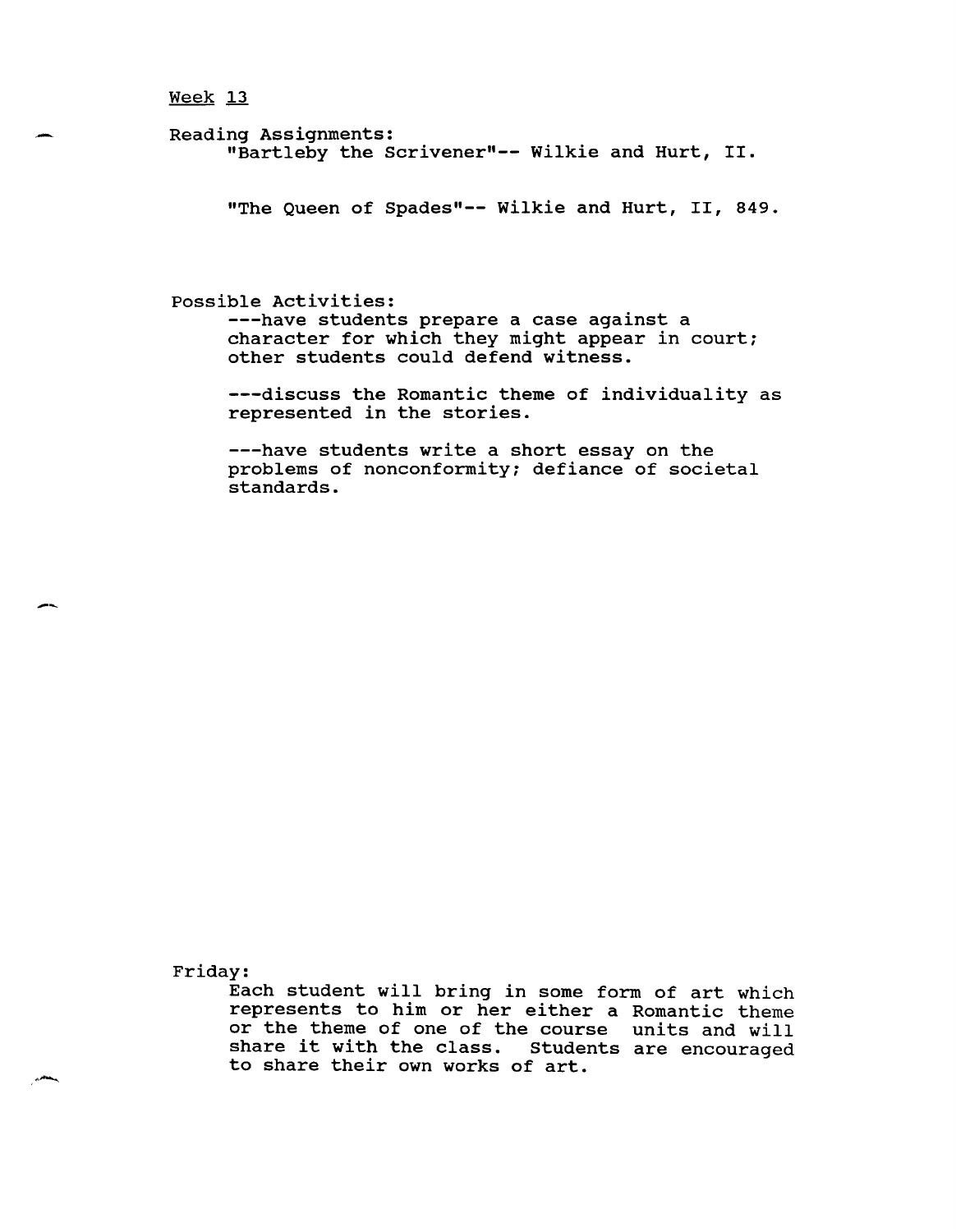# $Weak 13$ </u>

Reading Assignments: "Bartleby the Scrivener"-- Wilkie and Hurt, II.

"The Queen of Spades"-- Wilkie and Hurt, II, 849.

### possible Activities:

---have students prepare a case against a character for which they might appear in court; other students could defend witness.

---discuss the Romantic theme of individuality as represented in the stories.

---have students write a short essay on the problems of nonconformity; defiance of societal standards.

Friday:

--

Each student will bring in some form of art which represents to him or her either a Romantic theme or the theme of one of the course units and will share it with the class. Students are encouraged to share their own works of art.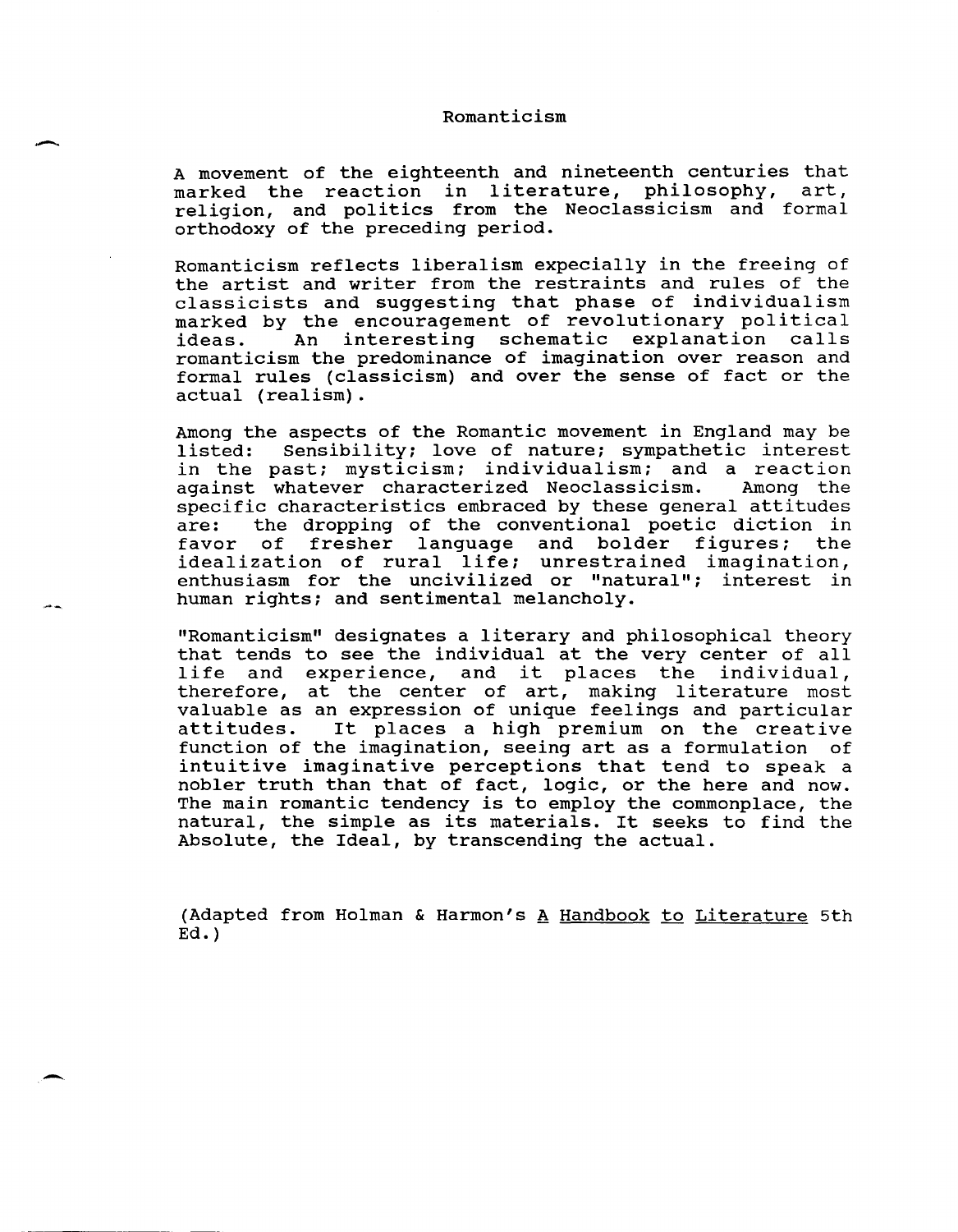#### Romanticism

A movement of the eighteenth and nineteenth centuries that marked the reaction in literature, philosophy, art, religion, and politics from the Neoclassicism and formal orthodoxy of the preceding period.

Romanticism reflects liberalism expecially in the freeing of the artist and writer from the restraints and rules of the classicists and suggesting that phase of individualism marked by the encouragement of revolutionary political<br>ideas. An interesting schematic explanation calls interesting schematic explanation romanticism the predominance of imagination over reason and formal rules (classicism) and over the sense of fact or the actual (realism).

Among the aspects of the Romantic movement in England may be listed: Sensibility; love of nature; sympathetic interest Sensibility; love of nature; sympathetic interest in the past; mysticism; individualism; and a reaction<br>against whatever characterized Neoclassicism. Among the against whatever characterized Neoclassicism. specific characteristics embraced by these general attitudes<br>are: the dropping of the conventional poetic diction in are: the dropping of the conventional poetic diction in<br>favor of fresher language and bolder figures; the fresher language and bolder figures; the idealization of rural life; unrestrained imagination, enthusiasm for the uncivilized or "natural"; interest in human rights; and sentimental melancholy.

"Romanticism" designates a literary and philosophical theory that tends to see the individual at the very center of all that tends to see the individual at the very center of all<br>life and experience, and it places the individual, therefore, at the center of art, making literature most valuable as an expression of unique feelings and particular It places a high premium on the creative function of the imagination, seeing art as a formulation of intuitive imaginative perceptions that tend to speak a nobler truth than that of fact, logic, or the here and now. The main romantic tendency is to employ the commonplace, the natural, the simple as its materials. It seeks to find the Absolute, the Ideal, by transcending the actual.

(Adapted from Holman & Harmon's  $A$  Handbook to Literature 5th  $Ed.$ )

-

-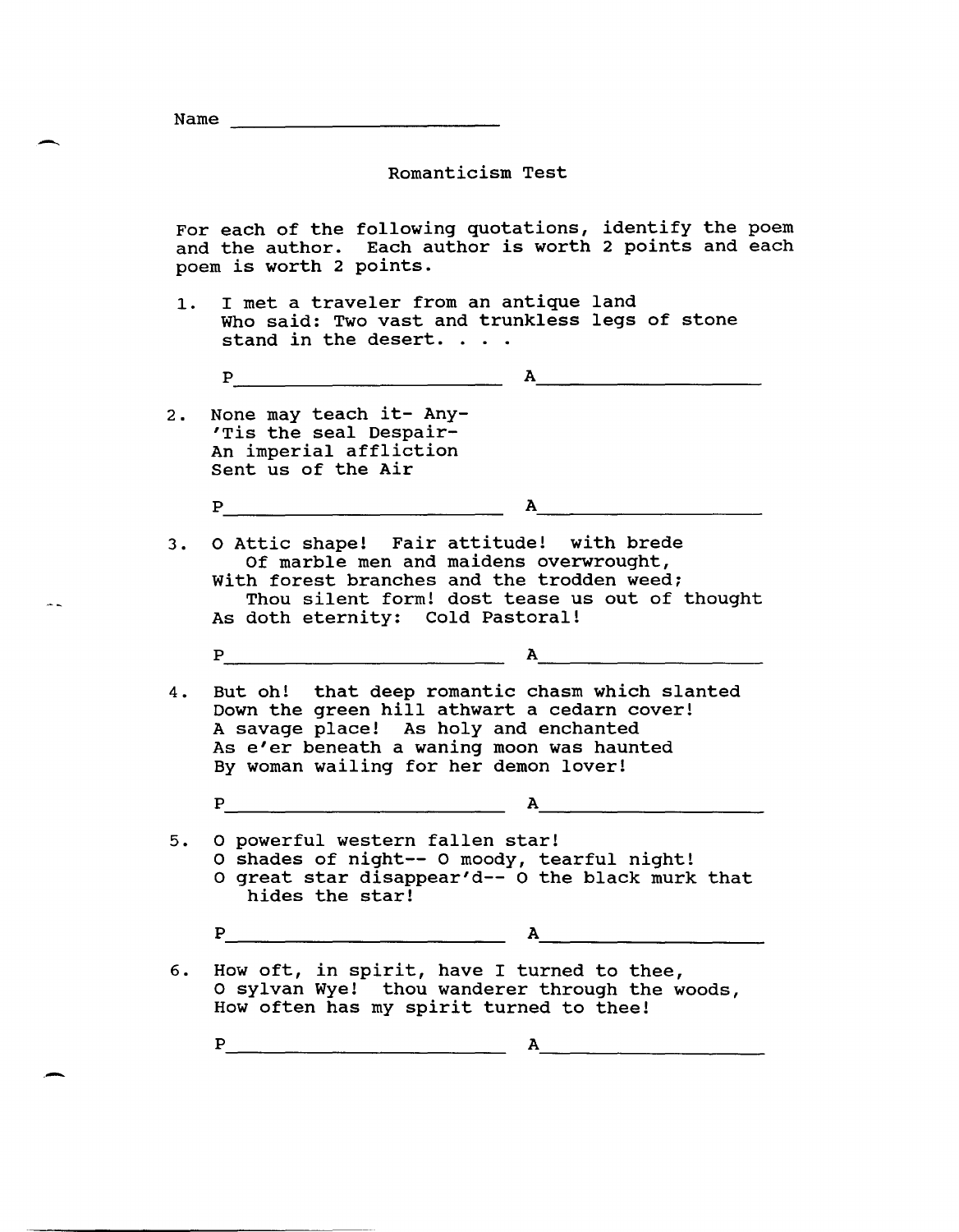| Name |  |  |
|------|--|--|
|      |  |  |

 $\overline{\phantom{0}}$ 

.-

# Romanticism Test

For each of the following quotations, identify the poem and the author. Each author is worth 2 points and each poem is worth 2 points.

1. I met a traveler from an antique land Who said: Two vast and trunkless legs of stone stand in the desert. . . .

$$
\mathbf{P} \qquad \qquad \mathbf{A} \qquad \qquad \mathbf{A} \qquad \qquad \mathbf{A} \qquad \qquad \mathbf{A} \qquad \qquad \mathbf{A} \qquad \qquad \mathbf{A} \qquad \qquad \mathbf{A} \qquad \qquad \mathbf{A} \qquad \qquad \mathbf{A} \qquad \qquad \mathbf{A} \qquad \qquad \mathbf{A} \qquad \qquad \mathbf{A} \qquad \qquad \mathbf{A} \qquad \qquad \mathbf{A} \qquad \qquad \mathbf{A} \qquad \qquad \mathbf{A} \qquad \qquad \mathbf{A} \qquad \qquad \mathbf{A} \qquad \qquad \mathbf{A} \qquad \qquad \mathbf{A} \qquad \qquad \mathbf{A} \qquad \qquad \mathbf{A} \qquad \qquad \mathbf{A} \qquad \qquad \mathbf{A} \qquad \qquad \mathbf{A} \qquad \qquad \mathbf{A} \qquad \qquad \mathbf{A} \qquad \qquad \mathbf{A} \qquad \qquad \mathbf{A} \qquad \qquad \mathbf{A} \qquad \qquad \mathbf{A} \qquad \qquad \mathbf{A} \qquad \qquad \mathbf{A} \qquad \qquad \mathbf{A} \qquad \qquad \mathbf{A} \qquad \qquad \mathbf{A} \qquad \qquad \mathbf{A} \qquad \qquad \mathbf{A} \qquad \qquad \mathbf{A} \qquad \qquad \mathbf{A} \qquad \qquad \mathbf{A} \qquad \qquad \mathbf{A} \qquad \qquad \mathbf{A} \qquad \qquad \mathbf{A} \qquad \qquad \mathbf{A} \qquad \qquad \mathbf{A} \qquad \qquad \mathbf{A} \qquad \qquad \mathbf{A} \qquad \qquad \mathbf{A} \qquad \qquad \mathbf{A} \qquad \qquad \mathbf{A} \qquad \qquad \mathbf{A} \qquad \qquad \mathbf{A} \qquad \qquad \mathbf{A} \qquad \qquad \mathbf{A} \qquad \qquad \mathbf{A} \qquad \qquad \mathbf{A} \qquad \qquad \mathbf{A} \qquad \qquad \mathbf{A} \qquad \qquad \mathbf{A} \qquad \qquad \mathbf{A} \qquad \qquad \mathbf{A} \qquad \qquad \mathbf{
$$

2. None may teach it- Any- 'Tis the seal Despair-An imperial affliction Sent us of the Air

P---------------------------- A. \_\_\_\_\_\_\_\_\_\_\_\_\_\_\_\_\_\_\_\_ \_\_\_

3. 0 Attic shape! Fair attitude! with brede Of marble men and maidens overwrought, With forest branches and the trodden weed; Thou silent form! dost tease us out of thought As doth eternity: Cold Pastoral!

P---------------------------- A~ \_\_\_\_\_\_\_\_\_\_\_\_\_\_\_\_\_\_ \_\_\_

4. But oh! that deep romantic chasm which slanted Down the green hill athwart a cedarn cover! A savage place! As holy and enchanted As e'er beneath a waning moon was haunted By woman wailing for her demon lover!

P---------------------------- A. \_\_\_\_\_\_\_\_\_\_\_\_\_\_\_\_\_\_\_\_ \_\_\_

5. 0 powerful western fallen star! o shades of night-- 0 moody, tearful night! o great star disappear'd-- 0 the black murk that hides the star!

P---------------------------- A \_\_\_\_\_\_\_\_\_\_\_\_\_\_\_\_\_\_\_\_ \_\_\_

6. How oft, in spirit, have I turned to thee, o sylvan Wye! thou wanderer through the woods, How often has my spirit turned to thee!

P---------------------------- A. \_\_\_\_\_\_\_\_\_\_\_\_\_\_\_\_\_\_\_\_ \_\_\_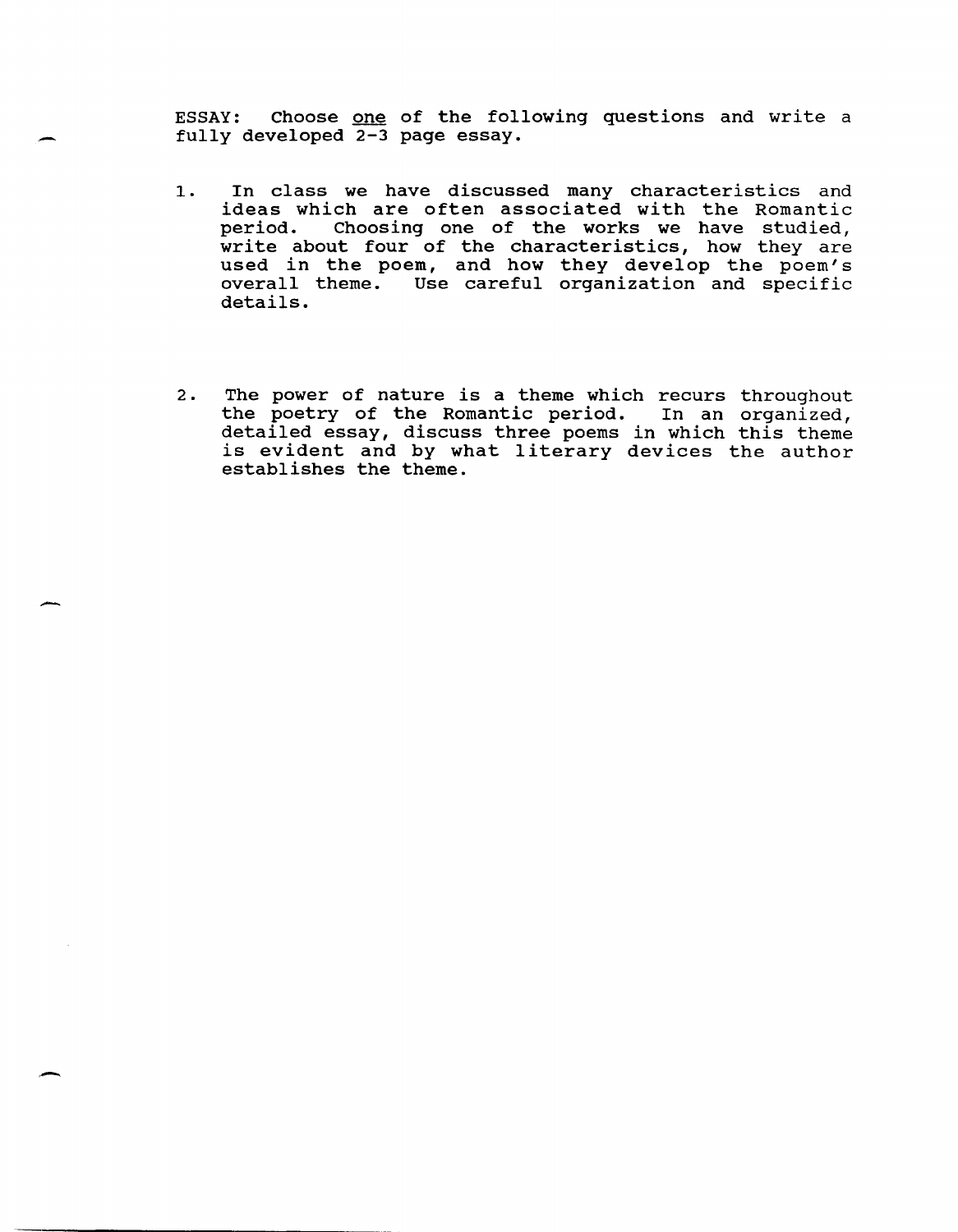ESSAY: Choose one of the following questions and write a fully developed 2-3 page essay.

-

-

.'-

- 1. In class we have discussed many characteristics and ideas which are often associated with the Romantic period. Choosing one of the works we have studied, ported. Showing one of the characteristics, how they are used in the poem, and how they develop the poem's overall theme. Use careful organization and specific details.
- 2. The power of nature is a theme which recurs throughout the poetry of the Romantic period. In an organized, detailed essay, discuss three poems in which this theme is evident and by what literary devices the author establishes the theme.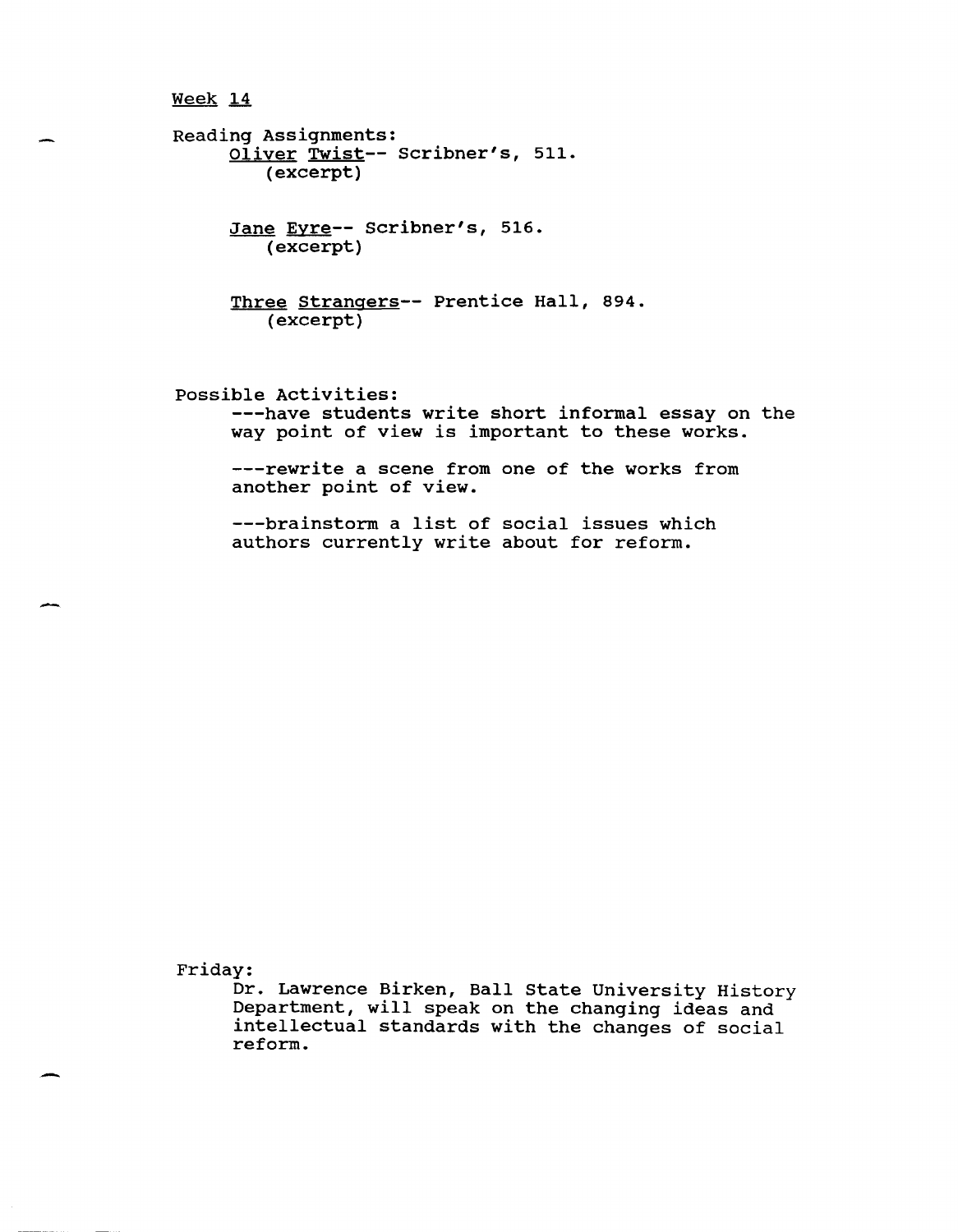Reading Assignments: Oliver Twist-- scribner's, 511. (excerpt)

> Jane Eyre-- Scribner's, 516. (excerpt)

Three Strangers-- Prentice Hall, 894. (excerpt)

possible Activities: ---have students write short informal essay on the way point of view is important to these works.

---rewrite a scene from one of the works from another point of view.

---brainstorm a list of social issues which authors currently write about for reform.

Friday:

-

-

Dr. Lawrence Birken, Ball State University History Department, will speak on the changing ideas and intellectual standards with the changes of social reform.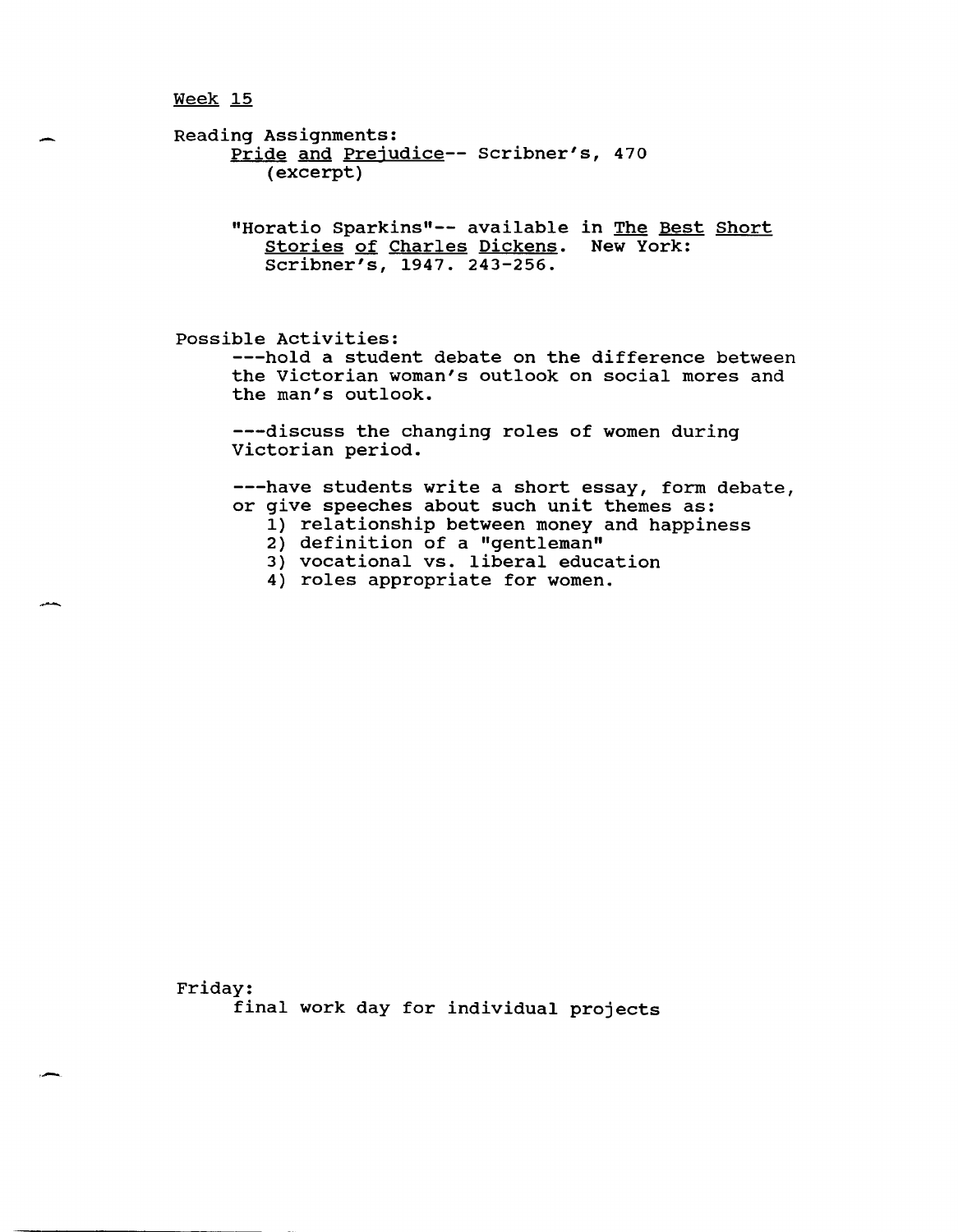.<br>مىل*ار* 

Reading Assignments: Pride and Prejudice-- Scribner's, 470 (excerpt)

> "Horatio Sparkins"-- available in The Best Short stories of Charles Dickens. New York: Scribner's, 1947. 243-256.

possible Activities:

---hold a student debate on the difference between the victorian woman's outlook on social mores and the man's outlook.

---discuss the changing roles of women during victorian period.

---have students write a short essay, form debate, or give speeches about such unit themes as:

- 1) relationship between money and happiness
- 2) definition of a "gentleman"
- 3) vocational vs. liberal education
- 4) roles appropriate for women.

Friday: final work day for individual projects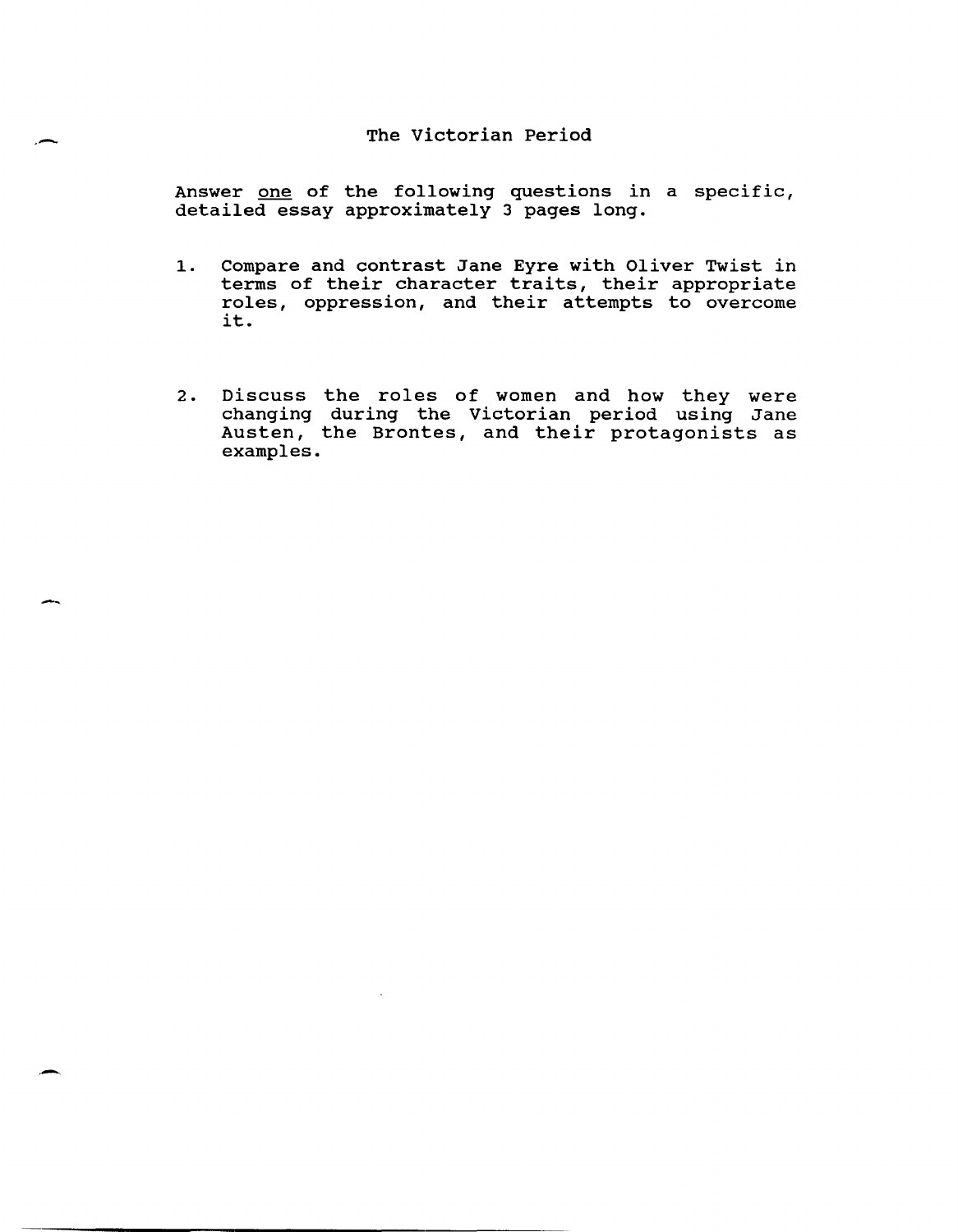# The victorian Period

.-

-

.-

Answer one of the following questions in a specific, detailed essay approximately 3 pages long.

- 1. Compare and contrast Jane Eyre with Oliver Twist in terms of their character traits, their appropriate roles, oppression, and their attempts to overcome it.
- 2. Discuss the roles of women and how they were changing during the victorian period using Jane Austen, the Brontes, and their protagonists as examples.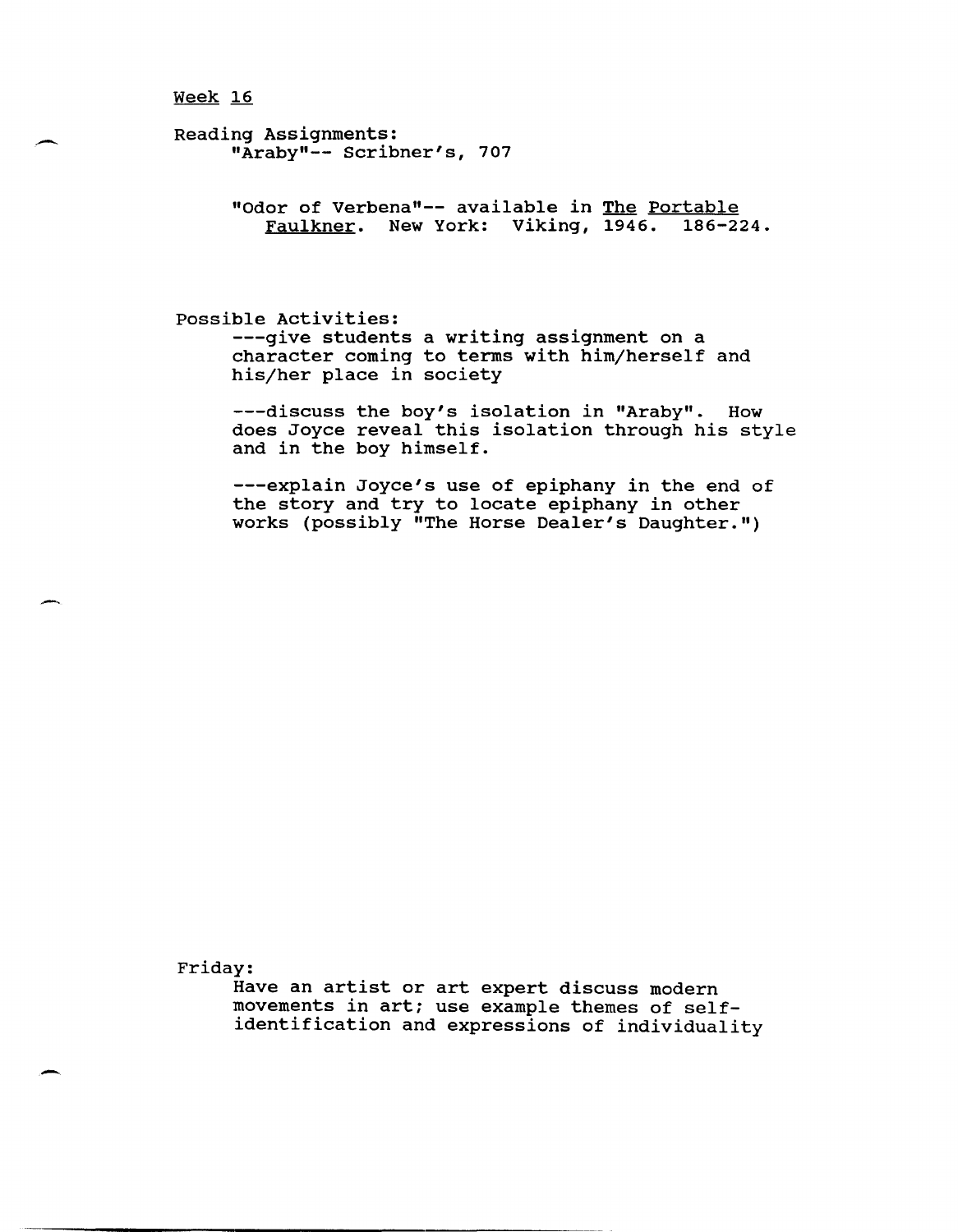Reading Assignments: "Araby"-- Scribner's, 707

> "Odor of Verbena"-- available in The Portable Faulkner. New York: Viking, 1946. 186-224.

possible Activities: ---give students a writing assignment on a character coming to terms with him/herself and his/her place in society

---discuss the boy's isolation in "Araby". How does Joyce reveal this isolation through his style and in the boy himself.

---explain Joyce's use of epiphany in the end of the story and try to locate epiphany in other works (possibly "The Horse Dealer's Daughter.")

Friday:

--

-

Have an artist or art expert discuss modern movements in art; use example themes of selfidentification and expressions of individuality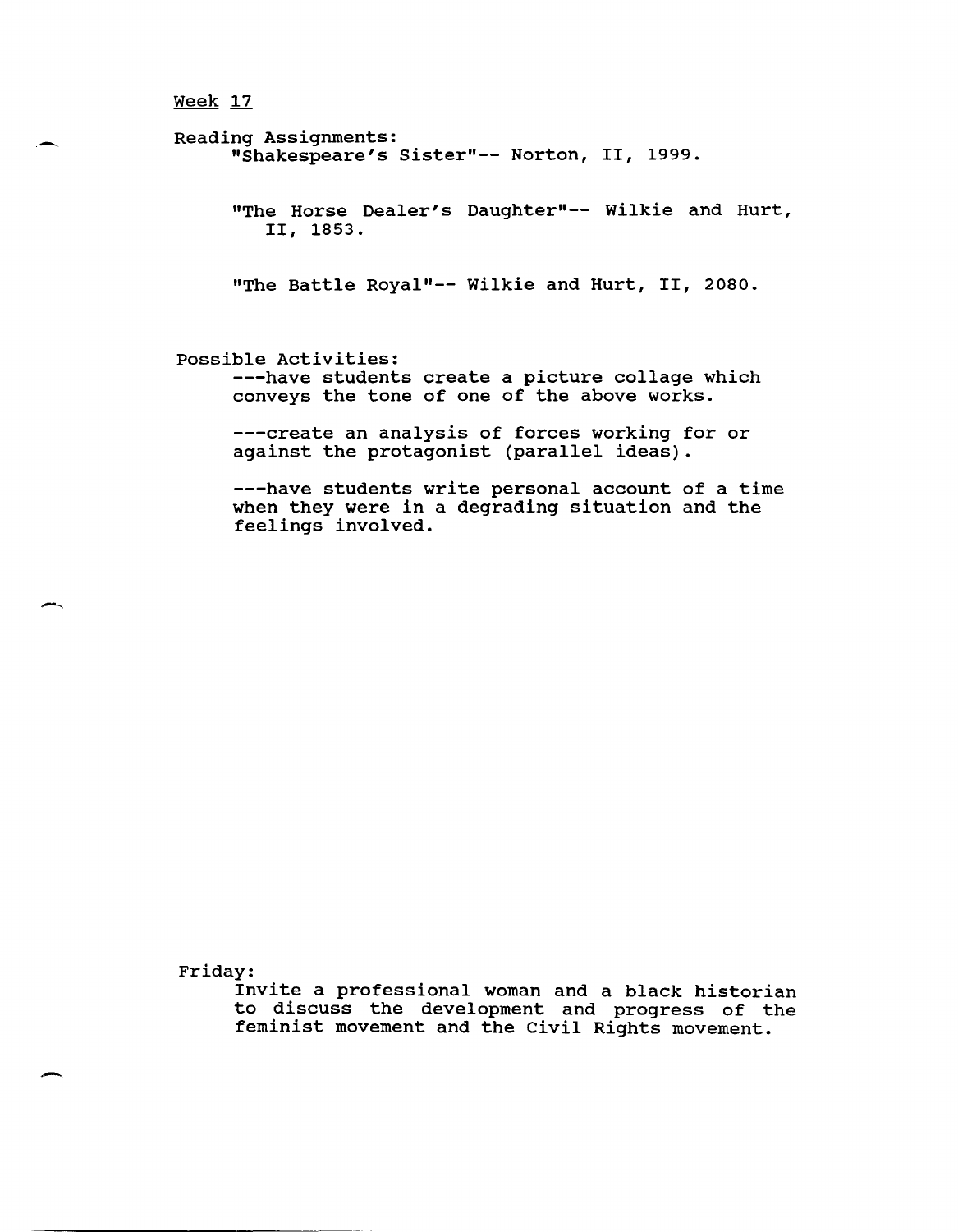Reading Assignments: "Shakespeare's Sister"-- Norton, II, 1999. "The Horse Dealer's Daughter"-- Wilkie and Hurt, II, 1853. "The Battle Royal"-- Wilkie and Hurt, II, 2080. possible Activities: ---have students create a picture collage which conveys the tone of one of the above works. ---create an analysis of forces working for or

against the protagonist (parallel ideas).

---have students write personal account of a time when they were in a degrading situation and the feelings involved.

Friday:

Invite a professional woman and a black historian to discuss the development and progress of the feminist movement and the Civil Rights movement.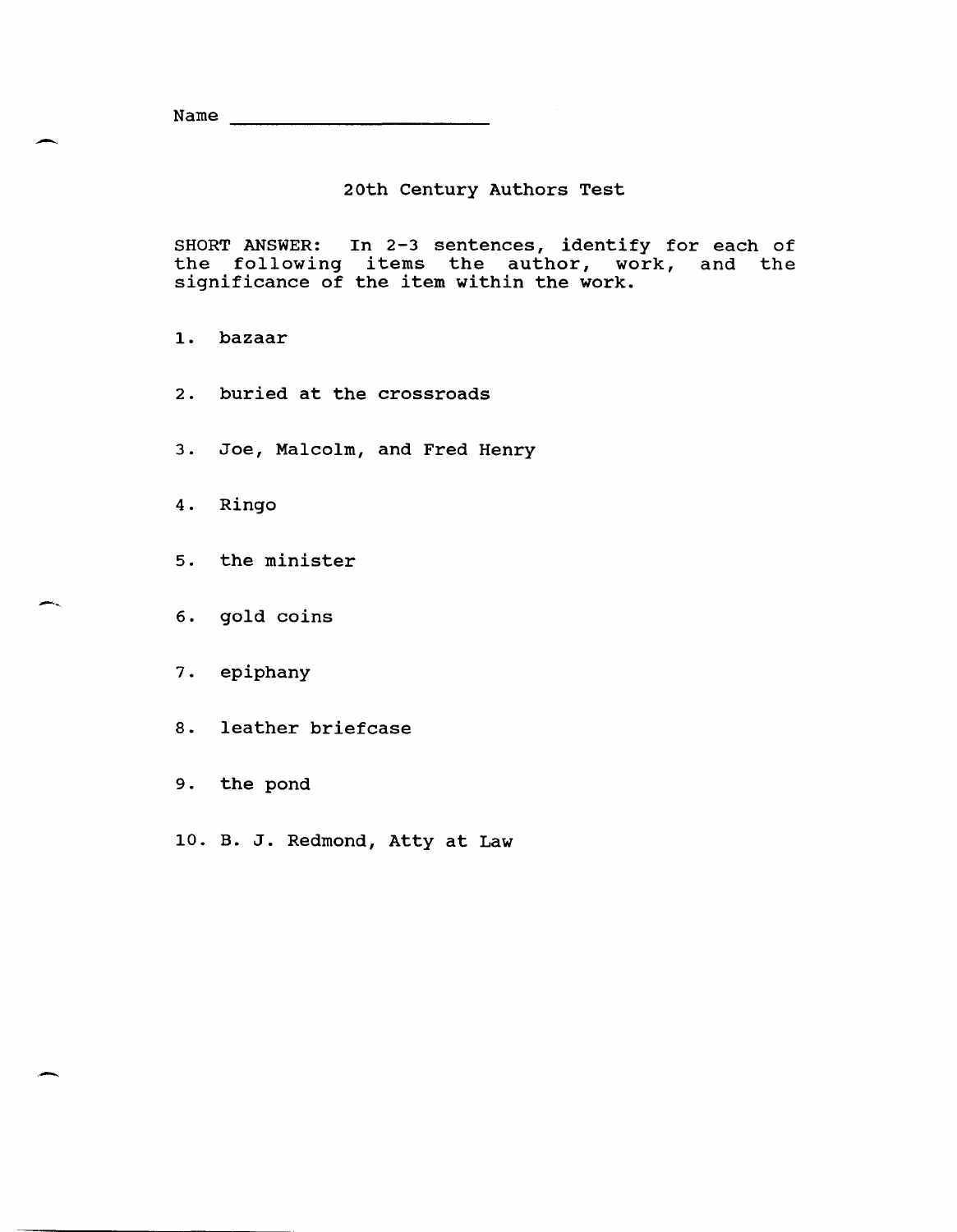Name

# 20th century Authors Test

SHORT ANSWER: In 2-3 sentences, identify for each of the following items the author, work, and the significance of the item within the work.

1. bazaar

.-

.-

- 2. buried at the crossroads
- 3. Joe, Malcolm, and Fred Henry
- 4. Ringo
- 5. the minister
- 6. gold coins
- 7. epiphany
- 8. leather briefcase
- 9. the pond
- 10. B. J. Redmond, Atty at Law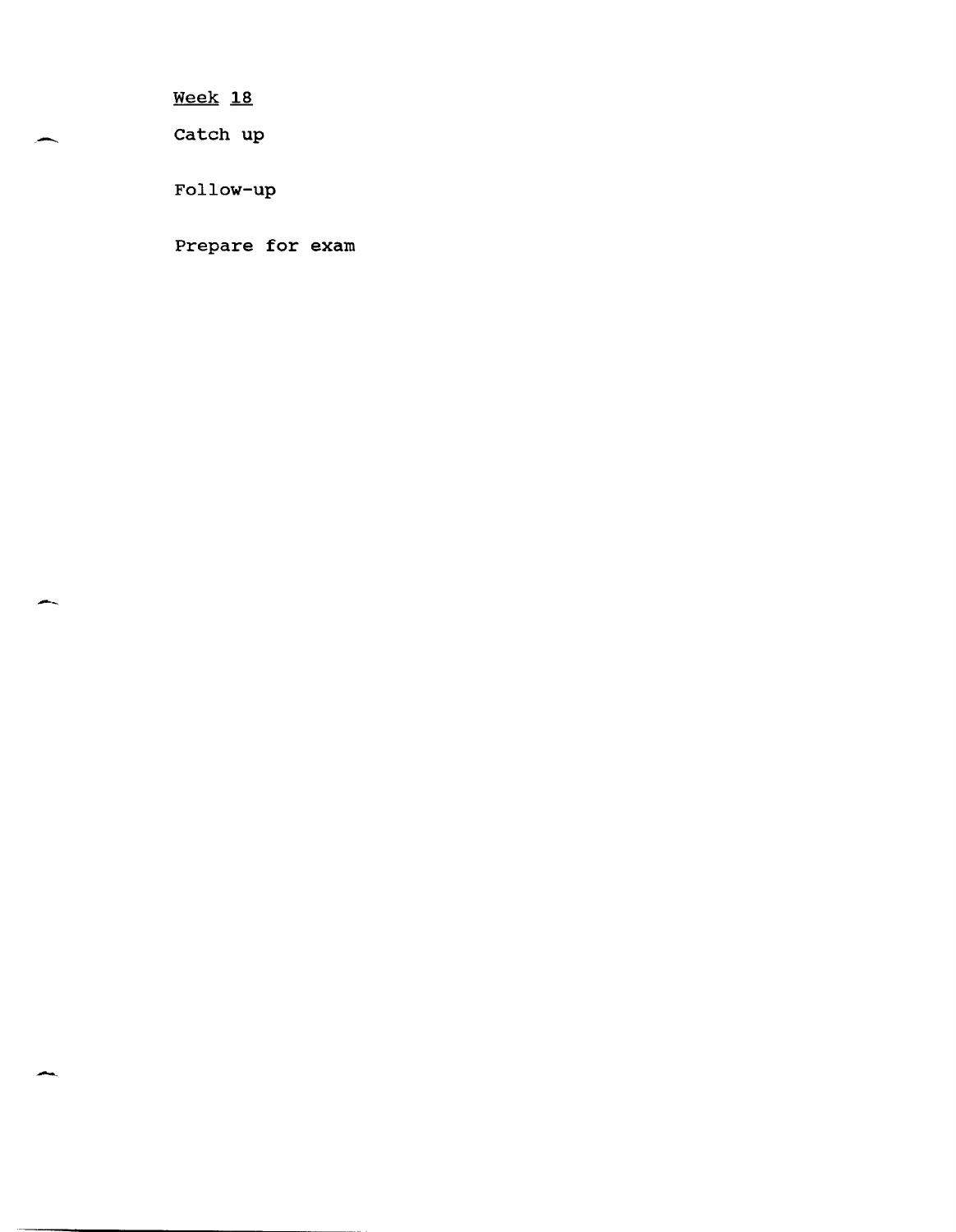Catch up

 $\overline{\phantom{0}}$ 

--

-

Follow-up

Prepare for exam